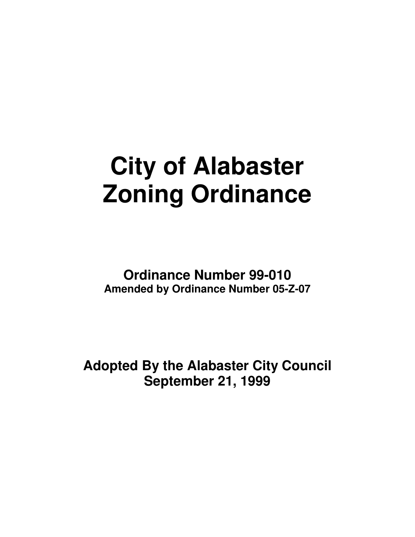# **City of Alabaster Zoning Ordinance**

**Ordinance Number 99-010 Amended by Ordinance Number 05-Z-07**

**Adopted By the Alabaster City Council September 21, 1999**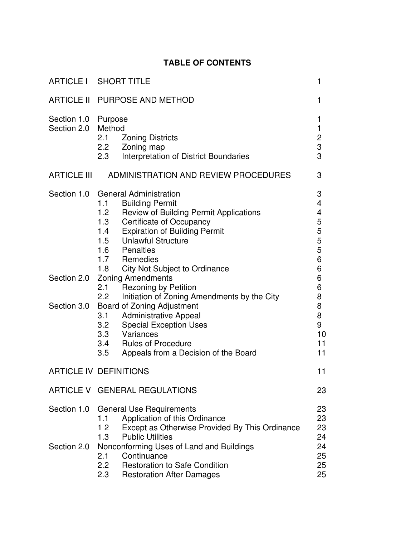# **TABLE OF CONTENTS**

| ARTICLE I SHORT TITLE                                                                                                                                                                                                                                                                                                                                                                                                                                                                                                                                                                                                                                                                                             | 1                                                                                         |
|-------------------------------------------------------------------------------------------------------------------------------------------------------------------------------------------------------------------------------------------------------------------------------------------------------------------------------------------------------------------------------------------------------------------------------------------------------------------------------------------------------------------------------------------------------------------------------------------------------------------------------------------------------------------------------------------------------------------|-------------------------------------------------------------------------------------------|
| ARTICLE II PURPOSE AND METHOD                                                                                                                                                                                                                                                                                                                                                                                                                                                                                                                                                                                                                                                                                     | 1                                                                                         |
| Purpose<br>Method<br>2.1<br><b>Zoning Districts</b><br>2.2<br>Zoning map<br>2.3<br>Interpretation of District Boundaries                                                                                                                                                                                                                                                                                                                                                                                                                                                                                                                                                                                          | 1<br>1<br>$\frac{2}{3}$<br>3                                                              |
| <b>ARTICLE III</b><br>ADMINISTRATION AND REVIEW PROCEDURES                                                                                                                                                                                                                                                                                                                                                                                                                                                                                                                                                                                                                                                        | 3                                                                                         |
| <b>General Administration</b><br><b>Building Permit</b><br>1.1<br><b>Review of Building Permit Applications</b><br>1.2 <sub>2</sub><br>1.3<br><b>Certificate of Occupancy</b><br><b>Expiration of Building Permit</b><br>1.4<br><b>Unlawful Structure</b><br>1.5<br>1.6<br>Penalties<br>1.7<br>Remedies<br><b>City Not Subject to Ordinance</b><br>1.8<br><b>Zoning Amendments</b><br>Section 2.0<br><b>Rezoning by Petition</b><br>2.1<br>2.2<br>Initiation of Zoning Amendments by the City<br>Board of Zoning Adjustment<br><b>Administrative Appeal</b><br>3.1<br><b>Special Exception Uses</b><br>3.2<br>3.3<br>Variances<br>3.4<br><b>Rules of Procedure</b><br>3.5<br>Appeals from a Decision of the Board | 3<br>4<br>4<br>5<br>5<br>5<br>5<br>6<br>6<br>6<br>6<br>8<br>8<br>8<br>9<br>10<br>11<br>11 |
| <b>ARTICLE IV DEFINITIONS</b>                                                                                                                                                                                                                                                                                                                                                                                                                                                                                                                                                                                                                                                                                     | 11                                                                                        |
| ARTICLE V GENERAL REGULATIONS                                                                                                                                                                                                                                                                                                                                                                                                                                                                                                                                                                                                                                                                                     | 23                                                                                        |
| Section 1.0<br><b>General Use Requirements</b><br>Application of this Ordinance<br>1.1<br>Except as Otherwise Provided By This Ordinance<br>12<br><b>Public Utilities</b><br>1.3<br>Nonconforming Uses of Land and Buildings<br>Continuance<br>2.1<br>$2.2\overline{ }$<br><b>Restoration to Safe Condition</b>                                                                                                                                                                                                                                                                                                                                                                                                   | 23<br>23<br>23<br>24<br>24<br>25<br>25<br>25                                              |
|                                                                                                                                                                                                                                                                                                                                                                                                                                                                                                                                                                                                                                                                                                                   | 2.3<br><b>Restoration After Damages</b>                                                   |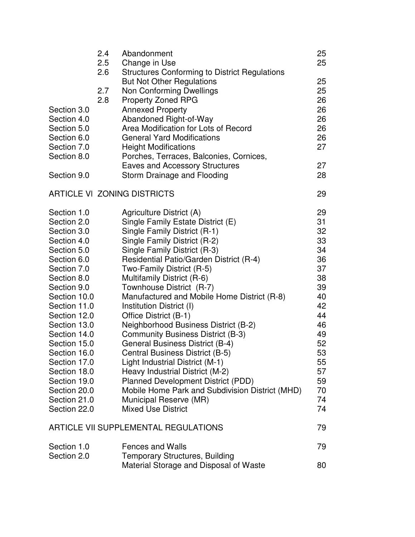|              | 2.4<br>2.5 | Abandonment<br>Change in Use                         | 25<br>25 |
|--------------|------------|------------------------------------------------------|----------|
|              | 2.6        | <b>Structures Conforming to District Regulations</b> |          |
|              |            | <b>But Not Other Regulations</b>                     | 25       |
|              | 2.7        | Non Conforming Dwellings                             | 25       |
|              | 2.8        | <b>Property Zoned RPG</b>                            | 26       |
| Section 3.0  |            | <b>Annexed Property</b>                              | 26       |
| Section 4.0  |            | Abandoned Right-of-Way                               | 26       |
| Section 5.0  |            | Area Modification for Lots of Record                 | 26       |
| Section 6.0  |            | <b>General Yard Modifications</b>                    | 26       |
| Section 7.0  |            | <b>Height Modifications</b>                          | 27       |
| Section 8.0  |            | Porches, Terraces, Balconies, Cornices,              |          |
|              |            | <b>Eaves and Accessory Structures</b>                | 27       |
| Section 9.0  |            | Storm Drainage and Flooding                          | 28       |
|              |            | <b>ARTICLE VI ZONING DISTRICTS</b>                   | 29       |
| Section 1.0  |            | Agriculture District (A)                             | 29       |
| Section 2.0  |            | Single Family Estate District (E)                    | 31       |
| Section 3.0  |            | Single Family District (R-1)                         | 32       |
| Section 4.0  |            | Single Family District (R-2)                         | 33       |
| Section 5.0  |            | Single Family District (R-3)                         | 34       |
| Section 6.0  |            | Residential Patio/Garden District (R-4)              | 36       |
| Section 7.0  |            | Two-Family District (R-5)                            | 37       |
| Section 8.0  |            | Multifamily District (R-6)                           | 38       |
| Section 9.0  |            | Townhouse District (R-7)                             | 39       |
| Section 10.0 |            | Manufactured and Mobile Home District (R-8)          | 40       |
| Section 11.0 |            | Institution District (I)                             | 42       |
| Section 12.0 |            | Office District (B-1)                                | 44       |
| Section 13.0 |            | Neighborhood Business District (B-2)                 | 46       |
| Section 14.0 |            | <b>Community Business District (B-3)</b>             | 49       |
| Section 15.0 |            | <b>General Business District (B-4)</b>               | 52       |
| Section 16.0 |            | Central Business District (B-5)                      | 53       |
| Section 17.0 |            | Light Industrial District (M-1)                      | 55       |
| Section 18.0 |            | Heavy Industrial District (M-2)                      | 57       |
| Section 19.0 |            | Planned Development District (PDD)                   | 59       |
| Section 20.0 |            | Mobile Home Park and Subdivision District (MHD)      | 70       |
| Section 21.0 |            | Municipal Reserve (MR)                               | 74       |
| Section 22.0 |            | <b>Mixed Use District</b>                            | 74       |
|              |            | <b>ARTICLE VII SUPPLEMENTAL REGULATIONS</b>          | 79       |
| Section 1.0  |            | <b>Fences and Walls</b>                              | 79       |
| Section 2.0  |            | <b>Temporary Structures, Building</b>                |          |
|              |            | Material Storage and Disposal of Waste               | 80       |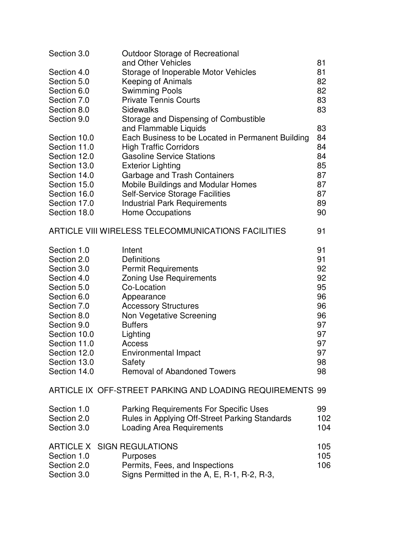| Section 3.0                                               | <b>Outdoor Storage of Recreational</b>                    |     |  |
|-----------------------------------------------------------|-----------------------------------------------------------|-----|--|
|                                                           | and Other Vehicles                                        | 81  |  |
| Section 4.0                                               | Storage of Inoperable Motor Vehicles                      | 81  |  |
| Section 5.0                                               | Keeping of Animals                                        | 82  |  |
| Section 6.0                                               | <b>Swimming Pools</b>                                     | 82  |  |
| Section 7.0                                               | <b>Private Tennis Courts</b>                              | 83  |  |
| Section 8.0                                               | <b>Sidewalks</b>                                          | 83  |  |
| Section 9.0                                               | Storage and Dispensing of Combustible                     |     |  |
|                                                           | and Flammable Liquids                                     | 83  |  |
| Section 10.0                                              | Each Business to be Located in Permanent Building         | 84  |  |
| Section 11.0                                              | <b>High Traffic Corridors</b>                             | 84  |  |
| Section 12.0                                              | <b>Gasoline Service Stations</b>                          | 84  |  |
| Section 13.0                                              | <b>Exterior Lighting</b>                                  | 85  |  |
| Section 14.0                                              | Garbage and Trash Containers                              | 87  |  |
| Section 15.0                                              | <b>Mobile Buildings and Modular Homes</b>                 | 87  |  |
| Section 16.0                                              | <b>Self-Service Storage Facilities</b>                    | 87  |  |
| Section 17.0                                              | <b>Industrial Park Requirements</b>                       | 89  |  |
| Section 18.0                                              | <b>Home Occupations</b>                                   | 90  |  |
| ARTICLE VIII WIRELESS TELECOMMUNICATIONS FACILITIES<br>91 |                                                           |     |  |
| Section 1.0                                               | Intent                                                    | 91  |  |
| Section 2.0                                               | Definitions                                               | 91  |  |
| Section 3.0                                               | <b>Permit Requirements</b>                                | 92  |  |
| Section 4.0                                               | <b>Zoning Use Requirements</b>                            | 92  |  |
| Section 5.0                                               | Co-Location                                               | 95  |  |
| Section 6.0                                               | Appearance                                                | 96  |  |
| Section 7.0                                               | <b>Accessory Structures</b>                               | 96  |  |
| Section 8.0                                               | Non Vegetative Screening                                  | 96  |  |
| Section 9.0                                               | <b>Buffers</b>                                            | 97  |  |
| Section 10.0                                              | Lighting                                                  | 97  |  |
| Section 11.0                                              | <b>Access</b>                                             | 97  |  |
| Section 12.0                                              | Environmental Impact                                      | 97  |  |
| Section 13.0                                              | Safety                                                    | 98  |  |
| Section 14.0                                              | <b>Removal of Abandoned Towers</b>                        | 98  |  |
|                                                           | ARTICLE IX OFF-STREET PARKING AND LOADING REQUIREMENTS 99 |     |  |
| Section 1.0                                               | <b>Parking Requirements For Specific Uses</b>             | 99  |  |
| Section 2.0                                               | Rules in Applying Off-Street Parking Standards            | 102 |  |
| Section 3.0                                               | <b>Loading Area Requirements</b>                          | 104 |  |
| <b>ARTICLE X</b>                                          | <b>SIGN REGULATIONS</b>                                   | 105 |  |
| Section 1.0                                               | <b>Purposes</b>                                           | 105 |  |
| Section 2.0                                               | Permits, Fees, and Inspections                            | 106 |  |
| Section 3.0                                               | Signs Permitted in the A, E, R-1, R-2, R-3,               |     |  |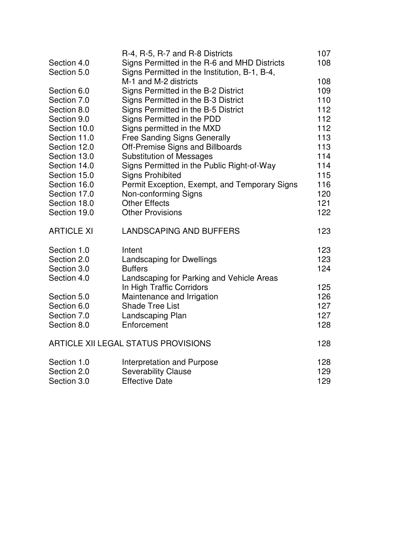|                   | R-4, R-5, R-7 and R-8 Districts               | 107 |
|-------------------|-----------------------------------------------|-----|
| Section 4.0       | Signs Permitted in the R-6 and MHD Districts  | 108 |
| Section 5.0       | Signs Permitted in the Institution, B-1, B-4, |     |
|                   | M-1 and M-2 districts                         | 108 |
| Section 6.0       | Signs Permitted in the B-2 District           | 109 |
| Section 7.0       | Signs Permitted in the B-3 District           | 110 |
| Section 8.0       | Signs Permitted in the B-5 District           | 112 |
| Section 9.0       | Signs Permitted in the PDD                    | 112 |
| Section 10.0      | Signs permitted in the MXD                    | 112 |
| Section 11.0      | <b>Free Sanding Signs Generally</b>           | 113 |
| Section 12.0      | <b>Off-Premise Signs and Billboards</b>       | 113 |
| Section 13.0      | <b>Substitution of Messages</b>               | 114 |
| Section 14.0      | Signs Permitted in the Public Right-of-Way    | 114 |
| Section 15.0      | <b>Signs Prohibited</b>                       | 115 |
| Section 16.0      | Permit Exception, Exempt, and Temporary Signs | 116 |
| Section 17.0      | Non-conforming Signs                          | 120 |
| Section 18.0      | <b>Other Effects</b>                          | 121 |
| Section 19.0      | <b>Other Provisions</b>                       | 122 |
| <b>ARTICLE XI</b> | <b>LANDSCAPING AND BUFFERS</b>                | 123 |
| Section 1.0       | Intent                                        | 123 |
| Section 2.0       | Landscaping for Dwellings                     | 123 |
| Section 3.0       | <b>Buffers</b>                                | 124 |
| Section 4.0       | Landscaping for Parking and Vehicle Areas     |     |
|                   | In High Traffic Corridors                     | 125 |
| Section 5.0       | Maintenance and Irrigation                    | 126 |
| Section 6.0       | <b>Shade Tree List</b>                        | 127 |
| Section 7.0       | Landscaping Plan                              | 127 |
| Section 8.0       | Enforcement                                   | 128 |
|                   | <b>ARTICLE XII LEGAL STATUS PROVISIONS</b>    | 128 |
| Section 1.0       | Interpretation and Purpose                    | 128 |
| Section 2.0       | <b>Severability Clause</b>                    | 129 |
| Section 3.0       | <b>Effective Date</b>                         | 129 |
|                   |                                               |     |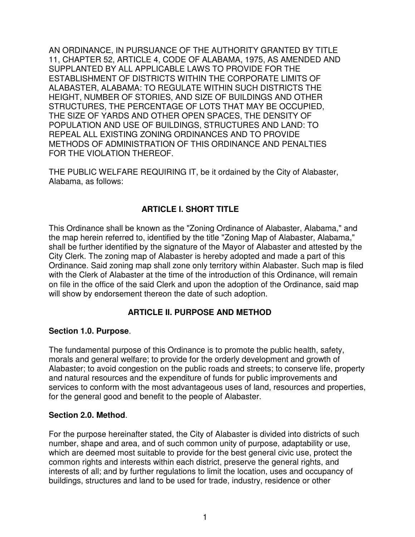AN ORDINANCE, IN PURSUANCE OF THE AUTHORITY GRANTED BY TITLE 11, CHAPTER 52, ARTICLE 4, CODE OF ALABAMA, 1975, AS AMENDED AND SUPPLANTED BY ALL APPLICABLE LAWS TO PROVIDE FOR THE ESTABLISHMENT OF DISTRICTS WITHIN THE CORPORATE LIMITS OF ALABASTER, ALABAMA: TO REGULATE WITHIN SUCH DISTRICTS THE HEIGHT, NUMBER OF STORIES, AND SIZE OF BUILDINGS AND OTHER STRUCTURES, THE PERCENTAGE OF LOTS THAT MAY BE OCCUPIED, THE SIZE OF YARDS AND OTHER OPEN SPACES, THE DENSITY OF POPULATION AND USE OF BUILDINGS, STRUCTURES AND LAND: TO REPEAL ALL EXISTING ZONING ORDINANCES AND TO PROVIDE METHODS OF ADMINISTRATION OF THIS ORDINANCE AND PENALTIES FOR THE VIOLATION THEREOF.

THE PUBLIC WELFARE REQUIRING IT, be it ordained by the City of Alabaster, Alabama, as follows:

## **ARTICLE I. SHORT TITLE**

This Ordinance shall be known as the "Zoning Ordinance of Alabaster, Alabama," and the map herein referred to, identified by the title "Zoning Map of Alabaster, Alabama," shall be further identified by the signature of the Mayor of Alabaster and attested by the City Clerk. The zoning map of Alabaster is hereby adopted and made a part of this Ordinance. Said zoning map shall zone only territory within Alabaster. Such map is filed with the Clerk of Alabaster at the time of the introduction of this Ordinance, will remain on file in the office of the said Clerk and upon the adoption of the Ordinance, said map will show by endorsement thereon the date of such adoption.

## **ARTICLE II. PURPOSE AND METHOD**

#### **Section 1.0. Purpose**.

The fundamental purpose of this Ordinance is to promote the public health, safety, morals and general welfare; to provide for the orderly development and growth of Alabaster; to avoid congestion on the public roads and streets; to conserve life, property and natural resources and the expenditure of funds for public improvements and services to conform with the most advantageous uses of land, resources and properties, for the general good and benefit to the people of Alabaster.

#### **Section 2.0. Method**.

For the purpose hereinafter stated, the City of Alabaster is divided into districts of such number, shape and area, and of such common unity of purpose, adaptability or use, which are deemed most suitable to provide for the best general civic use, protect the common rights and interests within each district, preserve the general rights, and interests of all; and by further regulations to limit the location, uses and occupancy of buildings, structures and land to be used for trade, industry, residence or other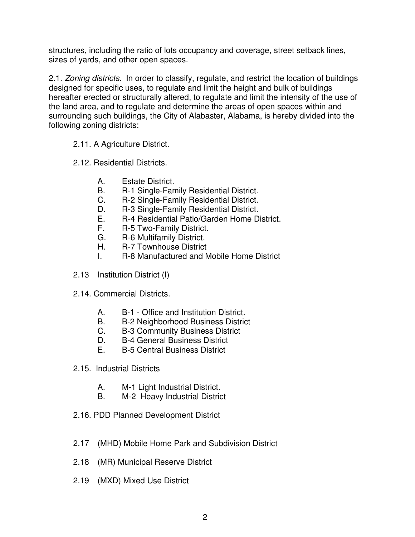structures, including the ratio of lots occupancy and coverage, street setback lines, sizes of yards, and other open spaces.

2.1. *Zoning districts*. In order to classify, regulate, and restrict the location of buildings designed for specific uses, to regulate and limit the height and bulk of buildings hereafter erected or structurally altered, to regulate and limit the intensity of the use of the land area, and to regulate and determine the areas of open spaces within and surrounding such buildings, the City of Alabaster, Alabama, is hereby divided into the following zoning districts:

- 2.11. A Agriculture District.
- 2.12. Residential Districts.
	- A. Estate District.
	- B. R-1 Single-Family Residential District.
	- C. R-2 Single-Family Residential District.
	- D. R-3 Single-Family Residential District.
	- E. R-4 Residential Patio/Garden Home District.
	- F. R-5 Two-Family District.
	- G. R-6 Multifamily District.<br>H. R-7 Townhouse District
	- H. R-7 Townhouse District
	- I. R-8 Manufactured and Mobile Home District
- 2.13 Institution District (I)
- 2.14. Commercial Districts.
	- A. B-1 Office and Institution District.
	- B. B-2 Neighborhood Business District
	- C. B-3 Community Business District
	- D. B-4 General Business District
	- E. B-5 Central Business District
- 2.15. Industrial Districts
	- A. M-1 Light Industrial District.
	- B. M-2 Heavy Industrial District
- 2.16. PDD Planned Development District
- 2.17 (MHD) Mobile Home Park and Subdivision District
- 2.18 (MR) Municipal Reserve District
- 2.19 (MXD) Mixed Use District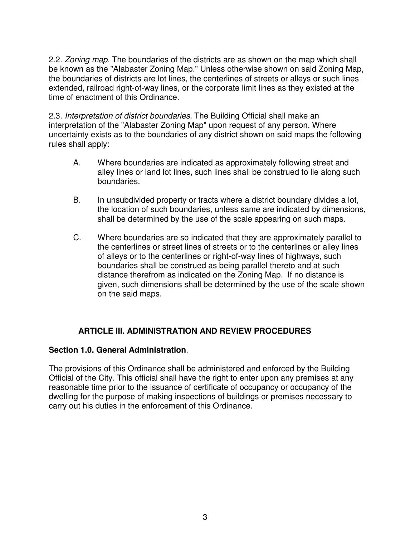2.2. *Zoning map*. The boundaries of the districts are as shown on the map which shall be known as the "Alabaster Zoning Map." Unless otherwise shown on said Zoning Map, the boundaries of districts are lot lines, the centerlines of streets or alleys or such lines extended, railroad right-of-way lines, or the corporate limit lines as they existed at the time of enactment of this Ordinance.

2.3. *Interpretation of district boundaries.* The Building Official shall make an interpretation of the "Alabaster Zoning Map" upon request of any person. Where uncertainty exists as to the boundaries of any district shown on said maps the following rules shall apply:

- A. Where boundaries are indicated as approximately following street and alley lines or land lot lines, such lines shall be construed to lie along such boundaries.
- B. In unsubdivided property or tracts where a district boundary divides a lot, the location of such boundaries, unless same are indicated by dimensions, shall be determined by the use of the scale appearing on such maps.
- C. Where boundaries are so indicated that they are approximately parallel to the centerlines or street lines of streets or to the centerlines or alley lines of alleys or to the centerlines or right-of-way lines of highways, such boundaries shall be construed as being parallel thereto and at such distance therefrom as indicated on the Zoning Map. If no distance is given, such dimensions shall be determined by the use of the scale shown on the said maps.

## **ARTICLE III. ADMINISTRATION AND REVIEW PROCEDURES**

## **Section 1.0. General Administration**.

The provisions of this Ordinance shall be administered and enforced by the Building Official of the City. This official shall have the right to enter upon any premises at any reasonable time prior to the issuance of certificate of occupancy or occupancy of the dwelling for the purpose of making inspections of buildings or premises necessary to carry out his duties in the enforcement of this Ordinance.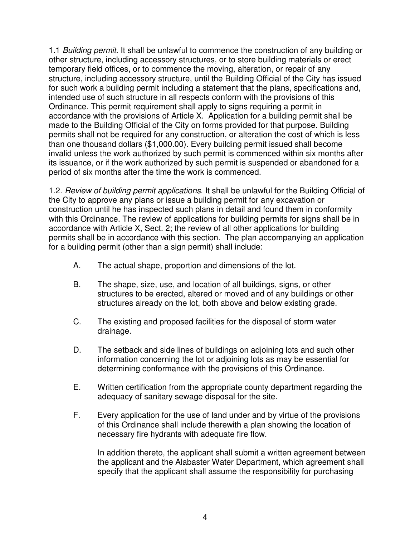1.1 *Building permit*. It shall be unlawful to commence the construction of any building or other structure, including accessory structures, or to store building materials or erect temporary field offices, or to commence the moving, alteration, or repair of any structure, including accessory structure, until the Building Official of the City has issued for such work a building permit including a statement that the plans, specifications and, intended use of such structure in all respects conform with the provisions of this Ordinance. This permit requirement shall apply to signs requiring a permit in accordance with the provisions of Article X. Application for a building permit shall be made to the Building Official of the City on forms provided for that purpose. Building permits shall not be required for any construction, or alteration the cost of which is less than one thousand dollars (\$1,000.00). Every building permit issued shall become invalid unless the work authorized by such permit is commenced within six months after its issuance, or if the work authorized by such permit is suspended or abandoned for a period of six months after the time the work is commenced.

1.2. *Review of building permit applications*. It shall be unlawful for the Building Official of the City to approve any plans or issue a building permit for any excavation or construction until he has inspected such plans in detail and found them in conformity with this Ordinance. The review of applications for building permits for signs shall be in accordance with Article X, Sect. 2; the review of all other applications for building permits shall be in accordance with this section. The plan accompanying an application for a building permit (other than a sign permit) shall include:

- A. The actual shape, proportion and dimensions of the lot.
- B. The shape, size, use, and location of all buildings, signs, or other structures to be erected, altered or moved and of any buildings or other structures already on the lot, both above and below existing grade.
- C. The existing and proposed facilities for the disposal of storm water drainage.
- D. The setback and side lines of buildings on adjoining lots and such other information concerning the lot or adjoining lots as may be essential for determining conformance with the provisions of this Ordinance.
- E. Written certification from the appropriate county department regarding the adequacy of sanitary sewage disposal for the site.
- F. Every application for the use of land under and by virtue of the provisions of this Ordinance shall include therewith a plan showing the location of necessary fire hydrants with adequate fire flow.

In addition thereto, the applicant shall submit a written agreement between the applicant and the Alabaster Water Department, which agreement shall specify that the applicant shall assume the responsibility for purchasing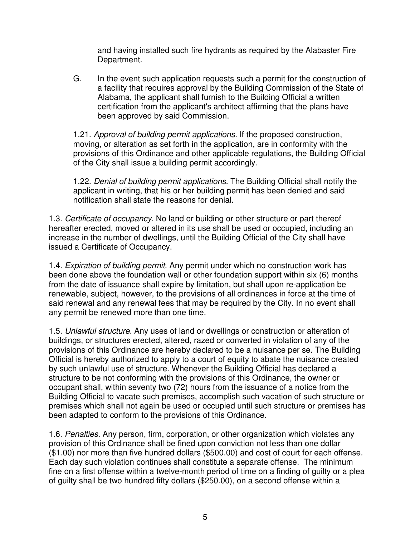and having installed such fire hydrants as required by the Alabaster Fire Department.

G. In the event such application requests such a permit for the construction of a facility that requires approval by the Building Commission of the State of Alabama, the applicant shall furnish to the Building Official a written certification from the applicant's architect affirming that the plans have been approved by said Commission.

1.21. *Approval of building permit applications*. If the proposed construction, moving, or alteration as set forth in the application, are in conformity with the provisions of this Ordinance and other applicable regulations, the Building Official of the City shall issue a building permit accordingly.

1.22. *Denial of building permit applications*. The Building Official shall notify the applicant in writing, that his or her building permit has been denied and said notification shall state the reasons for denial.

1.3. *Certificate of occupancy*. No land or building or other structure or part thereof hereafter erected, moved or altered in its use shall be used or occupied, including an increase in the number of dwellings, until the Building Official of the City shall have issued a Certificate of Occupancy.

1.4. *Expiration of building permit*. Any permit under which no construction work has been done above the foundation wall or other foundation support within six (6) months from the date of issuance shall expire by limitation, but shall upon re-application be renewable, subject, however, to the provisions of all ordinances in force at the time of said renewal and any renewal fees that may be required by the City. In no event shall any permit be renewed more than one time.

1.5. *Unlawful structure*. Any uses of land or dwellings or construction or alteration of buildings, or structures erected, altered, razed or converted in violation of any of the provisions of this Ordinance are hereby declared to be a nuisance per se. The Building Official is hereby authorized to apply to a court of equity to abate the nuisance created by such unlawful use of structure. Whenever the Building Official has declared a structure to be not conforming with the provisions of this Ordinance, the owner or occupant shall, within seventy two (72) hours from the issuance of a notice from the Building Official to vacate such premises, accomplish such vacation of such structure or premises which shall not again be used or occupied until such structure or premises has been adapted to conform to the provisions of this Ordinance.

1.6. *Penalties*. Any person, firm, corporation, or other organization which violates any provision of this Ordinance shall be fined upon conviction not less than one dollar (\$1.00) nor more than five hundred dollars (\$500.00) and cost of court for each offense. Each day such violation continues shall constitute a separate offense. The minimum fine on a first offense within a twelve-month period of time on a finding of guilty or a plea of guilty shall be two hundred fifty dollars (\$250.00), on a second offense within a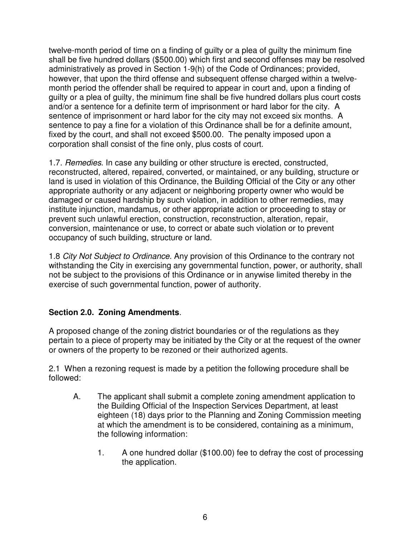twelve-month period of time on a finding of guilty or a plea of guilty the minimum fine shall be five hundred dollars (\$500.00) which first and second offenses may be resolved administratively as proved in Section 1-9(h) of the Code of Ordinances; provided, however, that upon the third offense and subsequent offense charged within a twelvemonth period the offender shall be required to appear in court and, upon a finding of guilty or a plea of guilty, the minimum fine shall be five hundred dollars plus court costs and/or a sentence for a definite term of imprisonment or hard labor for the city. A sentence of imprisonment or hard labor for the city may not exceed six months. A sentence to pay a fine for a violation of this Ordinance shall be for a definite amount, fixed by the court, and shall not exceed \$500.00. The penalty imposed upon a corporation shall consist of the fine only, plus costs of court.

1.7. *Remedies*. In case any building or other structure is erected, constructed, reconstructed, altered, repaired, converted, or maintained, or any building, structure or land is used in violation of this Ordinance, the Building Official of the City or any other appropriate authority or any adjacent or neighboring property owner who would be damaged or caused hardship by such violation, in addition to other remedies, may institute injunction, mandamus, or other appropriate action or proceeding to stay or prevent such unlawful erection, construction, reconstruction, alteration, repair, conversion, maintenance or use, to correct or abate such violation or to prevent occupancy of such building, structure or land.

1.8 *City Not Subject to Ordinance.* Any provision of this Ordinance to the contrary not withstanding the City in exercising any governmental function, power, or authority, shall not be subject to the provisions of this Ordinance or in anywise limited thereby in the exercise of such governmental function, power of authority.

## **Section 2.0. Zoning Amendments**.

A proposed change of the zoning district boundaries or of the regulations as they pertain to a piece of property may be initiated by the City or at the request of the owner or owners of the property to be rezoned or their authorized agents.

2.1 When a rezoning request is made by a petition the following procedure shall be followed:

- A. The applicant shall submit a complete zoning amendment application to the Building Official of the Inspection Services Department, at least eighteen (18) days prior to the Planning and Zoning Commission meeting at which the amendment is to be considered, containing as a minimum, the following information:
	- 1. A one hundred dollar (\$100.00) fee to defray the cost of processing the application.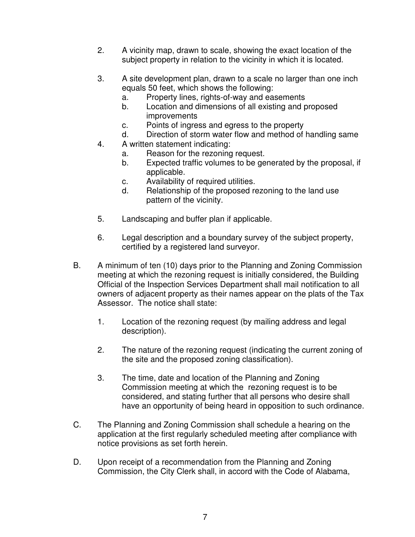- 2. A vicinity map, drawn to scale, showing the exact location of the subject property in relation to the vicinity in which it is located.
- 3. A site development plan, drawn to a scale no larger than one inch equals 50 feet, which shows the following:
	- a. Property lines, rights-of-way and easements
	- b. Location and dimensions of all existing and proposed improvements
	- c. Points of ingress and egress to the property
	- d. Direction of storm water flow and method of handling same
- 4. A written statement indicating:
	- a. Reason for the rezoning request.
	- b. Expected traffic volumes to be generated by the proposal, if applicable.
	- c. Availability of required utilities.
	- d. Relationship of the proposed rezoning to the land use pattern of the vicinity.
- 5. Landscaping and buffer plan if applicable.
- 6. Legal description and a boundary survey of the subject property, certified by a registered land surveyor.
- B. A minimum of ten (10) days prior to the Planning and Zoning Commission meeting at which the rezoning request is initially considered, the Building Official of the Inspection Services Department shall mail notification to all owners of adjacent property as their names appear on the plats of the Tax Assessor. The notice shall state:
	- 1. Location of the rezoning request (by mailing address and legal description).
	- 2. The nature of the rezoning request (indicating the current zoning of the site and the proposed zoning classification).
	- 3. The time, date and location of the Planning and Zoning Commission meeting at which the rezoning request is to be considered, and stating further that all persons who desire shall have an opportunity of being heard in opposition to such ordinance.
- C. The Planning and Zoning Commission shall schedule a hearing on the application at the first regularly scheduled meeting after compliance with notice provisions as set forth herein.
- D. Upon receipt of a recommendation from the Planning and Zoning Commission, the City Clerk shall, in accord with the Code of Alabama,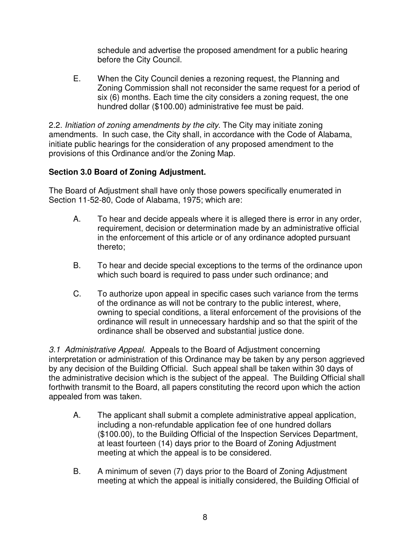schedule and advertise the proposed amendment for a public hearing before the City Council.

E. When the City Council denies a rezoning request, the Planning and Zoning Commission shall not reconsider the same request for a period of six (6) months. Each time the city considers a zoning request, the one hundred dollar (\$100.00) administrative fee must be paid.

2.2. *Initiation of zoning amendments by the city*. The City may initiate zoning amendments. In such case, the City shall, in accordance with the Code of Alabama, initiate public hearings for the consideration of any proposed amendment to the provisions of this Ordinance and/or the Zoning Map.

# **Section 3.0 Board of Zoning Adjustment.**

The Board of Adjustment shall have only those powers specifically enumerated in Section 11-52-80, Code of Alabama, 1975; which are:

- A. To hear and decide appeals where it is alleged there is error in any order, requirement, decision or determination made by an administrative official in the enforcement of this article or of any ordinance adopted pursuant thereto;
- B. To hear and decide special exceptions to the terms of the ordinance upon which such board is required to pass under such ordinance; and
- C. To authorize upon appeal in specific cases such variance from the terms of the ordinance as will not be contrary to the public interest, where, owning to special conditions, a literal enforcement of the provisions of the ordinance will result in unnecessary hardship and so that the spirit of the ordinance shall be observed and substantial justice done.

*3.1 Administrative Appeal.* Appeals to the Board of Adjustment concerning interpretation or administration of this Ordinance may be taken by any person aggrieved by any decision of the Building Official. Such appeal shall be taken within 30 days of the administrative decision which is the subject of the appeal. The Building Official shall forthwith transmit to the Board, all papers constituting the record upon which the action appealed from was taken.

- A. The applicant shall submit a complete administrative appeal application, including a non-refundable application fee of one hundred dollars (\$100.00), to the Building Official of the Inspection Services Department, at least fourteen (14) days prior to the Board of Zoning Adjustment meeting at which the appeal is to be considered.
- B. A minimum of seven (7) days prior to the Board of Zoning Adjustment meeting at which the appeal is initially considered, the Building Official of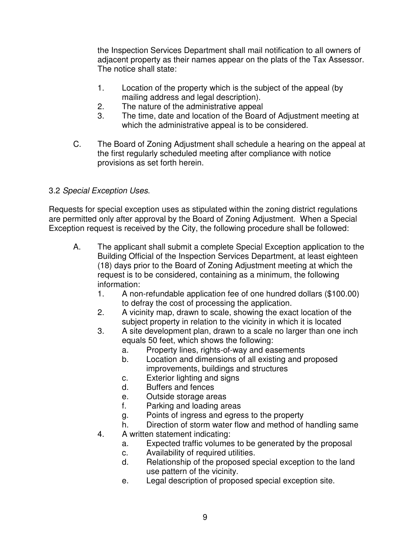the Inspection Services Department shall mail notification to all owners of adjacent property as their names appear on the plats of the Tax Assessor. The notice shall state:

- 1. Location of the property which is the subject of the appeal (by mailing address and legal description).
- 2. The nature of the administrative appeal
- 3. The time, date and location of the Board of Adjustment meeting at which the administrative appeal is to be considered.
- C. The Board of Zoning Adjustment shall schedule a hearing on the appeal at the first regularly scheduled meeting after compliance with notice provisions as set forth herein.

## 3.2 *Special Exception Uses*.

Requests for special exception uses as stipulated within the zoning district regulations are permitted only after approval by the Board of Zoning Adjustment. When a Special Exception request is received by the City, the following procedure shall be followed:

- A. The applicant shall submit a complete Special Exception application to the Building Official of the Inspection Services Department, at least eighteen (18) days prior to the Board of Zoning Adjustment meeting at which the request is to be considered, containing as a minimum, the following information:
	- 1. A non-refundable application fee of one hundred dollars (\$100.00) to defray the cost of processing the application.
	- 2. A vicinity map, drawn to scale, showing the exact location of the subject property in relation to the vicinity in which it is located
	- 3. A site development plan, drawn to a scale no larger than one inch equals 50 feet, which shows the following:
		- a. Property lines, rights-of-way and easements
		- b. Location and dimensions of all existing and proposed improvements, buildings and structures
		- c. Exterior lighting and signs
		- d. Buffers and fences
		- e. Outside storage areas
		- f. Parking and loading areas
		- g. Points of ingress and egress to the property
		- h. Direction of storm water flow and method of handling same
	- 4. A written statement indicating:
		- a. Expected traffic volumes to be generated by the proposal
		- c. Availability of required utilities.
		- d. Relationship of the proposed special exception to the land use pattern of the vicinity.
		- e. Legal description of proposed special exception site.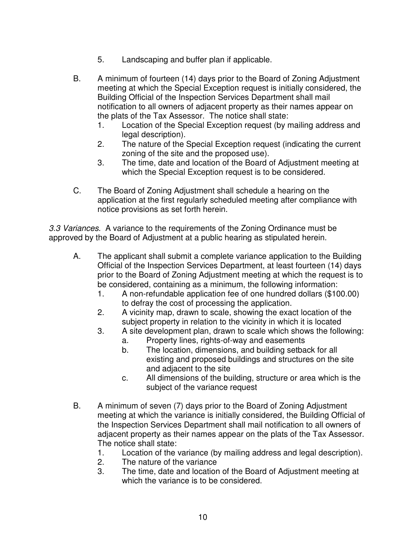- 5. Landscaping and buffer plan if applicable.
- B. A minimum of fourteen (14) days prior to the Board of Zoning Adjustment meeting at which the Special Exception request is initially considered, the Building Official of the Inspection Services Department shall mail notification to all owners of adjacent property as their names appear on the plats of the Tax Assessor. The notice shall state:
	- 1. Location of the Special Exception request (by mailing address and legal description).
	- 2. The nature of the Special Exception request (indicating the current zoning of the site and the proposed use).
	- 3. The time, date and location of the Board of Adjustment meeting at which the Special Exception request is to be considered.
- C. The Board of Zoning Adjustment shall schedule a hearing on the application at the first regularly scheduled meeting after compliance with notice provisions as set forth herein.

*3.3 Variances.* A variance to the requirements of the Zoning Ordinance must be approved by the Board of Adjustment at a public hearing as stipulated herein.

- A. The applicant shall submit a complete variance application to the Building Official of the Inspection Services Department, at least fourteen (14) days prior to the Board of Zoning Adjustment meeting at which the request is to be considered, containing as a minimum, the following information:
	- 1. A non-refundable application fee of one hundred dollars (\$100.00) to defray the cost of processing the application.
	- 2. A vicinity map, drawn to scale, showing the exact location of the subject property in relation to the vicinity in which it is located
	- 3. A site development plan, drawn to scale which shows the following:
		- a. Property lines, rights-of-way and easements
		- b. The location, dimensions, and building setback for all existing and proposed buildings and structures on the site and adjacent to the site
		- c. All dimensions of the building, structure or area which is the subject of the variance request
- B. A minimum of seven (7) days prior to the Board of Zoning Adjustment meeting at which the variance is initially considered, the Building Official of the Inspection Services Department shall mail notification to all owners of adjacent property as their names appear on the plats of the Tax Assessor. The notice shall state:
	- 1. Location of the variance (by mailing address and legal description).
	- 2. The nature of the variance
	- 3. The time, date and location of the Board of Adjustment meeting at which the variance is to be considered.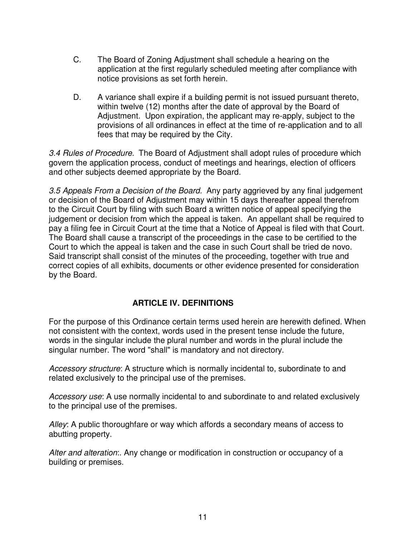- C. The Board of Zoning Adjustment shall schedule a hearing on the application at the first regularly scheduled meeting after compliance with notice provisions as set forth herein.
- D. A variance shall expire if a building permit is not issued pursuant thereto, within twelve (12) months after the date of approval by the Board of Adjustment. Upon expiration, the applicant may re-apply, subject to the provisions of all ordinances in effect at the time of re-application and to all fees that may be required by the City.

*3.4 Rules of Procedure.* The Board of Adjustment shall adopt rules of procedure which govern the application process, conduct of meetings and hearings, election of officers and other subjects deemed appropriate by the Board.

*3.5 Appeals From a Decision of the Board.* Any party aggrieved by any final judgement or decision of the Board of Adjustment may within 15 days thereafter appeal therefrom to the Circuit Court by filing with such Board a written notice of appeal specifying the judgement or decision from which the appeal is taken. An appellant shall be required to pay a filing fee in Circuit Court at the time that a Notice of Appeal is filed with that Court. The Board shall cause a transcript of the proceedings in the case to be certified to the Court to which the appeal is taken and the case in such Court shall be tried de novo. Said transcript shall consist of the minutes of the proceeding, together with true and correct copies of all exhibits, documents or other evidence presented for consideration by the Board.

## **ARTICLE IV. DEFINITIONS**

For the purpose of this Ordinance certain terms used herein are herewith defined. When not consistent with the context, words used in the present tense include the future, words in the singular include the plural number and words in the plural include the singular number. The word "shall" is mandatory and not directory.

*Accessory structure*: A structure which is normally incidental to, subordinate to and related exclusively to the principal use of the premises.

*Accessory use*: A use normally incidental to and subordinate to and related exclusively to the principal use of the premises.

*Alley*: A public thoroughfare or way which affords a secondary means of access to abutting property.

*Alter and alteration*:. Any change or modification in construction or occupancy of a building or premises.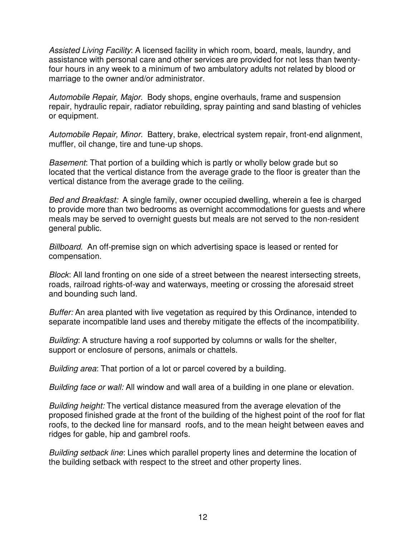*Assisted Living Facility*: A licensed facility in which room, board, meals, laundry, and assistance with personal care and other services are provided for not less than twentyfour hours in any week to a minimum of two ambulatory adults not related by blood or marriage to the owner and/or administrator.

*Automobile Repair, Major.* Body shops, engine overhauls, frame and suspension repair, hydraulic repair, radiator rebuilding, spray painting and sand blasting of vehicles or equipment.

*Automobile Repair, Minor.* Battery, brake, electrical system repair, front-end alignment, muffler, oil change, tire and tune-up shops.

*Basement*: That portion of a building which is partly or wholly below grade but so located that the vertical distance from the average grade to the floor is greater than the vertical distance from the average grade to the ceiling.

*Bed and Breakfast:* A single family, owner occupied dwelling, wherein a fee is charged to provide more than two bedrooms as overnight accommodations for guests and where meals may be served to overnight guests but meals are not served to the non-resident general public.

*Billboard.* An off-premise sign on which advertising space is leased or rented for compensation.

*Block*: All land fronting on one side of a street between the nearest intersecting streets, roads, railroad rights-of-way and waterways, meeting or crossing the aforesaid street and bounding such land.

*Buffer:* An area planted with live vegetation as required by this Ordinance, intended to separate incompatible land uses and thereby mitigate the effects of the incompatibility.

*Building*: A structure having a roof supported by columns or walls for the shelter, support or enclosure of persons, animals or chattels.

*Building area*: That portion of a lot or parcel covered by a building.

*Building face or wall:* All window and wall area of a building in one plane or elevation.

*Building height:* The vertical distance measured from the average elevation of the proposed finished grade at the front of the building of the highest point of the roof for flat roofs, to the decked line for mansard roofs, and to the mean height between eaves and ridges for gable, hip and gambrel roofs.

*Building setback line*: Lines which parallel property lines and determine the location of the building setback with respect to the street and other property lines.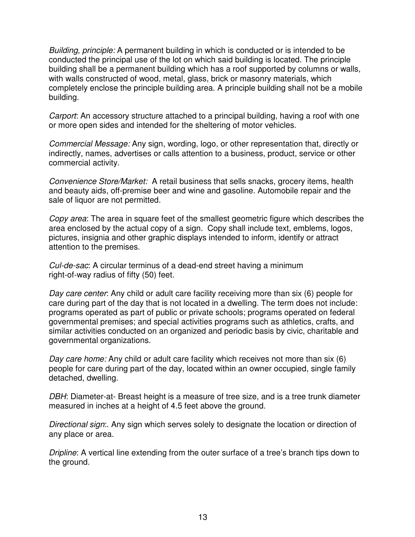*Building, principle:* A permanent building in which is conducted or is intended to be conducted the principal use of the lot on which said building is located. The principle building shall be a permanent building which has a roof supported by columns or walls, with walls constructed of wood, metal, glass, brick or masonry materials, which completely enclose the principle building area. A principle building shall not be a mobile building.

*Carport*: An accessory structure attached to a principal building, having a roof with one or more open sides and intended for the sheltering of motor vehicles.

*Commercial Message:* Any sign, wording, logo, or other representation that, directly or indirectly, names, advertises or calls attention to a business, product, service or other commercial activity.

*Convenience Store/Market:* A retail business that sells snacks, grocery items, health and beauty aids, off-premise beer and wine and gasoline. Automobile repair and the sale of liquor are not permitted.

*Copy area*: The area in square feet of the smallest geometric figure which describes the area enclosed by the actual copy of a sign. Copy shall include text, emblems, logos, pictures, insignia and other graphic displays intended to inform, identify or attract attention to the premises.

*Cul-de-sac*: A circular terminus of a dead-end street having a minimum right-of-way radius of fifty (50) feet.

*Day care center*: Any child or adult care facility receiving more than six (6) people for care during part of the day that is not located in a dwelling. The term does not include: programs operated as part of public or private schools; programs operated on federal governmental premises; and special activities programs such as athletics, crafts, and similar activities conducted on an organized and periodic basis by civic, charitable and governmental organizations.

*Day care home:* Any child or adult care facility which receives not more than six (6) people for care during part of the day, located within an owner occupied, single family detached, dwelling.

*DBH*: Diameter-at- Breast height is a measure of tree size, and is a tree trunk diameter measured in inches at a height of 4.5 feet above the ground.

*Directional sign*:. Any sign which serves solely to designate the location or direction of any place or area.

*Dripline*: A vertical line extending from the outer surface of a tree's branch tips down to the ground.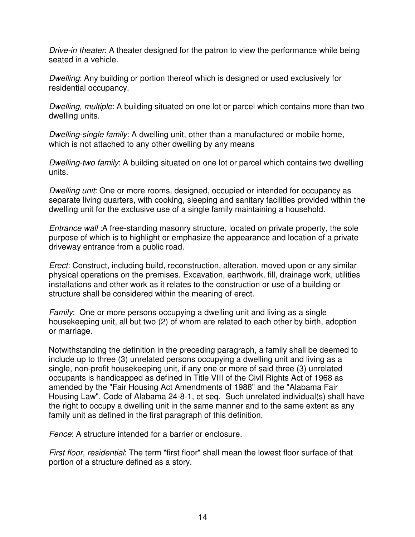*Drive-in theater*: A theater designed for the patron to view the performance while being seated in a vehicle.

*Dwelling*: Any building or portion thereof which is designed or used exclusively for residential occupancy.

*Dwelling, multiple*: A building situated on one lot or parcel which contains more than two dwelling units.

*Dwelling-single family*: A dwelling unit, other than a manufactured or mobile home, which is not attached to any other dwelling by any means

*Dwelling-two family*: A building situated on one lot or parcel which contains two dwelling units.

*Dwelling unit*: One or more rooms, designed, occupied or intended for occupancy as separate living quarters, with cooking, sleeping and sanitary facilities provided within the dwelling unit for the exclusive use of a single family maintaining a household.

*Entrance wall* :A free-standing masonry structure, located on private property, the sole purpose of which is to highlight or emphasize the appearance and location of a private driveway entrance from a public road.

*Erect*: Construct, including build, reconstruction, alteration, moved upon or any similar physical operations on the premises. Excavation, earthwork, fill, drainage work, utilities installations and other work as it relates to the construction or use of a building or structure shall be considered within the meaning of erect.

*Family*: One or more persons occupying a dwelling unit and living as a single housekeeping unit, all but two (2) of whom are related to each other by birth, adoption or marriage.

Notwithstanding the definition in the preceding paragraph, a family shall be deemed to include up to three (3) unrelated persons occupying a dwelling unit and living as a single, non-profit housekeeping unit, if any one or more of said three (3) unrelated occupants is handicapped as defined in Title VIII of the Civil Rights Act of 1968 as amended by the "Fair Housing Act Amendments of 1988" and the "Alabama Fair Housing Law", Code of Alabama 24-8-1, et seq. Such unrelated individual(s) shall have the right to occupy a dwelling unit in the same manner and to the same extent as any family unit as defined in the first paragraph of this definition.

*Fence*: A structure intended for a barrier or enclosure.

*First floor, residential*: The term "first floor" shall mean the lowest floor surface of that portion of a structure defined as a story.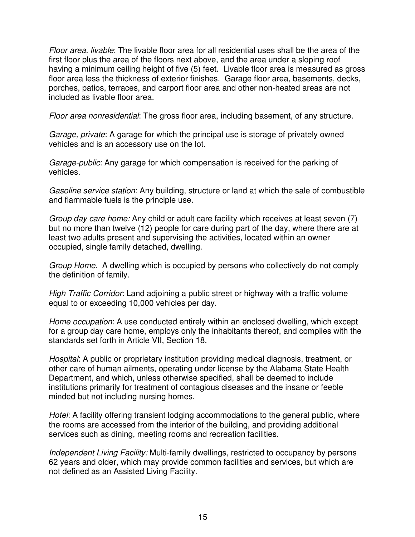*Floor area, livable*: The livable floor area for all residential uses shall be the area of the first floor plus the area of the floors next above, and the area under a sloping roof having a minimum ceiling height of five (5) feet. Livable floor area is measured as gross floor area less the thickness of exterior finishes. Garage floor area, basements, decks, porches, patios, terraces, and carport floor area and other non-heated areas are not included as livable floor area.

*Floor area nonresidential*: The gross floor area, including basement, of any structure.

*Garage, private*: A garage for which the principal use is storage of privately owned vehicles and is an accessory use on the lot.

*Garage-public*: Any garage for which compensation is received for the parking of vehicles.

*Gasoline service station*: Any building, structure or land at which the sale of combustible and flammable fuels is the principle use.

*Group day care home:* Any child or adult care facility which receives at least seven (7) but no more than twelve (12) people for care during part of the day, where there are at least two adults present and supervising the activities, located within an owner occupied, single family detached, dwelling.

*Group Home*. A dwelling which is occupied by persons who collectively do not comply the definition of family.

*High Traffic Corridor*: Land adjoining a public street or highway with a traffic volume equal to or exceeding 10,000 vehicles per day.

*Home occupation*: A use conducted entirely within an enclosed dwelling, which except for a group day care home, employs only the inhabitants thereof, and complies with the standards set forth in Article VII, Section 18.

*Hospital*: A public or proprietary institution providing medical diagnosis, treatment, or other care of human ailments, operating under license by the Alabama State Health Department, and which, unless otherwise specified, shall be deemed to include institutions primarily for treatment of contagious diseases and the insane or feeble minded but not including nursing homes.

*Hotel*: A facility offering transient lodging accommodations to the general public, where the rooms are accessed from the interior of the building, and providing additional services such as dining, meeting rooms and recreation facilities.

*Independent Living Facility:* Multi-family dwellings, restricted to occupancy by persons 62 years and older, which may provide common facilities and services, but which are not defined as an Assisted Living Facility.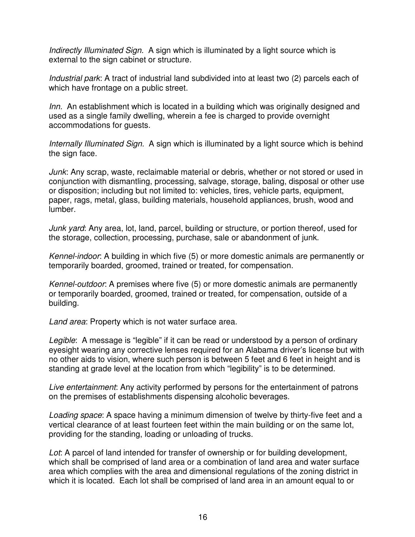*Indirectly Illuminated Sign.* A sign which is illuminated by a light source which is external to the sign cabinet or structure.

*Industrial park*: A tract of industrial land subdivided into at least two (2) parcels each of which have frontage on a public street.

*Inn.* An establishment which is located in a building which was originally designed and used as a single family dwelling, wherein a fee is charged to provide overnight accommodations for guests.

*Internally Illuminated Sign.* A sign which is illuminated by a light source which is behind the sign face.

*Junk*: Any scrap, waste, reclaimable material or debris, whether or not stored or used in conjunction with dismantling, processing, salvage, storage, baling, disposal or other use or disposition; including but not limited to: vehicles, tires, vehicle parts, equipment, paper, rags, metal, glass, building materials, household appliances, brush, wood and lumber.

*Junk yard*: Any area, lot, land, parcel, building or structure, or portion thereof, used for the storage, collection, processing, purchase, sale or abandonment of junk.

*Kennel-indoor*: A building in which five (5) or more domestic animals are permanently or temporarily boarded, groomed, trained or treated, for compensation.

*Kennel-outdoor*: A premises where five (5) or more domestic animals are permanently or temporarily boarded, groomed, trained or treated, for compensation, outside of a building.

*Land area*: Property which is not water surface area.

*Legible*: A message is "legible" if it can be read or understood by a person of ordinary eyesight wearing any corrective lenses required for an Alabama driver's license but with no other aids to vision, where such person is between 5 feet and 6 feet in height and is standing at grade level at the location from which "legibility" is to be determined.

*Live entertainment*: Any activity performed by persons for the entertainment of patrons on the premises of establishments dispensing alcoholic beverages.

*Loading space*: A space having a minimum dimension of twelve by thirty-five feet and a vertical clearance of at least fourteen feet within the main building or on the same lot, providing for the standing, loading or unloading of trucks.

*Lot*: A parcel of land intended for transfer of ownership or for building development, which shall be comprised of land area or a combination of land area and water surface area which complies with the area and dimensional regulations of the zoning district in which it is located. Each lot shall be comprised of land area in an amount equal to or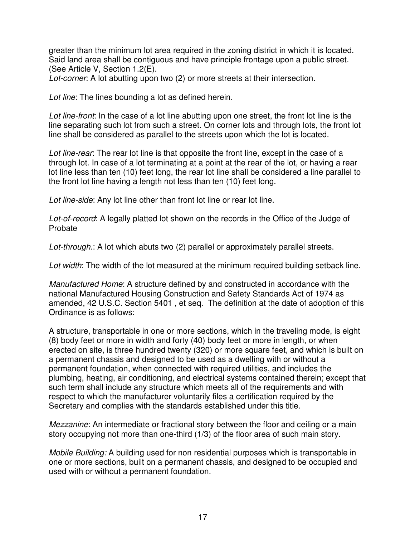greater than the minimum lot area required in the zoning district in which it is located. Said land area shall be contiguous and have principle frontage upon a public street. (See Article V, Section 1.2(E).

*Lot-corner*: A lot abutting upon two (2) or more streets at their intersection.

*Lot line*: The lines bounding a lot as defined herein.

*Lot line-front*: In the case of a lot line abutting upon one street, the front lot line is the line separating such lot from such a street. On corner lots and through lots, the front lot line shall be considered as parallel to the streets upon which the lot is located.

*Lot line-rear*: The rear lot line is that opposite the front line, except in the case of a through lot. In case of a lot terminating at a point at the rear of the lot, or having a rear lot line less than ten (10) feet long, the rear lot line shall be considered a line parallel to the front lot line having a length not less than ten (10) feet long.

*Lot line-side*: Any lot line other than front lot line or rear lot line.

*Lot-of-record*: A legally platted lot shown on the records in the Office of the Judge of Probate

*Lot-through*.: A lot which abuts two (2) parallel or approximately parallel streets.

*Lot width*: The width of the lot measured at the minimum required building setback line.

*Manufactured Home*: A structure defined by and constructed in accordance with the national Manufactured Housing Construction and Safety Standards Act of 1974 as amended, 42 U.S.C. Section 5401 , et seq. The definition at the date of adoption of this Ordinance is as follows:

A structure, transportable in one or more sections, which in the traveling mode, is eight (8) body feet or more in width and forty (40) body feet or more in length, or when erected on site, is three hundred twenty (320) or more square feet, and which is built on a permanent chassis and designed to be used as a dwelling with or without a permanent foundation, when connected with required utilities, and includes the plumbing, heating, air conditioning, and electrical systems contained therein; except that such term shall include any structure which meets all of the requirements and with respect to which the manufacturer voluntarily files a certification required by the Secretary and complies with the standards established under this title.

*Mezzanine*: An intermediate or fractional story between the floor and ceiling or a main story occupying not more than one-third (1/3) of the floor area of such main story.

*Mobile Building:* A building used for non residential purposes which is transportable in one or more sections, built on a permanent chassis, and designed to be occupied and used with or without a permanent foundation.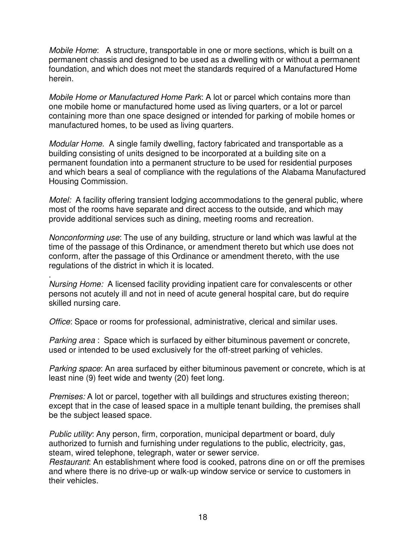*Mobile Home*: A structure, transportable in one or more sections, which is built on a permanent chassis and designed to be used as a dwelling with or without a permanent foundation, and which does not meet the standards required of a Manufactured Home herein.

*Mobile Home or Manufactured Home Park*: A lot or parcel which contains more than one mobile home or manufactured home used as living quarters, or a lot or parcel containing more than one space designed or intended for parking of mobile homes or manufactured homes, to be used as living quarters.

*Modular Home.* A single family dwelling, factory fabricated and transportable as a building consisting of units designed to be incorporated at a building site on a permanent foundation into a permanent structure to be used for residential purposes and which bears a seal of compliance with the regulations of the Alabama Manufactured Housing Commission.

*Motel:* A facility offering transient lodging accommodations to the general public, where most of the rooms have separate and direct access to the outside, and which may provide additional services such as dining, meeting rooms and recreation.

*Nonconforming use*: The use of any building, structure or land which was lawful at the time of the passage of this Ordinance, or amendment thereto but which use does not conform, after the passage of this Ordinance or amendment thereto, with the use regulations of the district in which it is located.

. *Nursing Home:* A licensed facility providing inpatient care for convalescents or other persons not acutely ill and not in need of acute general hospital care, but do require skilled nursing care.

*Office*: Space or rooms for professional, administrative, clerical and similar uses.

*Parking area* : Space which is surfaced by either bituminous pavement or concrete, used or intended to be used exclusively for the off-street parking of vehicles.

*Parking space*: An area surfaced by either bituminous pavement or concrete, which is at least nine (9) feet wide and twenty (20) feet long.

*Premises:* A lot or parcel, together with all buildings and structures existing thereon; except that in the case of leased space in a multiple tenant building, the premises shall be the subject leased space.

*Public utility*: Any person, firm, corporation, municipal department or board, duly authorized to furnish and furnishing under regulations to the public, electricity, gas, steam, wired telephone, telegraph, water or sewer service.

*Restaurant*: An establishment where food is cooked, patrons dine on or off the premises and where there is no drive-up or walk-up window service or service to customers in their vehicles.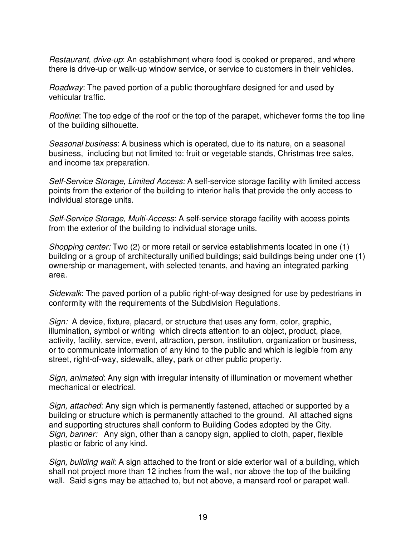*Restaurant, drive-up*: An establishment where food is cooked or prepared, and where there is drive-up or walk-up window service, or service to customers in their vehicles.

*Roadway*: The paved portion of a public thoroughfare designed for and used by vehicular traffic.

*Roofline*: The top edge of the roof or the top of the parapet, whichever forms the top line of the building silhouette.

*Seasonal business*: A business which is operated, due to its nature, on a seasonal business, including but not limited to: fruit or vegetable stands, Christmas tree sales, and income tax preparation.

*Self-Service Storage, Limited Access:* A self-service storage facility with limited access points from the exterior of the building to interior halls that provide the only access to individual storage units.

*Self-Service Storage, Multi-Access*: A self-service storage facility with access points from the exterior of the building to individual storage units.

*Shopping center:* Two (2) or more retail or service establishments located in one (1) building or a group of architecturally unified buildings; said buildings being under one (1) ownership or management, with selected tenants, and having an integrated parking area.

*Sidewalk*: The paved portion of a public right-of-way designed for use by pedestrians in conformity with the requirements of the Subdivision Regulations.

*Sign:* A device, fixture, placard, or structure that uses any form, color, graphic, illumination, symbol or writing which directs attention to an object, product, place, activity, facility, service, event, attraction, person, institution, organization or business, or to communicate information of any kind to the public and which is legible from any street, right-of-way, sidewalk, alley, park or other public property.

*Sign, animated*: Any sign with irregular intensity of illumination or movement whether mechanical or electrical.

*Sign, attached*: Any sign which is permanently fastened, attached or supported by a building or structure which is permanently attached to the ground. All attached signs and supporting structures shall conform to Building Codes adopted by the City. *Sign, banner:* Any sign, other than a canopy sign, applied to cloth, paper, flexible plastic or fabric of any kind.

*Sign, building wall*: A sign attached to the front or side exterior wall of a building, which shall not project more than 12 inches from the wall, nor above the top of the building wall. Said signs may be attached to, but not above, a mansard roof or parapet wall.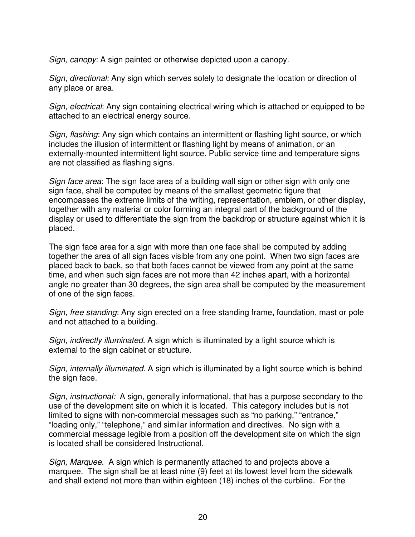*Sign, canopy*: A sign painted or otherwise depicted upon a canopy.

*Sign, directional:* Any sign which serves solely to designate the location or direction of any place or area.

*Sign, electrical*: Any sign containing electrical wiring which is attached or equipped to be attached to an electrical energy source.

*Sign, flashing*: Any sign which contains an intermittent or flashing light source, or which includes the illusion of intermittent or flashing light by means of animation, or an externally-mounted intermittent light source. Public service time and temperature signs are not classified as flashing signs.

*Sign face area*: The sign face area of a building wall sign or other sign with only one sign face, shall be computed by means of the smallest geometric figure that encompasses the extreme limits of the writing, representation, emblem, or other display, together with any material or color forming an integral part of the background of the display or used to differentiate the sign from the backdrop or structure against which it is placed.

The sign face area for a sign with more than one face shall be computed by adding together the area of all sign faces visible from any one point. When two sign faces are placed back to back, so that both faces cannot be viewed from any point at the same time, and when such sign faces are not more than 42 inches apart, with a horizontal angle no greater than 30 degrees, the sign area shall be computed by the measurement of one of the sign faces.

*Sign, free standing*: Any sign erected on a free standing frame, foundation, mast or pole and not attached to a building.

*Sign, indirectly illuminated.* A sign which is illuminated by a light source which is external to the sign cabinet or structure.

*Sign, internally illuminated.* A sign which is illuminated by a light source which is behind the sign face.

*Sign, instructional:* A sign, generally informational, that has a purpose secondary to the use of the development site on which it is located. This category includes but is not limited to signs with non-commercial messages such as "no parking," "entrance," "loading only," "telephone," and similar information and directives. No sign with a commercial message legible from a position off the development site on which the sign is located shall be considered Instructional.

*Sign, Marquee.* A sign which is permanently attached to and projects above a marquee. The sign shall be at least nine (9) feet at its lowest level from the sidewalk and shall extend not more than within eighteen (18) inches of the curbline. For the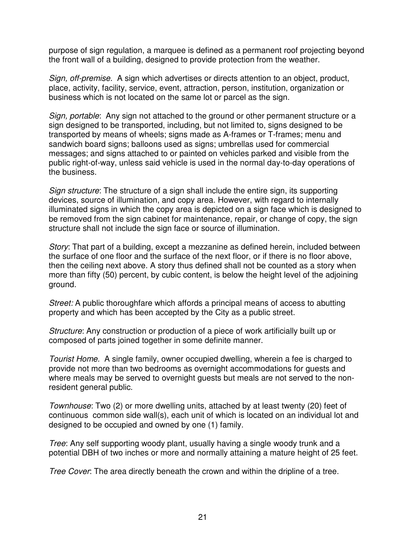purpose of sign regulation, a marquee is defined as a permanent roof projecting beyond the front wall of a building, designed to provide protection from the weather.

*Sign, off-premise.* A sign which advertises or directs attention to an object, product, place, activity, facility, service, event, attraction, person, institution, organization or business which is not located on the same lot or parcel as the sign.

*Sign, portable*: Any sign not attached to the ground or other permanent structure or a sign designed to be transported, including, but not limited to, signs designed to be transported by means of wheels; signs made as A-frames or T-frames; menu and sandwich board signs; balloons used as signs; umbrellas used for commercial messages; and signs attached to or painted on vehicles parked and visible from the public right-of-way, unless said vehicle is used in the normal day-to-day operations of the business.

*Sign structure*: The structure of a sign shall include the entire sign, its supporting devices, source of illumination, and copy area. However, with regard to internally illuminated signs in which the copy area is depicted on a sign face which is designed to be removed from the sign cabinet for maintenance, repair, or change of copy, the sign structure shall not include the sign face or source of illumination.

*Story*: That part of a building, except a mezzanine as defined herein, included between the surface of one floor and the surface of the next floor, or if there is no floor above, then the ceiling next above. A story thus defined shall not be counted as a story when more than fifty (50) percent, by cubic content, is below the height level of the adjoining ground.

*Street:* A public thoroughfare which affords a principal means of access to abutting property and which has been accepted by the City as a public street.

*Structure*: Any construction or production of a piece of work artificially built up or composed of parts joined together in some definite manner.

*Tourist Home.* A single family, owner occupied dwelling, wherein a fee is charged to provide not more than two bedrooms as overnight accommodations for guests and where meals may be served to overnight guests but meals are not served to the nonresident general public.

*Townhouse*: Two (2) or more dwelling units, attached by at least twenty (20) feet of continuous common side wall(s), each unit of which is located on an individual lot and designed to be occupied and owned by one (1) family.

*Tree*: Any self supporting woody plant, usually having a single woody trunk and a potential DBH of two inches or more and normally attaining a mature height of 25 feet.

*Tree Cover*: The area directly beneath the crown and within the dripline of a tree.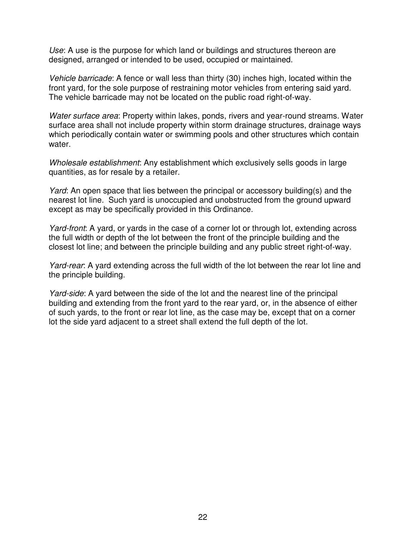*Use*: A use is the purpose for which land or buildings and structures thereon are designed, arranged or intended to be used, occupied or maintained.

*Vehicle barricade*: A fence or wall less than thirty (30) inches high, located within the front yard, for the sole purpose of restraining motor vehicles from entering said yard. The vehicle barricade may not be located on the public road right-of-way.

*Water surface area*: Property within lakes, ponds, rivers and year-round streams. Water surface area shall not include property within storm drainage structures, drainage ways which periodically contain water or swimming pools and other structures which contain water.

*Wholesale establishment*: Any establishment which exclusively sells goods in large quantities, as for resale by a retailer.

*Yard*: An open space that lies between the principal or accessory building(s) and the nearest lot line. Such yard is unoccupied and unobstructed from the ground upward except as may be specifically provided in this Ordinance.

*Yard-front*: A yard, or yards in the case of a corner lot or through lot, extending across the full width or depth of the lot between the front of the principle building and the closest lot line; and between the principle building and any public street right-of-way.

*Yard-rear*: A yard extending across the full width of the lot between the rear lot line and the principle building.

*Yard-side*: A yard between the side of the lot and the nearest line of the principal building and extending from the front yard to the rear yard, or, in the absence of either of such yards, to the front or rear lot line, as the case may be, except that on a corner lot the side yard adjacent to a street shall extend the full depth of the lot.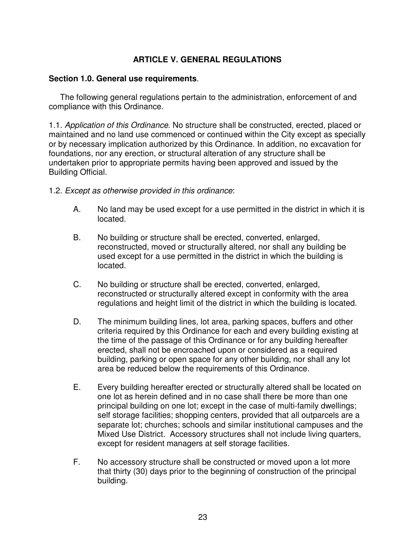## **ARTICLE V. GENERAL REGULATIONS**

#### **Section 1.0. General use requirements**.

The following general regulations pertain to the administration, enforcement of and compliance with this Ordinance.

1.1. *Application of this Ordinance*. No structure shall be constructed, erected, placed or maintained and no land use commenced or continued within the City except as specially or by necessary implication authorized by this Ordinance. In addition, no excavation for foundations, nor any erection, or structural alteration of any structure shall be undertaken prior to appropriate permits having been approved and issued by the Building Official.

- 1.2. *Except as otherwise provided in this ordinance*:
	- A. No land may be used except for a use permitted in the district in which it is located.
	- B. No building or structure shall be erected, converted, enlarged, reconstructed, moved or structurally altered, nor shall any building be used except for a use permitted in the district in which the building is located.
	- C. No building or structure shall be erected, converted, enlarged, reconstructed or structurally altered except in conformity with the area regulations and height limit of the district in which the building is located.
	- D. The minimum building lines, lot area, parking spaces, buffers and other criteria required by this Ordinance for each and every building existing at the time of the passage of this Ordinance or for any building hereafter erected, shall not be encroached upon or considered as a required building, parking or open space for any other building, nor shall any lot area be reduced below the requirements of this Ordinance.
	- E. Every building hereafter erected or structurally altered shall be located on one lot as herein defined and in no case shall there be more than one principal building on one lot; except in the case of multi-family dwellings; self storage facilities; shopping centers, provided that all outparcels are a separate lot; churches; schools and similar institutional campuses and the Mixed Use District. Accessory structures shall not include living quarters, except for resident managers at self storage facilities.
	- F. No accessory structure shall be constructed or moved upon a lot more that thirty (30) days prior to the beginning of construction of the principal building.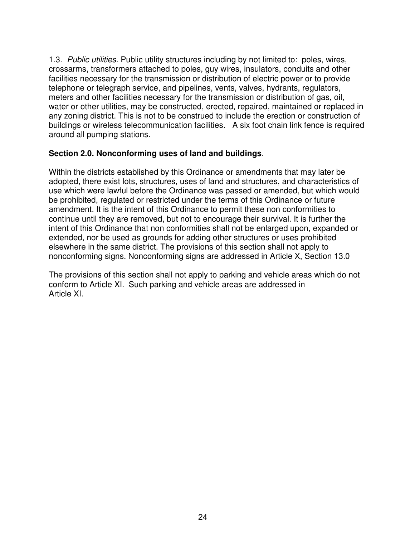1.3. *Public utilities*. Public utility structures including by not limited to: poles, wires, crossarms, transformers attached to poles, guy wires, insulators, conduits and other facilities necessary for the transmission or distribution of electric power or to provide telephone or telegraph service, and pipelines, vents, valves, hydrants, regulators, meters and other facilities necessary for the transmission or distribution of gas, oil, water or other utilities, may be constructed, erected, repaired, maintained or replaced in any zoning district. This is not to be construed to include the erection or construction of buildings or wireless telecommunication facilities. A six foot chain link fence is required around all pumping stations.

#### **Section 2.0. Nonconforming uses of land and buildings**.

Within the districts established by this Ordinance or amendments that may later be adopted, there exist lots, structures, uses of land and structures, and characteristics of use which were lawful before the Ordinance was passed or amended, but which would be prohibited, regulated or restricted under the terms of this Ordinance or future amendment. It is the intent of this Ordinance to permit these non conformities to continue until they are removed, but not to encourage their survival. It is further the intent of this Ordinance that non conformities shall not be enlarged upon, expanded or extended, nor be used as grounds for adding other structures or uses prohibited elsewhere in the same district. The provisions of this section shall not apply to nonconforming signs. Nonconforming signs are addressed in Article X, Section 13.0

The provisions of this section shall not apply to parking and vehicle areas which do not conform to Article XI. Such parking and vehicle areas are addressed in Article XI.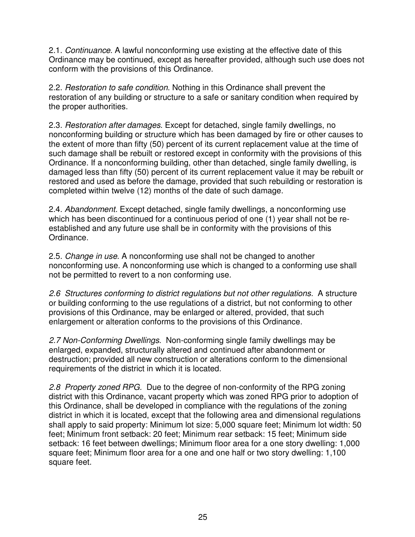2.1. *Continuance*. A lawful nonconforming use existing at the effective date of this Ordinance may be continued, except as hereafter provided, although such use does not conform with the provisions of this Ordinance.

2.2. *Restoration to safe condition*. Nothing in this Ordinance shall prevent the restoration of any building or structure to a safe or sanitary condition when required by the proper authorities.

2.3. *Restoration after damages*. Except for detached, single family dwellings, no nonconforming building or structure which has been damaged by fire or other causes to the extent of more than fifty (50) percent of its current replacement value at the time of such damage shall be rebuilt or restored except in conformity with the provisions of this Ordinance. If a nonconforming building, other than detached, single family dwelling, is damaged less than fifty (50) percent of its current replacement value it may be rebuilt or restored and used as before the damage, provided that such rebuilding or restoration is completed within twelve (12) months of the date of such damage.

2.4. *Abandonment.* Except detached, single family dwellings, a nonconforming use which has been discontinued for a continuous period of one (1) year shall not be reestablished and any future use shall be in conformity with the provisions of this Ordinance.

2.5. *Change in use*. A nonconforming use shall not be changed to another nonconforming use. A nonconforming use which is changed to a conforming use shall not be permitted to revert to a non conforming use.

*2.6 Structures conforming to district regulations but not other regulations.* A structure or building conforming to the use regulations of a district, but not conforming to other provisions of this Ordinance, may be enlarged or altered, provided, that such enlargement or alteration conforms to the provisions of this Ordinance.

*2.7 Non-Conforming Dwellings*. Non-conforming single family dwellings may be enlarged, expanded, structurally altered and continued after abandonment or destruction; provided all new construction or alterations conform to the dimensional requirements of the district in which it is located.

*2.8 Property zoned RPG.* Due to the degree of non-conformity of the RPG zoning district with this Ordinance, vacant property which was zoned RPG prior to adoption of this Ordinance, shall be developed in compliance with the regulations of the zoning district in which it is located, except that the following area and dimensional regulations shall apply to said property: Minimum lot size: 5,000 square feet; Minimum lot width: 50 feet; Minimum front setback: 20 feet; Minimum rear setback: 15 feet; Minimum side setback: 16 feet between dwellings; Minimum floor area for a one story dwelling: 1,000 square feet; Minimum floor area for a one and one half or two story dwelling: 1,100 square feet.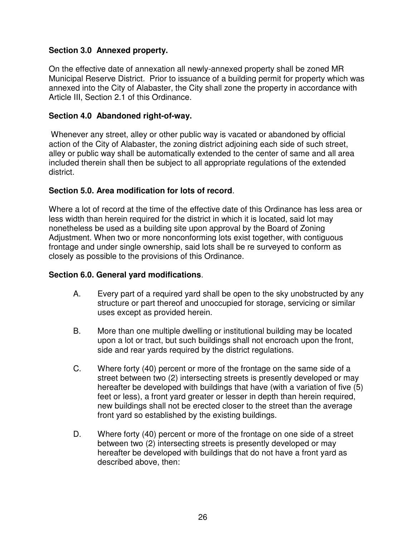## **Section 3.0 Annexed property.**

On the effective date of annexation all newly-annexed property shall be zoned MR Municipal Reserve District. Prior to issuance of a building permit for property which was annexed into the City of Alabaster, the City shall zone the property in accordance with Article III, Section 2.1 of this Ordinance.

#### **Section 4.0 Abandoned right-of-way.**

Whenever any street, alley or other public way is vacated or abandoned by official action of the City of Alabaster, the zoning district adjoining each side of such street, alley or public way shall be automatically extended to the center of same and all area included therein shall then be subject to all appropriate regulations of the extended district.

## **Section 5.0. Area modification for lots of record**.

Where a lot of record at the time of the effective date of this Ordinance has less area or less width than herein required for the district in which it is located, said lot may nonetheless be used as a building site upon approval by the Board of Zoning Adjustment. When two or more nonconforming lots exist together, with contiguous frontage and under single ownership, said lots shall be re surveyed to conform as closely as possible to the provisions of this Ordinance.

#### **Section 6.0. General yard modifications**.

- A. Every part of a required yard shall be open to the sky unobstructed by any structure or part thereof and unoccupied for storage, servicing or similar uses except as provided herein.
- B. More than one multiple dwelling or institutional building may be located upon a lot or tract, but such buildings shall not encroach upon the front, side and rear yards required by the district regulations.
- C. Where forty (40) percent or more of the frontage on the same side of a street between two (2) intersecting streets is presently developed or may hereafter be developed with buildings that have (with a variation of five (5) feet or less), a front yard greater or lesser in depth than herein required, new buildings shall not be erected closer to the street than the average front yard so established by the existing buildings.
- D. Where forty (40) percent or more of the frontage on one side of a street between two (2) intersecting streets is presently developed or may hereafter be developed with buildings that do not have a front yard as described above, then: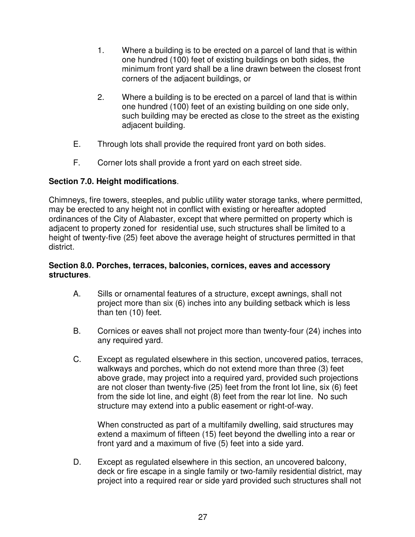- 1. Where a building is to be erected on a parcel of land that is within one hundred (100) feet of existing buildings on both sides, the minimum front yard shall be a line drawn between the closest front corners of the adjacent buildings, or
- 2. Where a building is to be erected on a parcel of land that is within one hundred (100) feet of an existing building on one side only, such building may be erected as close to the street as the existing adjacent building.
- E. Through lots shall provide the required front yard on both sides.
- F. Corner lots shall provide a front yard on each street side.

# **Section 7.0. Height modifications**.

Chimneys, fire towers, steeples, and public utility water storage tanks, where permitted, may be erected to any height not in conflict with existing or hereafter adopted ordinances of the City of Alabaster, except that where permitted on property which is adjacent to property zoned for residential use, such structures shall be limited to a height of twenty-five (25) feet above the average height of structures permitted in that district.

#### **Section 8.0. Porches, terraces, balconies, cornices, eaves and accessory structures**.

- A. Sills or ornamental features of a structure, except awnings, shall not project more than six (6) inches into any building setback which is less than ten (10) feet.
- B. Cornices or eaves shall not project more than twenty-four (24) inches into any required yard.
- C. Except as regulated elsewhere in this section, uncovered patios, terraces, walkways and porches, which do not extend more than three (3) feet above grade, may project into a required yard, provided such projections are not closer than twenty-five (25) feet from the front lot line, six (6) feet from the side lot line, and eight (8) feet from the rear lot line. No such structure may extend into a public easement or right-of-way.

When constructed as part of a multifamily dwelling, said structures may extend a maximum of fifteen (15) feet beyond the dwelling into a rear or front yard and a maximum of five (5) feet into a side yard.

D. Except as regulated elsewhere in this section, an uncovered balcony, deck or fire escape in a single family or two-family residential district, may project into a required rear or side yard provided such structures shall not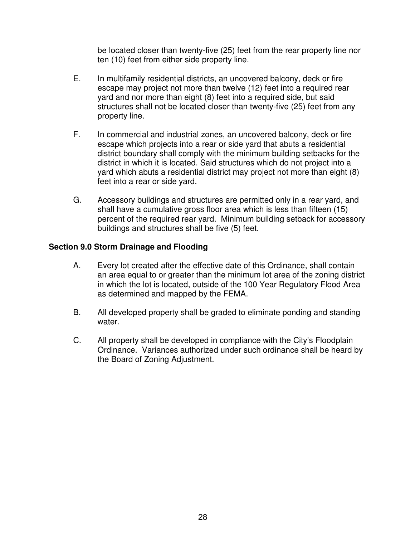be located closer than twenty-five (25) feet from the rear property line nor ten (10) feet from either side property line.

- E. In multifamily residential districts, an uncovered balcony, deck or fire escape may project not more than twelve (12) feet into a required rear yard and nor more than eight (8) feet into a required side, but said structures shall not be located closer than twenty-five (25) feet from any property line.
- F. In commercial and industrial zones, an uncovered balcony, deck or fire escape which projects into a rear or side yard that abuts a residential district boundary shall comply with the minimum building setbacks for the district in which it is located. Said structures which do not project into a yard which abuts a residential district may project not more than eight (8) feet into a rear or side yard.
- G. Accessory buildings and structures are permitted only in a rear yard, and shall have a cumulative gross floor area which is less than fifteen (15) percent of the required rear yard. Minimum building setback for accessory buildings and structures shall be five (5) feet.

#### **Section 9.0 Storm Drainage and Flooding**

- A. Every lot created after the effective date of this Ordinance, shall contain an area equal to or greater than the minimum lot area of the zoning district in which the lot is located, outside of the 100 Year Regulatory Flood Area as determined and mapped by the FEMA.
- B. All developed property shall be graded to eliminate ponding and standing water.
- C. All property shall be developed in compliance with the City's Floodplain Ordinance. Variances authorized under such ordinance shall be heard by the Board of Zoning Adjustment.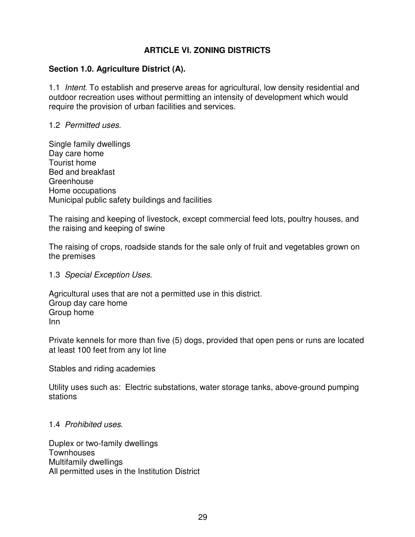## **ARTICLE VI. ZONING DISTRICTS**

#### **Section 1.0. Agriculture District (A).**

1.1 *Intent*. To establish and preserve areas for agricultural, low density residential and outdoor recreation uses without permitting an intensity of development which would require the provision of urban facilities and services.

#### 1.2 *Permitted uses*.

Single family dwellings Day care home Tourist home Bed and breakfast **Greenhouse** Home occupations Municipal public safety buildings and facilities

The raising and keeping of livestock, except commercial feed lots, poultry houses, and the raising and keeping of swine

The raising of crops, roadside stands for the sale only of fruit and vegetables grown on the premises

#### 1.3 *Special Exception Uses*.

Agricultural uses that are not a permitted use in this district. Group day care home Group home Inn

Private kennels for more than five (5) dogs, provided that open pens or runs are located at least 100 feet from any lot line

Stables and riding academies

Utility uses such as: Electric substations, water storage tanks, above-ground pumping stations

#### 1.4 *Prohibited uses*.

Duplex or two-family dwellings **Townhouses** Multifamily dwellings All permitted uses in the Institution District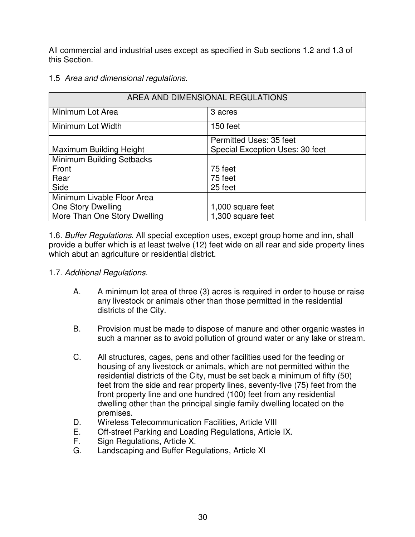All commercial and industrial uses except as specified in Sub sections 1.2 and 1.3 of this Section.

1.5 *Area and dimensional regulations*.

| AREA AND DIMENSIONAL REGULATIONS |                                 |  |  |
|----------------------------------|---------------------------------|--|--|
| Minimum Lot Area                 | 3 acres                         |  |  |
| Minimum Lot Width                | 150 feet                        |  |  |
|                                  | Permitted Uses: 35 feet         |  |  |
| Maximum Building Height          | Special Exception Uses: 30 feet |  |  |
| Minimum Building Setbacks        |                                 |  |  |
| Front                            | 75 feet                         |  |  |
| Rear                             | 75 feet                         |  |  |
| Side                             | 25 feet                         |  |  |
| Minimum Livable Floor Area       |                                 |  |  |
| One Story Dwelling               | 1,000 square feet               |  |  |
| More Than One Story Dwelling     | 1,300 square feet               |  |  |

1.6. *Buffer Regulations*. All special exception uses, except group home and inn, shall provide a buffer which is at least twelve (12) feet wide on all rear and side property lines which abut an agriculture or residential district.

- 1.7. *Additional Regulations*.
	- A. A minimum lot area of three (3) acres is required in order to house or raise any livestock or animals other than those permitted in the residential districts of the City.
	- B. Provision must be made to dispose of manure and other organic wastes in such a manner as to avoid pollution of ground water or any lake or stream.
	- C. All structures, cages, pens and other facilities used for the feeding or housing of any livestock or animals, which are not permitted within the residential districts of the City, must be set back a minimum of fifty (50) feet from the side and rear property lines, seventy-five (75) feet from the front property line and one hundred (100) feet from any residential dwelling other than the principal single family dwelling located on the premises.
	- D. Wireless Telecommunication Facilities, Article VIII
	- E. Off-street Parking and Loading Regulations, Article IX.
	- F. Sign Regulations, Article X.
	- G. Landscaping and Buffer Regulations, Article XI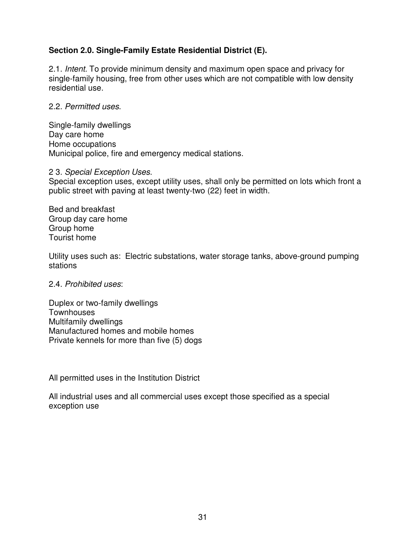# **Section 2.0. Single-Family Estate Residential District (E).**

2.1. *Intent.* To provide minimum density and maximum open space and privacy for single-family housing, free from other uses which are not compatible with low density residential use.

#### 2.2. *Permitted uses*.

Single-family dwellings Day care home Home occupations Municipal police, fire and emergency medical stations.

#### 2 3. *Special Exception Uses*.

Special exception uses, except utility uses, shall only be permitted on lots which front a public street with paving at least twenty-two (22) feet in width.

Bed and breakfast Group day care home Group home Tourist home

Utility uses such as: Electric substations, water storage tanks, above-ground pumping stations

#### 2.4. *Prohibited uses*:

Duplex or two-family dwellings **Townhouses** Multifamily dwellings Manufactured homes and mobile homes Private kennels for more than five (5) dogs

All permitted uses in the Institution District

All industrial uses and all commercial uses except those specified as a special exception use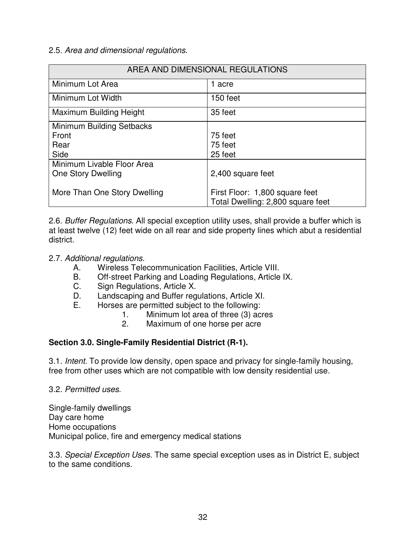### 2.5. *Area and dimensional regulations*.

| AREA AND DIMENSIONAL REGULATIONS |                                                                     |  |
|----------------------------------|---------------------------------------------------------------------|--|
| Minimum Lot Area                 | 1 acre                                                              |  |
| Minimum Lot Width                | 150 feet                                                            |  |
| Maximum Building Height          | 35 feet                                                             |  |
| Minimum Building Setbacks        |                                                                     |  |
| Front                            | 75 feet                                                             |  |
| Rear                             | 75 feet                                                             |  |
| Side                             | 25 feet                                                             |  |
| Minimum Livable Floor Area       |                                                                     |  |
| One Story Dwelling               | 2,400 square feet                                                   |  |
| More Than One Story Dwelling     | First Floor: 1,800 square feet<br>Total Dwelling: 2,800 square feet |  |

2.6. *Buffer Regulations*. All special exception utility uses, shall provide a buffer which is at least twelve (12) feet wide on all rear and side property lines which abut a residential district.

## 2.7. *Additional regulations.*

- A. Wireless Telecommunication Facilities, Article VIII.
- B. Off-street Parking and Loading Regulations, Article IX.
- C. Sign Regulations, Article X.
- D. Landscaping and Buffer regulations, Article XI.
- E. Horses are permitted subject to the following:
	- 1. Minimum lot area of three (3) acres
	- 2. Maximum of one horse per acre

# **Section 3.0. Single-Family Residential District (R-1).**

3.1. *Intent.* To provide low density, open space and privacy for single-family housing, free from other uses which are not compatible with low density residential use.

3.2. *Permitted uses*.

Single-family dwellings Day care home Home occupations Municipal police, fire and emergency medical stations

3.3. *Special Exception Uses*. The same special exception uses as in District E, subject to the same conditions.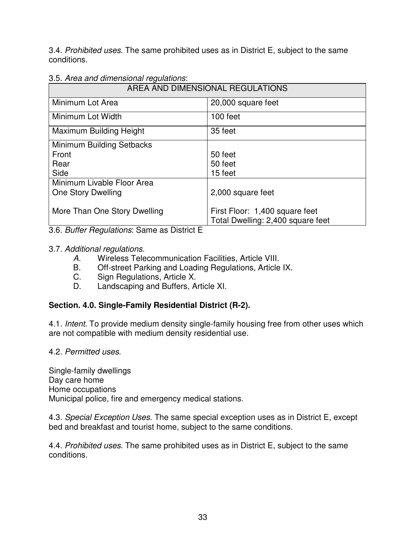3.4. *Prohibited uses*. The same prohibited uses as in District E, subject to the same conditions.

|  |  | 3.5. Area and dimensional regulations: |  |
|--|--|----------------------------------------|--|
|  |  |                                        |  |

| AREA AND DIMENSIONAL REGULATIONS |                                   |  |
|----------------------------------|-----------------------------------|--|
| Minimum Lot Area                 | 20,000 square feet                |  |
| Minimum Lot Width                | 100 feet                          |  |
| Maximum Building Height          | 35 feet                           |  |
| Minimum Building Setbacks        |                                   |  |
| Front                            | 50 feet                           |  |
| Rear                             | 50 feet                           |  |
| Side                             | 15 feet                           |  |
| Minimum Livable Floor Area       |                                   |  |
| One Story Dwelling               | 2,000 square feet                 |  |
|                                  |                                   |  |
| More Than One Story Dwelling     | First Floor: 1,400 square feet    |  |
|                                  | Total Dwelling: 2,400 square feet |  |

3.6. *Buffer Regulations*: Same as District E

# 3.7. *Additional regulations.*

- *A.* Wireless Telecommunication Facilities, Article VIII.
- B. Off-street Parking and Loading Regulations, Article IX.
- C. Sign Regulations, Article X.
- D. Landscaping and Buffers, Article XI.

# **Section. 4.0. Single-Family Residential District (R-2).**

4.1. *Intent*. To provide medium density single-family housing free from other uses which are not compatible with medium density residential use.

4.2. *Permitted uses*.

Single-family dwellings Day care home Home occupations Municipal police, fire and emergency medical stations.

4.3. *Special Exception Uses*. The same special exception uses as in District E, except bed and breakfast and tourist home, subject to the same conditions.

4.4. *Prohibited uses*. The same prohibited uses as in District E, subject to the same conditions.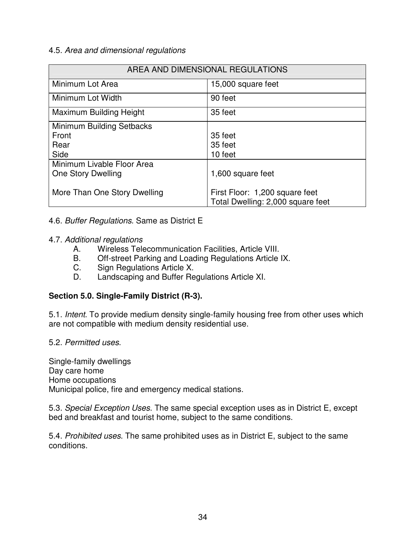### 4.5. *Area and dimensional regulations*

| AREA AND DIMENSIONAL REGULATIONS |                                                                     |  |
|----------------------------------|---------------------------------------------------------------------|--|
| Minimum Lot Area                 | 15,000 square feet                                                  |  |
| Minimum Lot Width                | 90 feet                                                             |  |
| Maximum Building Height          | 35 feet                                                             |  |
| Minimum Building Setbacks        |                                                                     |  |
| Front                            | 35 feet                                                             |  |
| Rear                             | 35 feet                                                             |  |
| Side                             | 10 feet                                                             |  |
| Minimum Livable Floor Area       |                                                                     |  |
| <b>One Story Dwelling</b>        | 1,600 square feet                                                   |  |
| More Than One Story Dwelling     | First Floor: 1,200 square feet<br>Total Dwelling: 2,000 square feet |  |

#### 4.6. *Buffer Regulations.* Same as District E

#### 4.7. *Additional regulations*

- A. Wireless Telecommunication Facilities, Article VIII.
- B. Off-street Parking and Loading Regulations Article IX.
- C. Sign Regulations Article X.
- D. Landscaping and Buffer Regulations Article XI.

### **Section 5.0. Single-Family District (R-3).**

5.1. *Intent*. To provide medium density single-family housing free from other uses which are not compatible with medium density residential use.

### 5.2. *Permitted uses*.

Single-family dwellings Day care home Home occupations Municipal police, fire and emergency medical stations.

5.3. *Special Exception Uses*. The same special exception uses as in District E, except bed and breakfast and tourist home, subject to the same conditions.

5.4. *Prohibited uses*. The same prohibited uses as in District E, subject to the same conditions.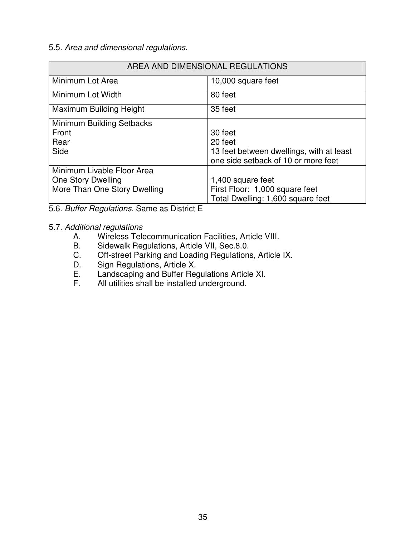## 5.5. *Area and dimensional regulations*.

| AREA AND DIMENSIONAL REGULATIONS                                                 |                                                                                                       |  |
|----------------------------------------------------------------------------------|-------------------------------------------------------------------------------------------------------|--|
| Minimum Lot Area                                                                 | 10,000 square feet                                                                                    |  |
| Minimum Lot Width                                                                | 80 feet                                                                                               |  |
| Maximum Building Height                                                          | 35 feet                                                                                               |  |
| Minimum Building Setbacks<br>Front<br>Rear<br>Side                               | 30 feet<br>20 feet<br>13 feet between dwellings, with at least<br>one side setback of 10 or more feet |  |
| Minimum Livable Floor Area<br>One Story Dwelling<br>More Than One Story Dwelling | 1,400 square feet<br>First Floor: 1,000 square feet<br>Total Dwelling: 1,600 square feet              |  |

5.6. *Buffer Regulations*. Same as District E

## 5.7. *Additional regulations*

- A. Wireless Telecommunication Facilities, Article VIII.<br>B. Sidewalk Regulations, Article VII, Sec.8.0.
- Sidewalk Regulations, Article VII, Sec.8.0.
- C. Off-street Parking and Loading Regulations, Article IX.
- D. Sign Regulations, Article X.<br>E. Landscaping and Buffer Red
- E. Landscaping and Buffer Regulations Article XI.<br>F. All utilities shall be installed underground.
- All utilities shall be installed underground.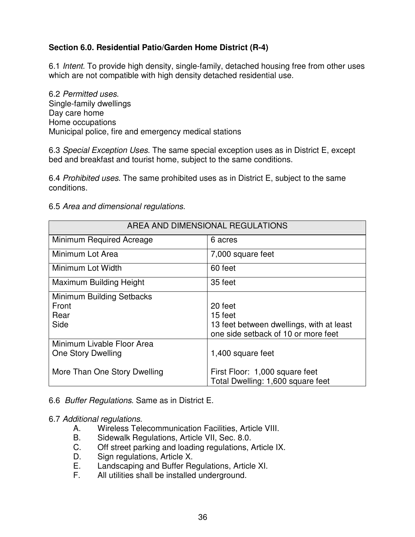# **Section 6.0. Residential Patio/Garden Home District (R-4)**

6.1 *Intent*. To provide high density, single-family, detached housing free from other uses which are not compatible with high density detached residential use.

6.2 *Permitted uses*. Single-family dwellings Day care home Home occupations Municipal police, fire and emergency medical stations

6.3 *Special Exception Uses*. The same special exception uses as in District E, except bed and breakfast and tourist home, subject to the same conditions.

6.4 *Prohibited uses*. The same prohibited uses as in District E, subject to the same conditions.

### 6.5 *Area and dimensional regulations*.

| AREA AND DIMENSIONAL REGULATIONS                   |                                                                                                       |  |
|----------------------------------------------------|-------------------------------------------------------------------------------------------------------|--|
| Minimum Required Acreage                           | 6 acres                                                                                               |  |
| Minimum Lot Area                                   | 7,000 square feet                                                                                     |  |
| Minimum Lot Width                                  | 60 feet                                                                                               |  |
| <b>Maximum Building Height</b>                     | 35 feet                                                                                               |  |
| Minimum Building Setbacks<br>Front<br>Rear<br>Side | 20 feet<br>15 feet<br>13 feet between dwellings, with at least<br>one side setback of 10 or more feet |  |
| Minimum Livable Floor Area<br>One Story Dwelling   | 1,400 square feet                                                                                     |  |
| More Than One Story Dwelling                       | First Floor: 1,000 square feet<br>Total Dwelling: 1,600 square feet                                   |  |

6.6 *Buffer Regulations*. Same as in District E.

### 6.7 *Additional regulations*.

- A. Wireless Telecommunication Facilities, Article VIII.
- B. Sidewalk Regulations, Article VII, Sec. 8.0.
- C. Off street parking and loading regulations, Article IX.
- D. Sign regulations, Article X.
- E. Landscaping and Buffer Regulations, Article XI.
- F. All utilities shall be installed underground.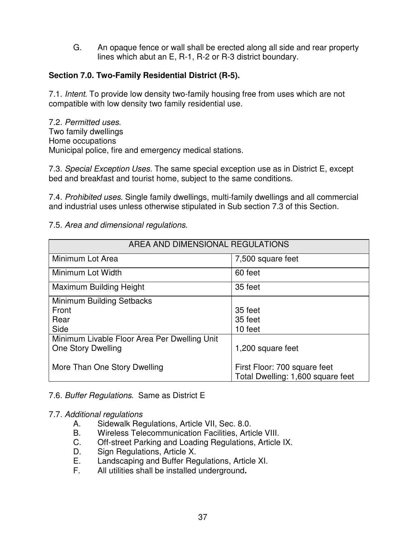G. An opaque fence or wall shall be erected along all side and rear property lines which abut an E, R-1, R-2 or R-3 district boundary.

# **Section 7.0. Two-Family Residential District (R-5).**

7.1. *Intent*. To provide low density two-family housing free from uses which are not compatible with low density two family residential use.

7.2. *Permitted uses*. Two family dwellings Home occupations Municipal police, fire and emergency medical stations.

7.3. *Special Exception Uses.* The same special exception use as in District E, except bed and breakfast and tourist home, subject to the same conditions.

7.4. *Prohibited uses*. Single family dwellings, multi-family dwellings and all commercial and industrial uses unless otherwise stipulated in Sub section 7.3 of this Section.

# 7.5. *Area and dimensional regulations*.

| AREA AND DIMENSIONAL REGULATIONS             |                                   |  |
|----------------------------------------------|-----------------------------------|--|
| Minimum Lot Area                             | 7,500 square feet                 |  |
| Minimum Lot Width                            | 60 feet                           |  |
| Maximum Building Height                      | 35 feet                           |  |
| Minimum Building Setbacks                    |                                   |  |
| Front                                        | 35 feet                           |  |
| Rear                                         | 35 feet                           |  |
| Side                                         | 10 feet                           |  |
| Minimum Livable Floor Area Per Dwelling Unit |                                   |  |
| <b>One Story Dwelling</b>                    | 1,200 square feet                 |  |
|                                              |                                   |  |
| More Than One Story Dwelling                 | First Floor: 700 square feet      |  |
|                                              | Total Dwelling: 1,600 square feet |  |

# 7.6. *Buffer Regulations*. Same as District E

### 7.7. *Additional regulations*

- A. Sidewalk Regulations, Article VII, Sec. 8.0.<br>B. Wireless Telecommunication Facilities. Artic
- Wireless Telecommunication Facilities, Article VIII.
- C. Off-street Parking and Loading Regulations, Article IX.
- D. Sign Regulations, Article X.
- E. Landscaping and Buffer Regulations, Article XI.<br>F. All utilities shall be installed underground.
- F. All utilities shall be installed underground**.**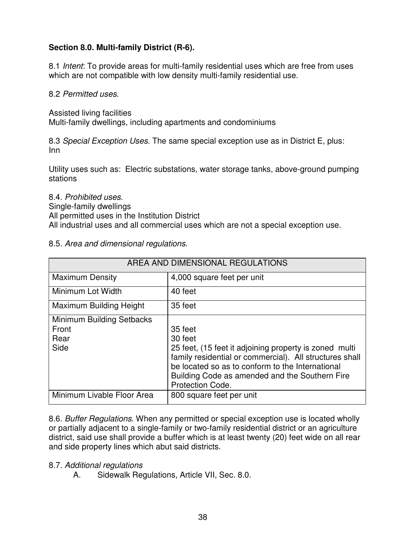# **Section 8.0. Multi-family District (R-6).**

8.1 *Intent*: To provide areas for multi-family residential uses which are free from uses which are not compatible with low density multi-family residential use.

8.2 *Permitted uses*.

Assisted living facilities

Multi-family dwellings, including apartments and condominiums

8.3 *Special Exception Uses*. The same special exception use as in District E, plus: Inn

Utility uses such as: Electric substations, water storage tanks, above-ground pumping stations

#### 8.4. *Prohibited uses*.

Single-family dwellings

All permitted uses in the Institution District

All industrial uses and all commercial uses which are not a special exception use.

### 8.5. *Area and dimensional regulations*.

| AREA AND DIMENSIONAL REGULATIONS                   |                                                                                                                                                                                                                                                                          |  |
|----------------------------------------------------|--------------------------------------------------------------------------------------------------------------------------------------------------------------------------------------------------------------------------------------------------------------------------|--|
| <b>Maximum Density</b>                             | 4,000 square feet per unit                                                                                                                                                                                                                                               |  |
| Minimum Lot Width                                  | 40 feet                                                                                                                                                                                                                                                                  |  |
| <b>Maximum Building Height</b>                     | 35 feet                                                                                                                                                                                                                                                                  |  |
| Minimum Building Setbacks<br>Front<br>Rear<br>Side | 35 feet<br>30 feet<br>25 feet, (15 feet it adjoining property is zoned multi<br>family residential or commercial). All structures shall<br>be located so as to conform to the International<br>Building Code as amended and the Southern Fire<br><b>Protection Code.</b> |  |
| Minimum Livable Floor Area                         | 800 square feet per unit                                                                                                                                                                                                                                                 |  |

8.6. *Buffer Regulations*. When any permitted or special exception use is located wholly or partially adjacent to a single-family or two-family residential district or an agriculture district, said use shall provide a buffer which is at least twenty (20) feet wide on all rear and side property lines which abut said districts.

### 8.7. *Additional regulations*

A. Sidewalk Regulations, Article VII, Sec. 8.0.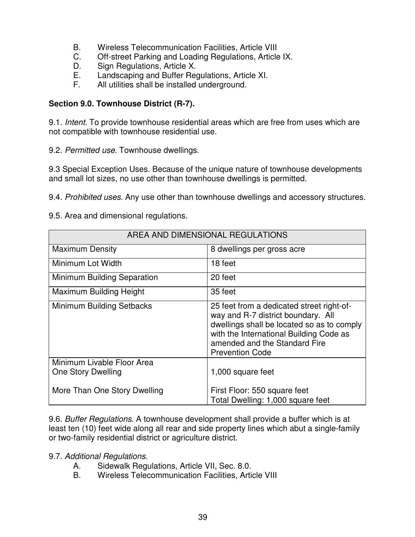- B. Wireless Telecommunication Facilities, Article VIII
- C. Off-street Parking and Loading Regulations, Article IX.
- D. Sign Regulations, Article X.<br>E. Landscaping and Buffer Req
- Landscaping and Buffer Regulations, Article XI.
- F. All utilities shall be installed underground.

# **Section 9.0. Townhouse District (R-7).**

9.1. *Intent.* To provide townhouse residential areas which are free from uses which are not compatible with townhouse residential use.

9.2. *Permitted use.* Townhouse dwellings.

9.3 Special Exception Uses. Because of the unique nature of townhouse developments and small lot sizes, no use other than townhouse dwellings is permitted.

9.4. *Prohibited uses*. Any use other than townhouse dwellings and accessory structures.

## 9.5. Area and dimensional regulations.

| AREA AND DIMENSIONAL REGULATIONS                 |                                                                                                                                                                                                                                     |  |
|--------------------------------------------------|-------------------------------------------------------------------------------------------------------------------------------------------------------------------------------------------------------------------------------------|--|
| <b>Maximum Density</b>                           | 8 dwellings per gross acre                                                                                                                                                                                                          |  |
| Minimum Lot Width                                | 18 feet                                                                                                                                                                                                                             |  |
| Minimum Building Separation                      | 20 feet                                                                                                                                                                                                                             |  |
| <b>Maximum Building Height</b>                   | 35 feet                                                                                                                                                                                                                             |  |
| Minimum Building Setbacks                        | 25 feet from a dedicated street right-of-<br>way and R-7 district boundary. All<br>dwellings shall be located so as to comply<br>with the International Building Code as<br>amended and the Standard Fire<br><b>Prevention Code</b> |  |
| Minimum Livable Floor Area<br>One Story Dwelling | 1,000 square feet                                                                                                                                                                                                                   |  |
| More Than One Story Dwelling                     | First Floor: 550 square feet<br>Total Dwelling: 1,000 square feet                                                                                                                                                                   |  |

9.6. *Buffer Regulations*. A townhouse development shall provide a buffer which is at least ten (10) feet wide along all rear and side property lines which abut a single-family or two-family residential district or agriculture district.

# 9.7. *Additional Regulations*.

- A. Sidewalk Regulations, Article VII, Sec. 8.0.
- B. Wireless Telecommunication Facilities, Article VIII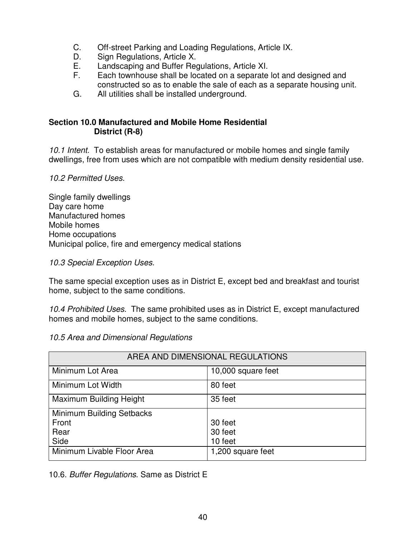- C. Off-street Parking and Loading Regulations, Article IX.
- D. Sign Regulations, Article X.
- E. Landscaping and Buffer Regulations, Article XI.
- Each townhouse shall be located on a separate lot and designed and constructed so as to enable the sale of each as a separate housing unit.
- G. All utilities shall be installed underground.

## **Section 10.0 Manufactured and Mobile Home Residential District (R-8)**

*10.1 Intent.* To establish areas for manufactured or mobile homes and single family dwellings, free from uses which are not compatible with medium density residential use.

# *10.2 Permitted Uses.*

Single family dwellings Day care home Manufactured homes Mobile homes Home occupations Municipal police, fire and emergency medical stations

# *10.3 Special Exception Uses.*

The same special exception uses as in District E, except bed and breakfast and tourist home, subject to the same conditions.

*10.4 Prohibited Uses.* The same prohibited uses as in District E, except manufactured homes and mobile homes, subject to the same conditions.

# *10.5 Area and Dimensional Regulations*

| AREA AND DIMENSIONAL REGULATIONS |                    |  |
|----------------------------------|--------------------|--|
| Minimum Lot Area                 | 10,000 square feet |  |
| Minimum Lot Width                | 80 feet            |  |
| Maximum Building Height          | 35 feet            |  |
| Minimum Building Setbacks        |                    |  |
| Front                            | 30 feet            |  |
| Rear                             | 30 feet            |  |
| Side                             | 10 feet            |  |
| Minimum Livable Floor Area       | 1,200 square feet  |  |

10.6. *Buffer Regulations*. Same as District E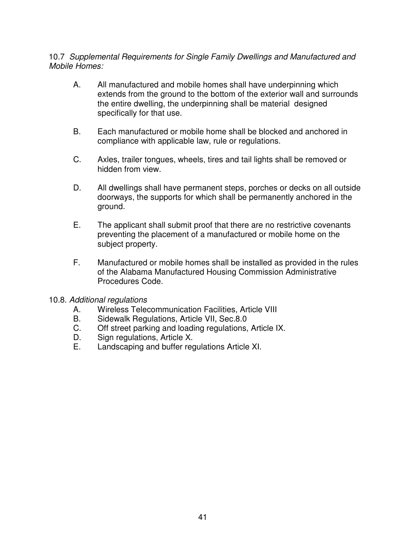## 10.7 *Supplemental Requirements for Single Family Dwellings and Manufactured and Mobile Homes:*

- A. All manufactured and mobile homes shall have underpinning which extends from the ground to the bottom of the exterior wall and surrounds the entire dwelling, the underpinning shall be material designed specifically for that use.
- B. Each manufactured or mobile home shall be blocked and anchored in compliance with applicable law, rule or regulations.
- C. Axles, trailer tongues, wheels, tires and tail lights shall be removed or hidden from view.
- D. All dwellings shall have permanent steps, porches or decks on all outside doorways, the supports for which shall be permanently anchored in the ground.
- E. The applicant shall submit proof that there are no restrictive covenants preventing the placement of a manufactured or mobile home on the subject property.
- F. Manufactured or mobile homes shall be installed as provided in the rules of the Alabama Manufactured Housing Commission Administrative Procedures Code.
- 10.8. *Additional regulations*
	- A. Wireless Telecommunication Facilities, Article VIII<br>B. Sidewalk Requiations, Article VII, Sec.8.0
	- Sidewalk Regulations, Article VII, Sec.8.0
	- C. Off street parking and loading regulations, Article IX.
	- D. Sign regulations, Article X.
	- E. Landscaping and buffer regulations Article XI.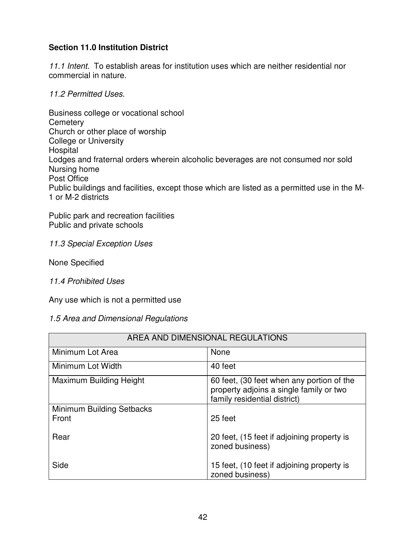# **Section 11.0 Institution District**

*11.1 Intent.* To establish areas for institution uses which are neither residential nor commercial in nature.

*11.2 Permitted Uses.*

Business college or vocational school **Cemetery** Church or other place of worship College or University **Hospital** Lodges and fraternal orders wherein alcoholic beverages are not consumed nor sold Nursing home Post Office Public buildings and facilities, except those which are listed as a permitted use in the M-1 or M-2 districts

Public park and recreation facilities Public and private schools

### *11.3 Special Exception Uses*

None Specified

### *11.4 Prohibited Uses*

Any use which is not a permitted use

### *1.5 Area and Dimensional Regulations*

| AREA AND DIMENSIONAL REGULATIONS   |                                                                                                                      |  |
|------------------------------------|----------------------------------------------------------------------------------------------------------------------|--|
| Minimum Lot Area                   | None                                                                                                                 |  |
| Minimum Lot Width                  | 40 feet                                                                                                              |  |
| Maximum Building Height            | 60 feet, (30 feet when any portion of the<br>property adjoins a single family or two<br>family residential district) |  |
| Minimum Building Setbacks<br>Front | 25 feet                                                                                                              |  |
| Rear                               | 20 feet, (15 feet if adjoining property is<br>zoned business)                                                        |  |
| Side                               | 15 feet, (10 feet if adjoining property is<br>zoned business)                                                        |  |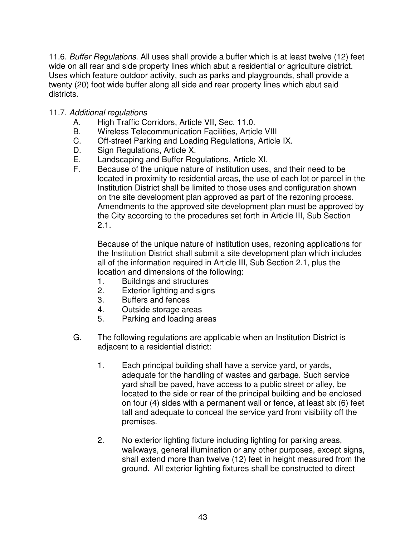11.6. *Buffer Regulations*. All uses shall provide a buffer which is at least twelve (12) feet wide on all rear and side property lines which abut a residential or agriculture district. Uses which feature outdoor activity, such as parks and playgrounds, shall provide a twenty (20) foot wide buffer along all side and rear property lines which abut said districts.

## 11.7. *Additional regulations*

- A. High Traffic Corridors, Article VII, Sec. 11.0.
- B. Wireless Telecommunication Facilities, Article VIII
- C. Off-street Parking and Loading Regulations, Article IX.
- D. Sign Regulations, Article X.
- E. Landscaping and Buffer Regulations, Article XI.
- F. Because of the unique nature of institution uses, and their need to be located in proximity to residential areas, the use of each lot or parcel in the Institution District shall be limited to those uses and configuration shown on the site development plan approved as part of the rezoning process. Amendments to the approved site development plan must be approved by the City according to the procedures set forth in Article III, Sub Section 2.1.

Because of the unique nature of institution uses, rezoning applications for the Institution District shall submit a site development plan which includes all of the information required in Article III, Sub Section 2.1, plus the location and dimensions of the following:

- 1. Buildings and structures
- 2. Exterior lighting and signs
- 3. Buffers and fences
- 4. Outside storage areas
- 5. Parking and loading areas
- G. The following regulations are applicable when an Institution District is adjacent to a residential district:
	- 1. Each principal building shall have a service yard, or yards, adequate for the handling of wastes and garbage. Such service yard shall be paved, have access to a public street or alley, be located to the side or rear of the principal building and be enclosed on four (4) sides with a permanent wall or fence, at least six (6) feet tall and adequate to conceal the service yard from visibility off the premises.
	- 2. No exterior lighting fixture including lighting for parking areas, walkways, general illumination or any other purposes, except signs, shall extend more than twelve (12) feet in height measured from the ground. All exterior lighting fixtures shall be constructed to direct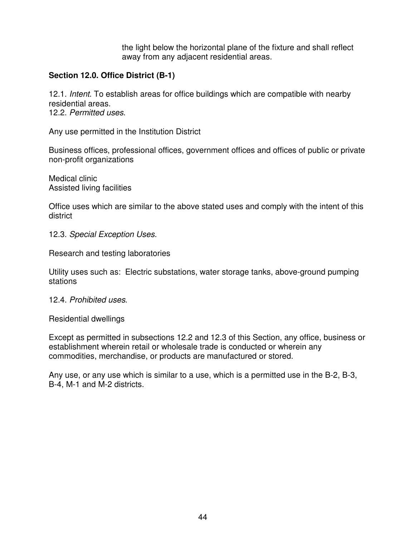the light below the horizontal plane of the fixture and shall reflect away from any adjacent residential areas.

# **Section 12.0. Office District (B-1)**

12.1. *Intent*. To establish areas for office buildings which are compatible with nearby residential areas. 12.2. *Permitted uses*.

Any use permitted in the Institution District

Business offices, professional offices, government offices and offices of public or private non-profit organizations

Medical clinic Assisted living facilities

Office uses which are similar to the above stated uses and comply with the intent of this district

12.3. *Special Exception Uses*.

Research and testing laboratories

Utility uses such as: Electric substations, water storage tanks, above-ground pumping stations

#### 12.4. *Prohibited uses*.

Residential dwellings

Except as permitted in subsections 12.2 and 12.3 of this Section, any office, business or establishment wherein retail or wholesale trade is conducted or wherein any commodities, merchandise, or products are manufactured or stored.

Any use, or any use which is similar to a use, which is a permitted use in the B-2, B-3, B-4, M-1 and M-2 districts.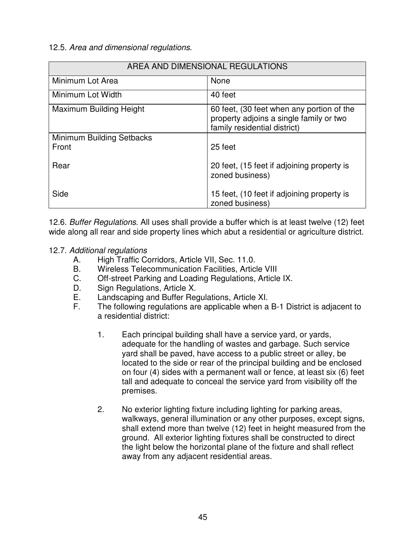## 12.5. *Area and dimensional regulations*.

| AREA AND DIMENSIONAL REGULATIONS   |                                                                                                                      |  |
|------------------------------------|----------------------------------------------------------------------------------------------------------------------|--|
| Minimum Lot Area                   | None                                                                                                                 |  |
| Minimum Lot Width                  | 40 feet                                                                                                              |  |
| <b>Maximum Building Height</b>     | 60 feet, (30 feet when any portion of the<br>property adjoins a single family or two<br>family residential district) |  |
| Minimum Building Setbacks<br>Front | 25 feet                                                                                                              |  |
| Rear                               | 20 feet, (15 feet if adjoining property is<br>zoned business)                                                        |  |
| Side                               | 15 feet, (10 feet if adjoining property is<br>zoned business)                                                        |  |

12.6. *Buffer Regulations*. All uses shall provide a buffer which is at least twelve (12) feet wide along all rear and side property lines which abut a residential or agriculture district.

## 12.7. *Additional regulations*

- A. High Traffic Corridors, Article VII, Sec. 11.0.
- B. Wireless Telecommunication Facilities, Article VIII
- C. Off-street Parking and Loading Regulations, Article IX.
- D. Sign Regulations, Article X.<br>E. Landscaping and Buffer Req
- E. Landscaping and Buffer Regulations, Article XI.<br>E. The following regulations are applicable when a
- The following regulations are applicable when a B-1 District is adjacent to a residential district:
	- 1. Each principal building shall have a service yard, or yards, adequate for the handling of wastes and garbage. Such service yard shall be paved, have access to a public street or alley, be located to the side or rear of the principal building and be enclosed on four (4) sides with a permanent wall or fence, at least six (6) feet tall and adequate to conceal the service yard from visibility off the premises.
	- 2. No exterior lighting fixture including lighting for parking areas, walkways, general illumination or any other purposes, except signs, shall extend more than twelve (12) feet in height measured from the ground. All exterior lighting fixtures shall be constructed to direct the light below the horizontal plane of the fixture and shall reflect away from any adjacent residential areas.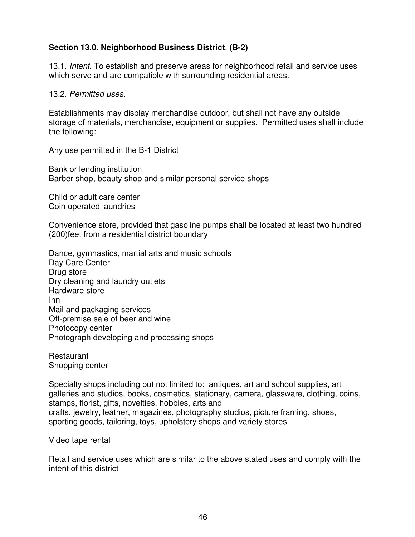# **Section 13.0. Neighborhood Business District**. **(B-2)**

13.1. *Intent*. To establish and preserve areas for neighborhood retail and service uses which serve and are compatible with surrounding residential areas.

#### 13.2. *Permitted uses*.

Establishments may display merchandise outdoor, but shall not have any outside storage of materials, merchandise, equipment or supplies. Permitted uses shall include the following:

Any use permitted in the B-1 District

Bank or lending institution Barber shop, beauty shop and similar personal service shops

Child or adult care center Coin operated laundries

Convenience store, provided that gasoline pumps shall be located at least two hundred (200)feet from a residential district boundary

Dance, gymnastics, martial arts and music schools Day Care Center Drug store Dry cleaning and laundry outlets Hardware store Inn Mail and packaging services Off-premise sale of beer and wine Photocopy center Photograph developing and processing shops

Restaurant Shopping center

Specialty shops including but not limited to: antiques, art and school supplies, art galleries and studios, books, cosmetics, stationary, camera, glassware, clothing, coins, stamps, florist, gifts, novelties, hobbies, arts and crafts, jewelry, leather, magazines, photography studios, picture framing, shoes, sporting goods, tailoring, toys, upholstery shops and variety stores

Video tape rental

Retail and service uses which are similar to the above stated uses and comply with the intent of this district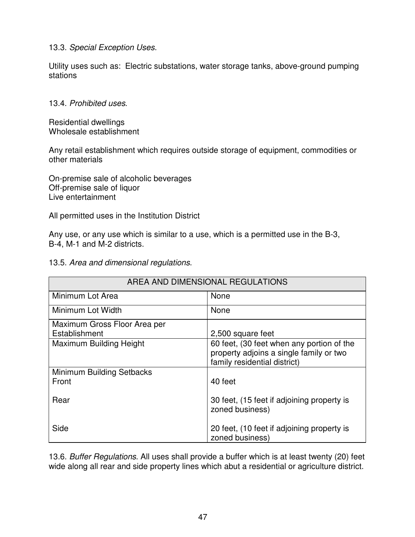## 13.3. *Special Exception Uses*.

Utility uses such as: Electric substations, water storage tanks, above-ground pumping stations

## 13.4. *Prohibited uses*.

Residential dwellings Wholesale establishment

Any retail establishment which requires outside storage of equipment, commodities or other materials

On-premise sale of alcoholic beverages Off-premise sale of liquor Live entertainment

All permitted uses in the Institution District

Any use, or any use which is similar to a use, which is a permitted use in the B-3, B-4, M-1 and M-2 districts.

13.5. *Area and dimensional regulations*.

| AREA AND DIMENSIONAL REGULATIONS |                                                                                                                      |
|----------------------------------|----------------------------------------------------------------------------------------------------------------------|
| Minimum Lot Area                 | None                                                                                                                 |
| Minimum Lot Width                | None                                                                                                                 |
| Maximum Gross Floor Area per     |                                                                                                                      |
| Establishment                    | 2,500 square feet                                                                                                    |
| Maximum Building Height          | 60 feet, (30 feet when any portion of the<br>property adjoins a single family or two<br>family residential district) |
| Minimum Building Setbacks        |                                                                                                                      |
| Front                            | 40 feet                                                                                                              |
| Rear                             | 30 feet, (15 feet if adjoining property is<br>zoned business)                                                        |
| Side                             | 20 feet, (10 feet if adjoining property is<br>zoned business)                                                        |

13.6. *Buffer Regulations*. All uses shall provide a buffer which is at least twenty (20) feet wide along all rear and side property lines which abut a residential or agriculture district.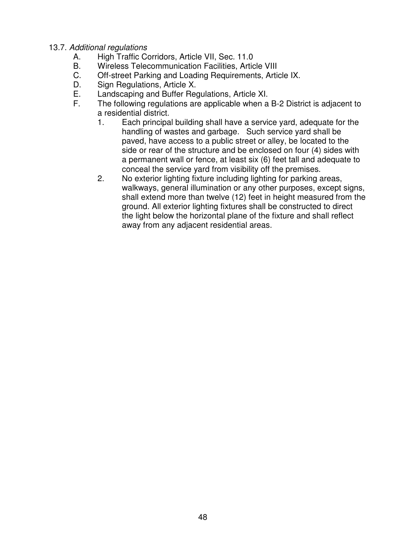## 13.7. *Additional regulations*

- A. High Traffic Corridors, Article VII, Sec. 11.0
- B. Wireless Telecommunication Facilities, Article VIII<br>C. Off-street Parking and Loading Requirements. Artic
- Off-street Parking and Loading Requirements, Article IX.
- D. Sign Regulations, Article X.
- E. Landscaping and Buffer Regulations, Article XI.
- The following regulations are applicable when a B-2 District is adjacent to a residential district.
	- 1. Each principal building shall have a service yard, adequate for the handling of wastes and garbage. Such service yard shall be paved, have access to a public street or alley, be located to the side or rear of the structure and be enclosed on four (4) sides with a permanent wall or fence, at least six (6) feet tall and adequate to conceal the service yard from visibility off the premises.
	- 2. No exterior lighting fixture including lighting for parking areas, walkways, general illumination or any other purposes, except signs, shall extend more than twelve (12) feet in height measured from the ground. All exterior lighting fixtures shall be constructed to direct the light below the horizontal plane of the fixture and shall reflect away from any adjacent residential areas.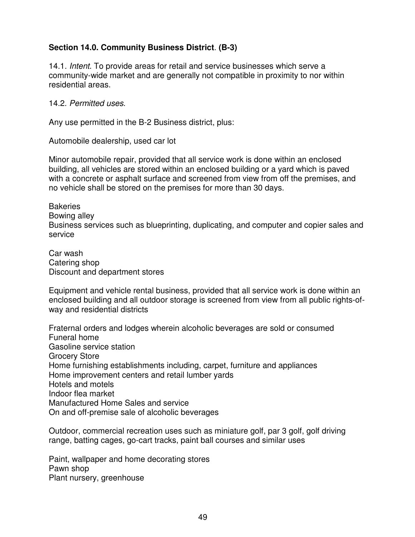# **Section 14.0. Community Business District**. **(B-3)**

14.1*. Intent*. To provide areas for retail and service businesses which serve a community-wide market and are generally not compatible in proximity to nor within residential areas.

#### 14.2. *Permitted uses*.

Any use permitted in the B-2 Business district, plus:

Automobile dealership, used car lot

Minor automobile repair, provided that all service work is done within an enclosed building, all vehicles are stored within an enclosed building or a yard which is paved with a concrete or asphalt surface and screened from view from off the premises, and no vehicle shall be stored on the premises for more than 30 days.

**Bakeries** Bowing alley Business services such as blueprinting, duplicating, and computer and copier sales and service

Car wash Catering shop Discount and department stores

Equipment and vehicle rental business, provided that all service work is done within an enclosed building and all outdoor storage is screened from view from all public rights-ofway and residential districts

Fraternal orders and lodges wherein alcoholic beverages are sold or consumed Funeral home Gasoline service station Grocery Store Home furnishing establishments including, carpet, furniture and appliances Home improvement centers and retail lumber yards Hotels and motels Indoor flea market Manufactured Home Sales and service On and off-premise sale of alcoholic beverages

Outdoor, commercial recreation uses such as miniature golf, par 3 golf, golf driving range, batting cages, go-cart tracks, paint ball courses and similar uses

Paint, wallpaper and home decorating stores Pawn shop Plant nursery, greenhouse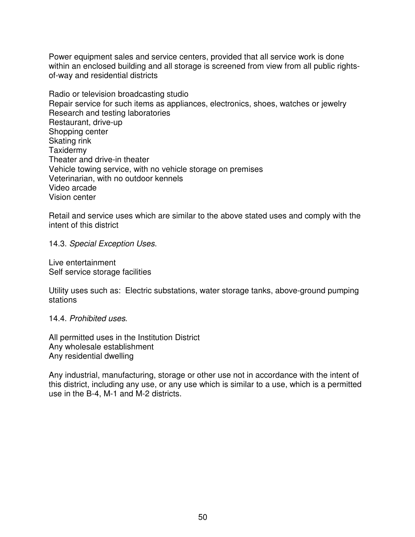Power equipment sales and service centers, provided that all service work is done within an enclosed building and all storage is screened from view from all public rightsof-way and residential districts

Radio or television broadcasting studio Repair service for such items as appliances, electronics, shoes, watches or jewelry Research and testing laboratories Restaurant, drive-up Shopping center Skating rink **Taxidermy** Theater and drive-in theater Vehicle towing service, with no vehicle storage on premises Veterinarian, with no outdoor kennels Video arcade Vision center

Retail and service uses which are similar to the above stated uses and comply with the intent of this district

14.3. *Special Exception Uses*.

Live entertainment Self service storage facilities

Utility uses such as: Electric substations, water storage tanks, above-ground pumping stations

14.4. *Prohibited uses*.

All permitted uses in the Institution District Any wholesale establishment Any residential dwelling

Any industrial, manufacturing, storage or other use not in accordance with the intent of this district, including any use, or any use which is similar to a use, which is a permitted use in the B-4, M-1 and M-2 districts.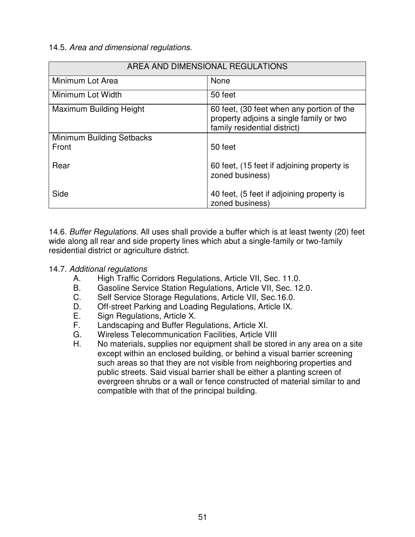## 14.5. *Area and dimensional regulations*.

| AREA AND DIMENSIONAL REGULATIONS   |                                                                                                                      |
|------------------------------------|----------------------------------------------------------------------------------------------------------------------|
| Minimum Lot Area                   | None                                                                                                                 |
| Minimum Lot Width                  | 50 feet                                                                                                              |
| <b>Maximum Building Height</b>     | 60 feet, (30 feet when any portion of the<br>property adjoins a single family or two<br>family residential district) |
| Minimum Building Setbacks<br>Front | 50 feet                                                                                                              |
| Rear                               | 60 feet, (15 feet if adjoining property is<br>zoned business)                                                        |
| Side                               | 40 feet, (5 feet if adjoining property is<br>zoned business)                                                         |

14.6. *Buffer Regulations*. All uses shall provide a buffer which is at least twenty (20) feet wide along all rear and side property lines which abut a single-family or two-family residential district or agriculture district.

### 14.7. *Additional regulations*

- A. High Traffic Corridors Regulations, Article VII, Sec. 11.0.
- B. Gasoline Service Station Regulations, Article VII, Sec. 12.0.
- C. Self Service Storage Regulations, Article VII, Sec.16.0.
- D. Off-street Parking and Loading Regulations, Article IX.
- E. Sign Regulations, Article X.<br>F. Landscaping and Buffer Reg
- Landscaping and Buffer Regulations, Article XI.
- G. Wireless Telecommunication Facilities, Article VIII<br>H. No materials, supplies nor equipment shall be store
- No materials, supplies nor equipment shall be stored in any area on a site except within an enclosed building, or behind a visual barrier screening such areas so that they are not visible from neighboring properties and public streets. Said visual barrier shall be either a planting screen of evergreen shrubs or a wall or fence constructed of material similar to and compatible with that of the principal building.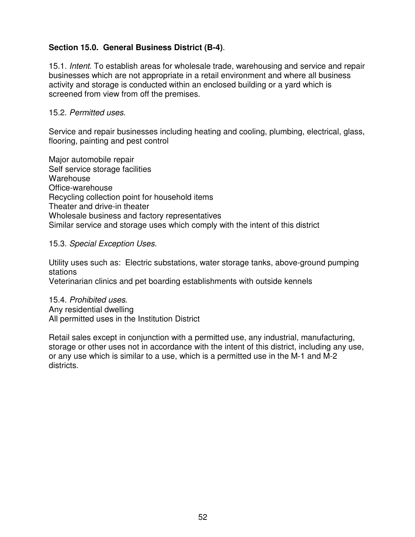# **Section 15.0. General Business District (B-4)**.

15.1. *Intent*. To establish areas for wholesale trade, warehousing and service and repair businesses which are not appropriate in a retail environment and where all business activity and storage is conducted within an enclosed building or a yard which is screened from view from off the premises.

### 15.2. *Permitted uses*.

Service and repair businesses including heating and cooling, plumbing, electrical, glass, flooring, painting and pest control

Major automobile repair Self service storage facilities **Warehouse** Office-warehouse Recycling collection point for household items Theater and drive-in theater Wholesale business and factory representatives Similar service and storage uses which comply with the intent of this district

### 15.3. *Special Exception Uses*.

Utility uses such as: Electric substations, water storage tanks, above-ground pumping stations

Veterinarian clinics and pet boarding establishments with outside kennels

#### 15.4. *Prohibited uses*. Any residential dwelling All permitted uses in the Institution District

Retail sales except in conjunction with a permitted use, any industrial, manufacturing, storage or other uses not in accordance with the intent of this district, including any use, or any use which is similar to a use, which is a permitted use in the M-1 and M-2 districts.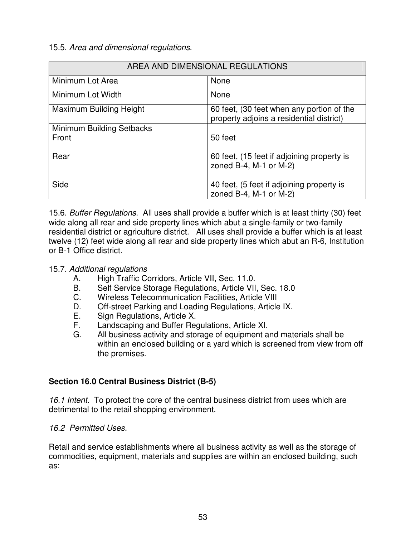## 15.5. *Area and dimensional regulations*.

| AREA AND DIMENSIONAL REGULATIONS |                                                                                       |
|----------------------------------|---------------------------------------------------------------------------------------|
| Minimum Lot Area                 | None                                                                                  |
| Minimum Lot Width                | None                                                                                  |
| Maximum Building Height          | 60 feet, (30 feet when any portion of the<br>property adjoins a residential district) |
| <b>Minimum Building Setbacks</b> |                                                                                       |
| Front                            | 50 feet                                                                               |
| Rear                             | 60 feet, (15 feet if adjoining property is<br>zoned B-4, M-1 or M-2)                  |
| Side                             | 40 feet, (5 feet if adjoining property is<br>zoned B-4, M-1 or M-2)                   |

15.6. *Buffer Regulations*. All uses shall provide a buffer which is at least thirty (30) feet wide along all rear and side property lines which abut a single-family or two-family residential district or agriculture district. All uses shall provide a buffer which is at least twelve (12) feet wide along all rear and side property lines which abut an R-6, Institution or B-1 Office district.

## 15.7. *Additional regulations*

- A. High Traffic Corridors, Article VII, Sec. 11.0.
- B. Self Service Storage Regulations, Article VII, Sec. 18.0
- C. Wireless Telecommunication Facilities, Article VIII
- D. Off-street Parking and Loading Regulations, Article IX.
- E. Sign Regulations, Article X.
- F. Landscaping and Buffer Regulations, Article XI.
- G. All business activity and storage of equipment and materials shall be within an enclosed building or a yard which is screened from view from off the premises.

# **Section 16.0 Central Business District (B-5)**

*16.1 Intent.* To protect the core of the central business district from uses which are detrimental to the retail shopping environment.

### *16.2 Permitted Uses.*

Retail and service establishments where all business activity as well as the storage of commodities, equipment, materials and supplies are within an enclosed building, such as: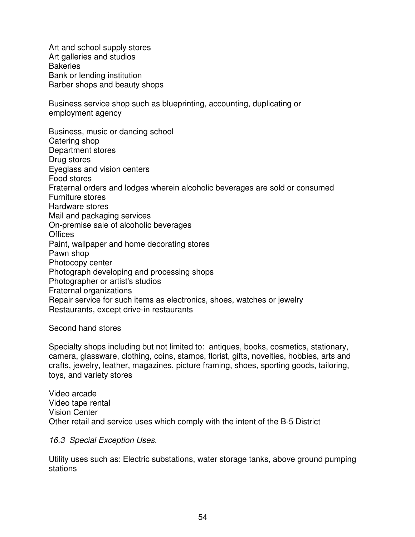Art and school supply stores Art galleries and studios **Bakeries** Bank or lending institution Barber shops and beauty shops

Business service shop such as blueprinting, accounting, duplicating or employment agency

Business, music or dancing school Catering shop Department stores Drug stores Eyeglass and vision centers Food stores Fraternal orders and lodges wherein alcoholic beverages are sold or consumed Furniture stores Hardware stores Mail and packaging services On-premise sale of alcoholic beverages **Offices** Paint, wallpaper and home decorating stores Pawn shop Photocopy center Photograph developing and processing shops Photographer or artist's studios Fraternal organizations Repair service for such items as electronics, shoes, watches or jewelry Restaurants, except drive-in restaurants

Second hand stores

Specialty shops including but not limited to: antiques, books, cosmetics, stationary, camera, glassware, clothing, coins, stamps, florist, gifts, novelties, hobbies, arts and crafts, jewelry, leather, magazines, picture framing, shoes, sporting goods, tailoring, toys, and variety stores

Video arcade Video tape rental Vision Center Other retail and service uses which comply with the intent of the B-5 District

*16.3 Special Exception Uses.*

Utility uses such as: Electric substations, water storage tanks, above ground pumping stations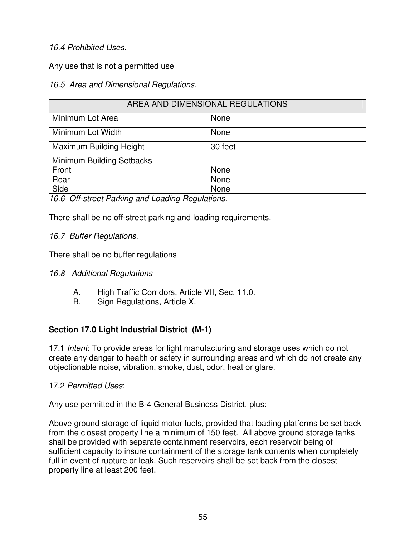# *16.4 Prohibited Uses.*

Any use that is not a permitted use

## *16.5 Area and Dimensional Regulations.*

| AREA AND DIMENSIONAL REGULATIONS |         |
|----------------------------------|---------|
| Minimum Lot Area                 | None    |
| Minimum Lot Width                | None    |
| Maximum Building Height          | 30 feet |
| Minimum Building Setbacks        |         |
| Front                            | None    |
| Rear                             | None    |
| Side                             | None    |

*16.6 Off-street Parking and Loading Regulations.*

There shall be no off-street parking and loading requirements.

# *16.7 Buffer Regulations.*

There shall be no buffer regulations

# *16.8 Additional Regulations*

- A. High Traffic Corridors, Article VII, Sec. 11.0.
- B. Sign Regulations, Article X.

# **Section 17.0 Light Industrial District (M-1)**

17.1 *Intent*: To provide areas for light manufacturing and storage uses which do not create any danger to health or safety in surrounding areas and which do not create any objectionable noise, vibration, smoke, dust, odor, heat or glare.

17.2 *Permitted Uses*:

Any use permitted in the B-4 General Business District, plus:

Above ground storage of liquid motor fuels, provided that loading platforms be set back from the closest property line a minimum of 150 feet. All above ground storage tanks shall be provided with separate containment reservoirs, each reservoir being of sufficient capacity to insure containment of the storage tank contents when completely full in event of rupture or leak. Such reservoirs shall be set back from the closest property line at least 200 feet.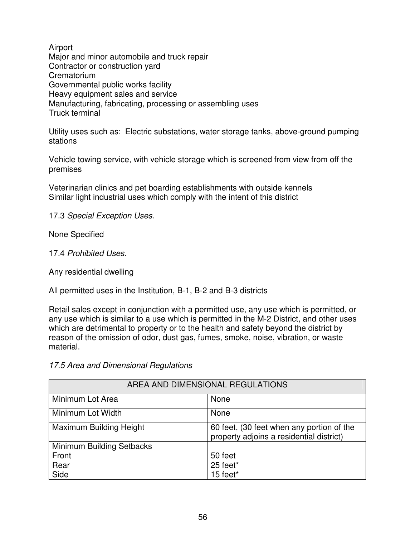Airport Major and minor automobile and truck repair Contractor or construction yard **Crematorium** Governmental public works facility Heavy equipment sales and service Manufacturing, fabricating, processing or assembling uses Truck terminal

Utility uses such as: Electric substations, water storage tanks, above-ground pumping stations

Vehicle towing service, with vehicle storage which is screened from view from off the premises

Veterinarian clinics and pet boarding establishments with outside kennels Similar light industrial uses which comply with the intent of this district

17.3 *Special Exception Uses*.

None Specified

17.4 *Prohibited Uses*.

Any residential dwelling

All permitted uses in the Institution, B-1, B-2 and B-3 districts

Retail sales except in conjunction with a permitted use, any use which is permitted, or any use which is similar to a use which is permitted in the M-2 District, and other uses which are detrimental to property or to the health and safety beyond the district by reason of the omission of odor, dust gas, fumes, smoke, noise, vibration, or waste material.

*17.5 Area and Dimensional Regulations*

| AREA AND DIMENSIONAL REGULATIONS |                                                                                       |
|----------------------------------|---------------------------------------------------------------------------------------|
| Minimum Lot Area                 | None                                                                                  |
| Minimum Lot Width                | None                                                                                  |
| Maximum Building Height          | 60 feet, (30 feet when any portion of the<br>property adjoins a residential district) |
| Minimum Building Setbacks        |                                                                                       |
| Front                            | 50 feet                                                                               |
| Rear                             | 25 feet*                                                                              |
| Side                             | 15 feet*                                                                              |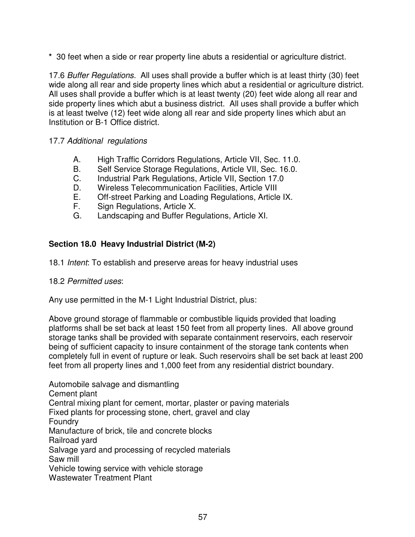**\*** 30 feet when a side or rear property line abuts a residential or agriculture district.

17.6 *Buffer Regulations.* All uses shall provide a buffer which is at least thirty (30) feet wide along all rear and side property lines which abut a residential or agriculture district. All uses shall provide a buffer which is at least twenty (20) feet wide along all rear and side property lines which abut a business district. All uses shall provide a buffer which is at least twelve (12) feet wide along all rear and side property lines which abut an Institution or B-1 Office district.

# 17.7 *Additional regulations*

- A. High Traffic Corridors Regulations, Article VII, Sec. 11.0.
- B. Self Service Storage Regulations, Article VII, Sec. 16.0.
- C. Industrial Park Regulations, Article VII, Section 17.0
- D. Wireless Telecommunication Facilities, Article VIII<br>E. Off-street Parking and Loading Regulations, Article
- Off-street Parking and Loading Regulations, Article IX.
- F. Sign Regulations, Article X.
- G. Landscaping and Buffer Regulations, Article XI.

# **Section 18.0 Heavy Industrial District (M-2)**

18.1 *Intent*: To establish and preserve areas for heavy industrial uses

### 18.2 *Permitted uses*:

Any use permitted in the M-1 Light Industrial District, plus:

Above ground storage of flammable or combustible liquids provided that loading platforms shall be set back at least 150 feet from all property lines. All above ground storage tanks shall be provided with separate containment reservoirs, each reservoir being of sufficient capacity to insure containment of the storage tank contents when completely full in event of rupture or leak. Such reservoirs shall be set back at least 200 feet from all property lines and 1,000 feet from any residential district boundary.

Automobile salvage and dismantling Cement plant Central mixing plant for cement, mortar, plaster or paving materials Fixed plants for processing stone, chert, gravel and clay Foundry Manufacture of brick, tile and concrete blocks Railroad yard Salvage yard and processing of recycled materials Saw mill Vehicle towing service with vehicle storage Wastewater Treatment Plant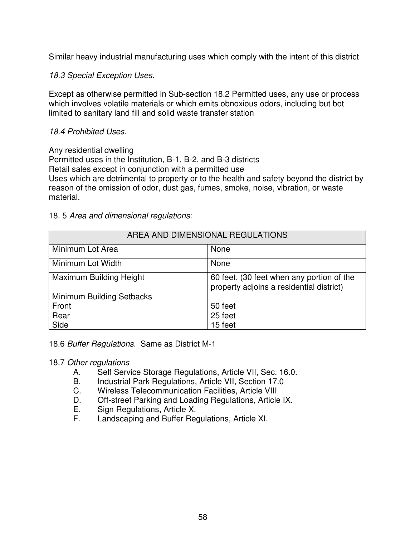Similar heavy industrial manufacturing uses which comply with the intent of this district

## *18.3 Special Exception Uses.*

Except as otherwise permitted in Sub-section 18.2 Permitted uses, any use or process which involves volatile materials or which emits obnoxious odors, including but bot limited to sanitary land fill and solid waste transfer station

## *18.4 Prohibited Uses.*

### Any residential dwelling

Permitted uses in the Institution, B-1, B-2, and B-3 districts Retail sales except in conjunction with a permitted use Uses which are detrimental to property or to the health and safety beyond the district by reason of the omission of odor, dust gas, fumes, smoke, noise, vibration, or waste material.

## 18. 5 *Area and dimensional regulations*:

| AREA AND DIMENSIONAL REGULATIONS |                                                                                       |
|----------------------------------|---------------------------------------------------------------------------------------|
| Minimum Lot Area                 | None                                                                                  |
| Minimum Lot Width                | None                                                                                  |
| Maximum Building Height          | 60 feet, (30 feet when any portion of the<br>property adjoins a residential district) |
| <b>Minimum Building Setbacks</b> |                                                                                       |
| Front                            | 50 feet                                                                               |
| Rear                             | 25 feet                                                                               |
| Side                             | 15 feet                                                                               |

### 18.6 *Buffer Regulations*. Same as District M-1

### 18.7 *Other regulations*

- A. Self Service Storage Regulations, Article VII, Sec. 16.0.
- B. Industrial Park Regulations, Article VII, Section 17.0
- C. Wireless Telecommunication Facilities, Article VIII
- D. Off-street Parking and Loading Regulations, Article IX.
- E. Sign Regulations, Article X.<br>E. Landscaping and Buffer Reg
- Landscaping and Buffer Regulations, Article XI.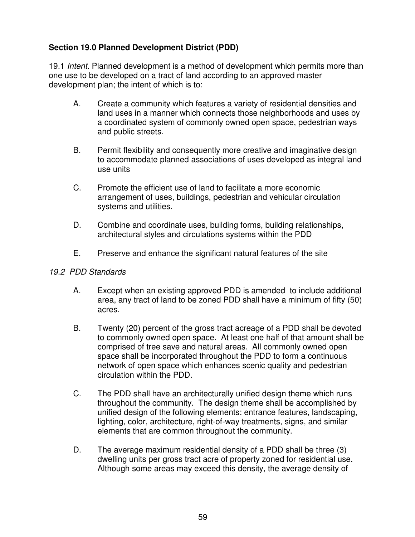# **Section 19.0 Planned Development District (PDD)**

19.1 *Intent*. Planned development is a method of development which permits more than one use to be developed on a tract of land according to an approved master development plan; the intent of which is to:

- A. Create a community which features a variety of residential densities and land uses in a manner which connects those neighborhoods and uses by a coordinated system of commonly owned open space, pedestrian ways and public streets.
- B. Permit flexibility and consequently more creative and imaginative design to accommodate planned associations of uses developed as integral land use units
- C. Promote the efficient use of land to facilitate a more economic arrangement of uses, buildings, pedestrian and vehicular circulation systems and utilities.
- D. Combine and coordinate uses, building forms, building relationships, architectural styles and circulations systems within the PDD
- E. Preserve and enhance the significant natural features of the site

## *19.2 PDD Standards*

- A. Except when an existing approved PDD is amended to include additional area, any tract of land to be zoned PDD shall have a minimum of fifty (50) acres.
- B. Twenty (20) percent of the gross tract acreage of a PDD shall be devoted to commonly owned open space. At least one half of that amount shall be comprised of tree save and natural areas. All commonly owned open space shall be incorporated throughout the PDD to form a continuous network of open space which enhances scenic quality and pedestrian circulation within the PDD.
- C. The PDD shall have an architecturally unified design theme which runs throughout the community. The design theme shall be accomplished by unified design of the following elements: entrance features, landscaping, lighting, color, architecture, right-of-way treatments, signs, and similar elements that are common throughout the community.
- D. The average maximum residential density of a PDD shall be three (3) dwelling units per gross tract acre of property zoned for residential use. Although some areas may exceed this density, the average density of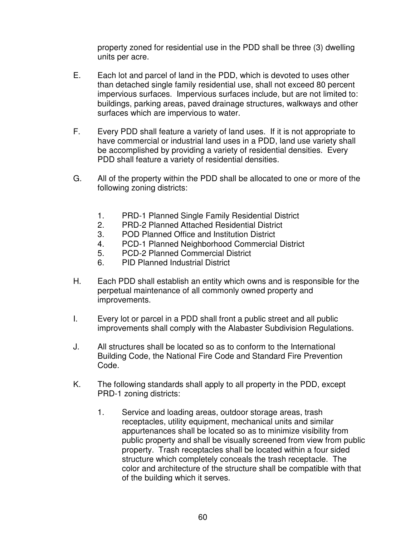property zoned for residential use in the PDD shall be three (3) dwelling units per acre.

- E. Each lot and parcel of land in the PDD, which is devoted to uses other than detached single family residential use, shall not exceed 80 percent impervious surfaces. Impervious surfaces include, but are not limited to: buildings, parking areas, paved drainage structures, walkways and other surfaces which are impervious to water.
- F. Every PDD shall feature a variety of land uses. If it is not appropriate to have commercial or industrial land uses in a PDD, land use variety shall be accomplished by providing a variety of residential densities. Every PDD shall feature a variety of residential densities.
- G. All of the property within the PDD shall be allocated to one or more of the following zoning districts:
	- 1. PRD-1 Planned Single Family Residential District
	- 2. PRD-2 Planned Attached Residential District
	- 3. POD Planned Office and Institution District
	- 4. PCD-1 Planned Neighborhood Commercial District
	- 5. PCD-2 Planned Commercial District
	- 6. PID Planned Industrial District
- H. Each PDD shall establish an entity which owns and is responsible for the perpetual maintenance of all commonly owned property and improvements.
- I. Every lot or parcel in a PDD shall front a public street and all public improvements shall comply with the Alabaster Subdivision Regulations.
- J. All structures shall be located so as to conform to the International Building Code, the National Fire Code and Standard Fire Prevention Code.
- K. The following standards shall apply to all property in the PDD, except PRD-1 zoning districts:
	- 1. Service and loading areas, outdoor storage areas, trash receptacles, utility equipment, mechanical units and similar appurtenances shall be located so as to minimize visibility from public property and shall be visually screened from view from public property. Trash receptacles shall be located within a four sided structure which completely conceals the trash receptacle. The color and architecture of the structure shall be compatible with that of the building which it serves.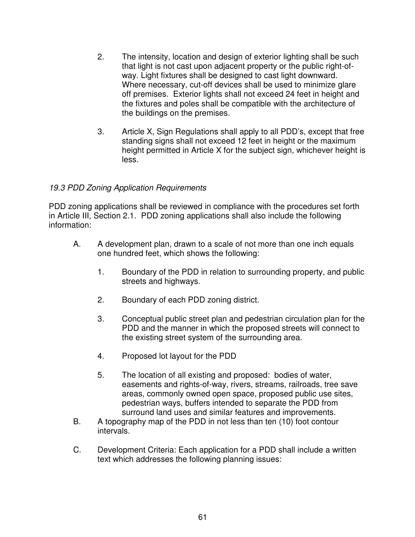- 2. The intensity, location and design of exterior lighting shall be such that light is not cast upon adjacent property or the public right-ofway. Light fixtures shall be designed to cast light downward. Where necessary, cut-off devices shall be used to minimize glare off premises. Exterior lights shall not exceed 24 feet in height and the fixtures and poles shall be compatible with the architecture of the buildings on the premises.
- 3. Article X, Sign Regulations shall apply to all PDD's, except that free standing signs shall not exceed 12 feet in height or the maximum height permitted in Article X for the subject sign, whichever height is less.

## *19.3 PDD Zoning Application Requirements*

PDD zoning applications shall be reviewed in compliance with the procedures set forth in Article III, Section 2.1. PDD zoning applications shall also include the following information:

- A. A development plan, drawn to a scale of not more than one inch equals one hundred feet, which shows the following:
	- 1. Boundary of the PDD in relation to surrounding property, and public streets and highways.
	- 2. Boundary of each PDD zoning district.
	- 3. Conceptual public street plan and pedestrian circulation plan for the PDD and the manner in which the proposed streets will connect to the existing street system of the surrounding area.
	- 4. Proposed lot layout for the PDD
	- 5. The location of all existing and proposed: bodies of water, easements and rights-of-way, rivers, streams, railroads, tree save areas, commonly owned open space, proposed public use sites, pedestrian ways, buffers intended to separate the PDD from surround land uses and similar features and improvements.
- B. A topography map of the PDD in not less than ten (10) foot contour intervals.
- C. Development Criteria: Each application for a PDD shall include a written text which addresses the following planning issues: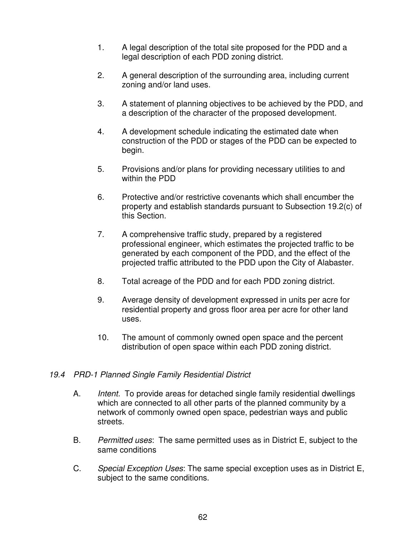- 1. A legal description of the total site proposed for the PDD and a legal description of each PDD zoning district.
- 2. A general description of the surrounding area, including current zoning and/or land uses.
- 3. A statement of planning objectives to be achieved by the PDD, and a description of the character of the proposed development.
- 4. A development schedule indicating the estimated date when construction of the PDD or stages of the PDD can be expected to begin.
- 5. Provisions and/or plans for providing necessary utilities to and within the PDD
- 6. Protective and/or restrictive covenants which shall encumber the property and establish standards pursuant to Subsection 19.2(c) of this Section.
- 7. A comprehensive traffic study, prepared by a registered professional engineer, which estimates the projected traffic to be generated by each component of the PDD, and the effect of the projected traffic attributed to the PDD upon the City of Alabaster.
- 8. Total acreage of the PDD and for each PDD zoning district.
- 9. Average density of development expressed in units per acre for residential property and gross floor area per acre for other land uses.
- 10. The amount of commonly owned open space and the percent distribution of open space within each PDD zoning district.

# *19.4 PRD-1 Planned Single Family Residential District*

- A. *Intent.* To provide areas for detached single family residential dwellings which are connected to all other parts of the planned community by a network of commonly owned open space, pedestrian ways and public streets.
- B. *Permitted uses*: The same permitted uses as in District E, subject to the same conditions
- C. *Special Exception Uses*: The same special exception uses as in District E, subject to the same conditions.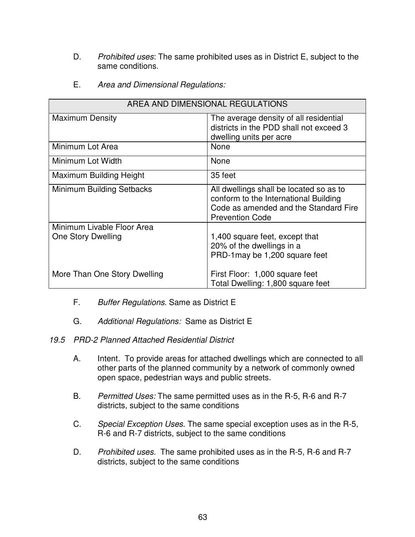- D. *Prohibited uses*: The same prohibited uses as in District E, subject to the same conditions.
- E. *Area and Dimensional Regulations:*

| AREA AND DIMENSIONAL REGULATIONS                 |                                                                                                                                                     |
|--------------------------------------------------|-----------------------------------------------------------------------------------------------------------------------------------------------------|
| <b>Maximum Density</b>                           | The average density of all residential<br>districts in the PDD shall not exceed 3<br>dwelling units per acre                                        |
| Minimum Lot Area                                 | None                                                                                                                                                |
| Minimum Lot Width                                | <b>None</b>                                                                                                                                         |
| Maximum Building Height                          | 35 feet                                                                                                                                             |
| Minimum Building Setbacks                        | All dwellings shall be located so as to<br>conform to the International Building<br>Code as amended and the Standard Fire<br><b>Prevention Code</b> |
| Minimum Livable Floor Area<br>One Story Dwelling | 1,400 square feet, except that<br>20% of the dwellings in a<br>PRD-1 may be 1,200 square feet                                                       |
| More Than One Story Dwelling                     | First Floor: 1,000 square feet<br>Total Dwelling: 1,800 square feet                                                                                 |

- F. *Buffer Regulations*. Same as District E
- G. *Additional Regulations:* Same as District E

*19.5 PRD-2 Planned Attached Residential District*

- A. Intent. To provide areas for attached dwellings which are connected to all other parts of the planned community by a network of commonly owned open space, pedestrian ways and public streets.
- B. *Permitted Uses:* The same permitted uses as in the R-5, R-6 and R-7 districts, subject to the same conditions
- C. *Special Exception Uses*. The same special exception uses as in the R-5, R-6 and R-7 districts, subject to the same conditions
- D. *Prohibited uses*. The same prohibited uses as in the R-5, R-6 and R-7 districts, subject to the same conditions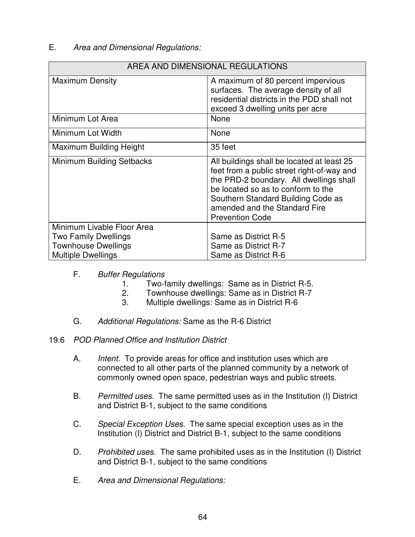## E. *Area and Dimensional Regulations:*

| AREA AND DIMENSIONAL REGULATIONS                                                                                     |                                                                                                                                                                                                                                                                            |
|----------------------------------------------------------------------------------------------------------------------|----------------------------------------------------------------------------------------------------------------------------------------------------------------------------------------------------------------------------------------------------------------------------|
| <b>Maximum Density</b>                                                                                               | A maximum of 80 percent impervious<br>surfaces. The average density of all<br>residential districts in the PDD shall not<br>exceed 3 dwelling units per acre                                                                                                               |
| Minimum Lot Area                                                                                                     | <b>None</b>                                                                                                                                                                                                                                                                |
| Minimum Lot Width                                                                                                    | None                                                                                                                                                                                                                                                                       |
| Maximum Building Height                                                                                              | 35 feet                                                                                                                                                                                                                                                                    |
| Minimum Building Setbacks                                                                                            | All buildings shall be located at least 25<br>feet from a public street right-of-way and<br>the PRD-2 boundary. All dwellings shall<br>be located so as to conform to the<br>Southern Standard Building Code as<br>amended and the Standard Fire<br><b>Prevention Code</b> |
| Minimum Livable Floor Area<br><b>Two Family Dwellings</b><br><b>Townhouse Dwellings</b><br><b>Multiple Dwellings</b> | Same as District R-5<br>Same as District R-7<br>Same as District R-6                                                                                                                                                                                                       |

## F. *Buffer Regulations*

- 1. Two-family dwellings: Same as in District R-5.
- 2. Townhouse dwellings: Same as in District R-7
- 3. Multiple dwellings: Same as in District R-6
- G. *Additional Regulations:* Same as the R-6 District

### 19.6 *POD Planned Office and Institution District*

- A. *Intent.* To provide areas for office and institution uses which are connected to all other parts of the planned community by a network of commonly owned open space, pedestrian ways and public streets.
- B. *Permitted uses*. The same permitted uses as in the Institution (I) District and District B-1, subject to the same conditions
- C. *Special Exception Uses*. The same special exception uses as in the Institution (I) District and District B-1, subject to the same conditions
- D. *Prohibited uses*. The same prohibited uses as in the Institution (I) District and District B-1, subject to the same conditions
- E. *Area and Dimensional Regulations:*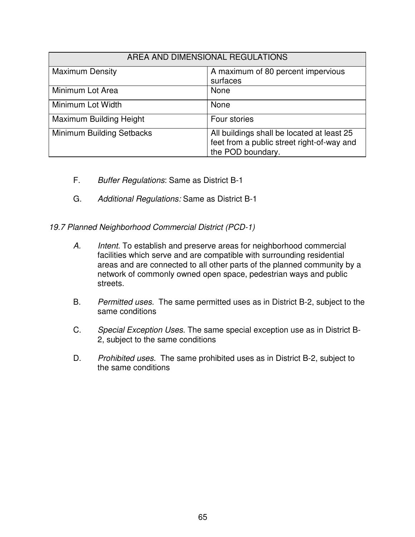| AREA AND DIMENSIONAL REGULATIONS |                                                                                                               |
|----------------------------------|---------------------------------------------------------------------------------------------------------------|
| <b>Maximum Density</b>           | A maximum of 80 percent impervious<br>surfaces                                                                |
| Minimum Lot Area                 | None                                                                                                          |
| Minimum Lot Width                | None                                                                                                          |
| Maximum Building Height          | Four stories                                                                                                  |
| Minimum Building Setbacks        | All buildings shall be located at least 25<br>feet from a public street right-of-way and<br>the POD boundary. |

- F. *Buffer Regulations*: Same as District B-1
- G. *Additional Regulations:* Same as District B-1

*19.7 Planned Neighborhood Commercial District (PCD-1)*

- *A. Intent*. To establish and preserve areas for neighborhood commercial facilities which serve and are compatible with surrounding residential areas and are connected to all other parts of the planned community by a network of commonly owned open space, pedestrian ways and public streets.
- B. *Permitted uses*. The same permitted uses as in District B-2, subject to the same conditions
- C. *Special Exception Uses*. The same special exception use as in District B-2, subject to the same conditions
- D. *Prohibited uses*. The same prohibited uses as in District B-2, subject to the same conditions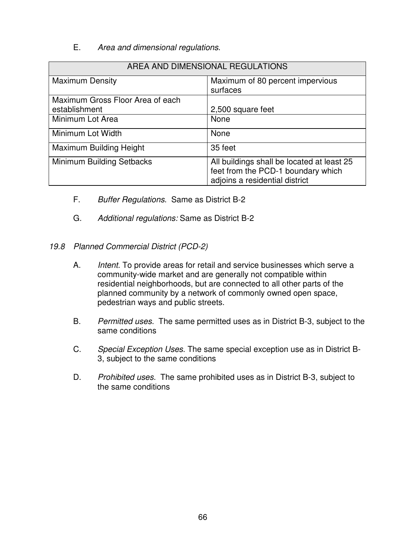## E. *Area and dimensional regulations*.

| AREA AND DIMENSIONAL REGULATIONS |                                                                                                                    |
|----------------------------------|--------------------------------------------------------------------------------------------------------------------|
| <b>Maximum Density</b>           | Maximum of 80 percent impervious<br>surfaces                                                                       |
| Maximum Gross Floor Area of each |                                                                                                                    |
| establishment                    | 2,500 square feet                                                                                                  |
| Minimum Lot Area                 | None                                                                                                               |
| Minimum Lot Width                | None                                                                                                               |
| Maximum Building Height          | 35 feet                                                                                                            |
| Minimum Building Setbacks        | All buildings shall be located at least 25<br>feet from the PCD-1 boundary which<br>adjoins a residential district |

- F. *Buffer Regulations*. Same as District B-2
- G. *Additional regulations:* Same as District B-2
- *19.8 Planned Commercial District (PCD-2)*
	- A. *Intent*. To provide areas for retail and service businesses which serve a community-wide market and are generally not compatible within residential neighborhoods, but are connected to all other parts of the planned community by a network of commonly owned open space, pedestrian ways and public streets.
	- B. *Permitted uses*. The same permitted uses as in District B-3, subject to the same conditions
	- C. *Special Exception Uses*. The same special exception use as in District B-3, subject to the same conditions
	- D. *Prohibited uses*. The same prohibited uses as in District B-3, subject to the same conditions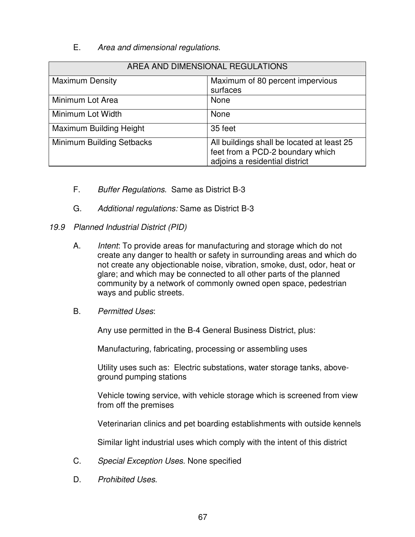# E. *Area and dimensional regulations*.

| AREA AND DIMENSIONAL REGULATIONS |                                                                                                                  |
|----------------------------------|------------------------------------------------------------------------------------------------------------------|
| <b>Maximum Density</b>           | Maximum of 80 percent impervious<br>surfaces                                                                     |
| Minimum Lot Area                 | None                                                                                                             |
| Minimum Lot Width                | None                                                                                                             |
| Maximum Building Height          | 35 feet                                                                                                          |
| Minimum Building Setbacks        | All buildings shall be located at least 25<br>feet from a PCD-2 boundary which<br>adjoins a residential district |

- F. *Buffer Regulations*. Same as District B-3
- G. *Additional regulations:* Same as District B-3
- *19.9 Planned Industrial District (PID)*
	- A. *Intent*: To provide areas for manufacturing and storage which do not create any danger to health or safety in surrounding areas and which do not create any objectionable noise, vibration, smoke, dust, odor, heat or glare; and which may be connected to all other parts of the planned community by a network of commonly owned open space, pedestrian ways and public streets.
	- B. *Permitted Uses*:

Any use permitted in the B-4 General Business District, plus:

Manufacturing, fabricating, processing or assembling uses

Utility uses such as: Electric substations, water storage tanks, aboveground pumping stations

Vehicle towing service, with vehicle storage which is screened from view from off the premises

Veterinarian clinics and pet boarding establishments with outside kennels

Similar light industrial uses which comply with the intent of this district

- C. *Special Exception Uses*. None specified
- D. *Prohibited Uses*.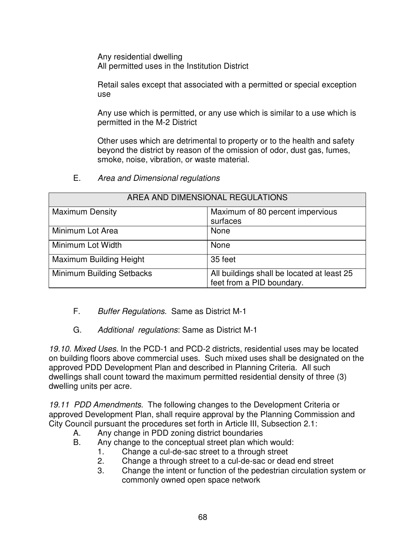Any residential dwelling All permitted uses in the Institution District

Retail sales except that associated with a permitted or special exception use

Any use which is permitted, or any use which is similar to a use which is permitted in the M-2 District

Other uses which are detrimental to property or to the health and safety beyond the district by reason of the omission of odor, dust gas, fumes, smoke, noise, vibration, or waste material.

E. *Area and Dimensional regulations*

| AREA AND DIMENSIONAL REGULATIONS |                                                                         |  |  |
|----------------------------------|-------------------------------------------------------------------------|--|--|
| <b>Maximum Density</b>           | Maximum of 80 percent impervious<br>surfaces                            |  |  |
|                                  |                                                                         |  |  |
| Minimum Lot Area                 | None                                                                    |  |  |
| Minimum Lot Width                | None                                                                    |  |  |
| Maximum Building Height          | 35 feet                                                                 |  |  |
| Minimum Building Setbacks        | All buildings shall be located at least 25<br>feet from a PID boundary. |  |  |

- F. *Buffer Regulations.* Same as District M-1
- G. *Additional regulations*: Same as District M-1

*19.10. Mixed Uses*. In the PCD-1 and PCD-2 districts, residential uses may be located on building floors above commercial uses. Such mixed uses shall be designated on the approved PDD Development Plan and described in Planning Criteria. All such dwellings shall count toward the maximum permitted residential density of three (3) dwelling units per acre.

*19.11 PDD Amendments*. The following changes to the Development Criteria or approved Development Plan, shall require approval by the Planning Commission and City Council pursuant the procedures set forth in Article III, Subsection 2.1:

- A. Any change in PDD zoning district boundaries
- B. Any change to the conceptual street plan which would:
	- 1. Change a cul-de-sac street to a through street
	- 2. Change a through street to a cul-de-sac or dead end street
	- 3. Change the intent or function of the pedestrian circulation system or commonly owned open space network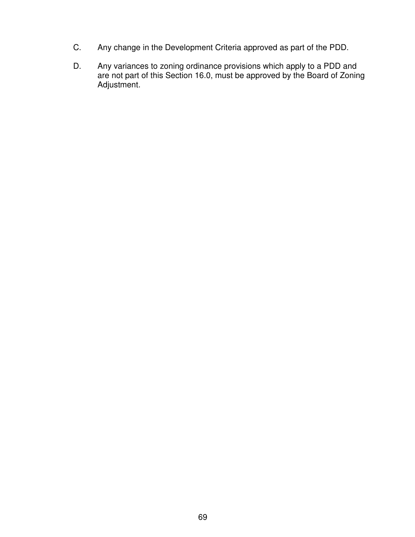- C. Any change in the Development Criteria approved as part of the PDD.
- D. Any variances to zoning ordinance provisions which apply to a PDD and are not part of this Section 16.0, must be approved by the Board of Zoning Adjustment.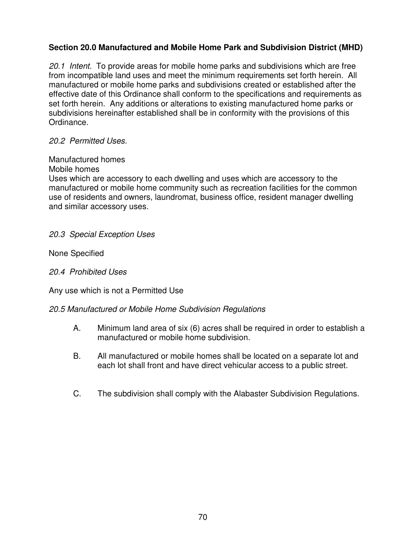# **Section 20.0 Manufactured and Mobile Home Park and Subdivision District (MHD)**

*20.1 Intent.* To provide areas for mobile home parks and subdivisions which are free from incompatible land uses and meet the minimum requirements set forth herein. All manufactured or mobile home parks and subdivisions created or established after the effective date of this Ordinance shall conform to the specifications and requirements as set forth herein. Any additions or alterations to existing manufactured home parks or subdivisions hereinafter established shall be in conformity with the provisions of this Ordinance.

### *20.2 Permitted Uses.*

### Manufactured homes

Mobile homes

Uses which are accessory to each dwelling and uses which are accessory to the manufactured or mobile home community such as recreation facilities for the common use of residents and owners, laundromat, business office, resident manager dwelling and similar accessory uses.

### *20.3 Special Exception Uses*

None Specified

*20.4 Prohibited Uses*

Any use which is not a Permitted Use

# *20.5 Manufactured or Mobile Home Subdivision Regulations*

- A. Minimum land area of six (6) acres shall be required in order to establish a manufactured or mobile home subdivision.
- B. All manufactured or mobile homes shall be located on a separate lot and each lot shall front and have direct vehicular access to a public street.
- C. The subdivision shall comply with the Alabaster Subdivision Regulations.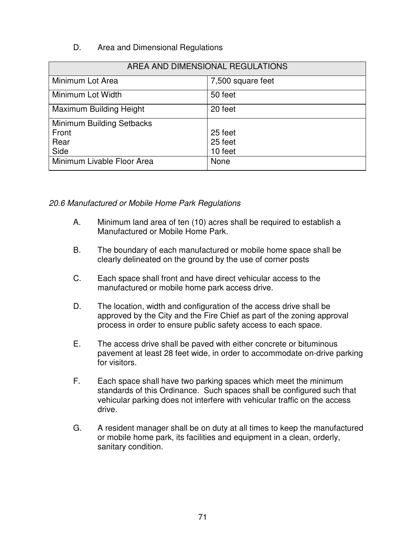# D. Area and Dimensional Regulations

| AREA AND DIMENSIONAL REGULATIONS |                   |  |  |
|----------------------------------|-------------------|--|--|
| Minimum Lot Area                 | 7,500 square feet |  |  |
| Minimum Lot Width                | 50 feet           |  |  |
| Maximum Building Height          | 20 feet           |  |  |
| Minimum Building Setbacks        |                   |  |  |
| Front                            | 25 feet           |  |  |
| Rear                             | 25 feet           |  |  |
| Side                             | 10 feet           |  |  |
| Minimum Livable Floor Area       | None              |  |  |

*20.6 Manufactured or Mobile Home Park Regulations*

- A. Minimum land area of ten (10) acres shall be required to establish a Manufactured or Mobile Home Park.
- B. The boundary of each manufactured or mobile home space shall be clearly delineated on the ground by the use of corner posts
- C. Each space shall front and have direct vehicular access to the manufactured or mobile home park access drive.
- D. The location, width and configuration of the access drive shall be approved by the City and the Fire Chief as part of the zoning approval process in order to ensure public safety access to each space.
- E. The access drive shall be paved with either concrete or bituminous pavement at least 28 feet wide, in order to accommodate on-drive parking for visitors.
- F. Each space shall have two parking spaces which meet the minimum standards of this Ordinance. Such spaces shall be configured such that vehicular parking does not interfere with vehicular traffic on the access drive.
- G. A resident manager shall be on duty at all times to keep the manufactured or mobile home park, its facilities and equipment in a clean, orderly, sanitary condition.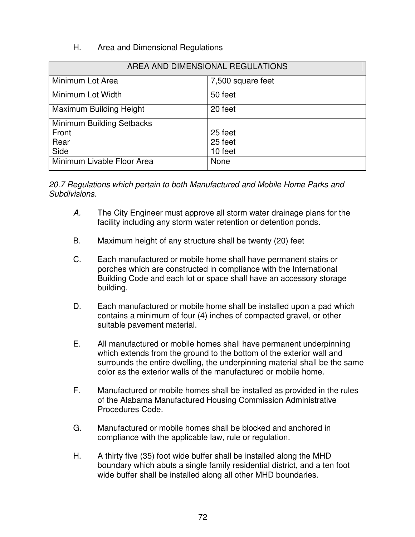# H. Area and Dimensional Regulations

| AREA AND DIMENSIONAL REGULATIONS |                   |  |  |
|----------------------------------|-------------------|--|--|
| Minimum Lot Area                 | 7,500 square feet |  |  |
| Minimum Lot Width                | 50 feet           |  |  |
| Maximum Building Height          | 20 feet           |  |  |
| Minimum Building Setbacks        |                   |  |  |
| Front                            | 25 feet           |  |  |
| Rear                             | 25 feet           |  |  |
| Side                             | 10 feet           |  |  |
| Minimum Livable Floor Area       | None              |  |  |

*20.7 Regulations which pertain to both Manufactured and Mobile Home Parks and Subdivisions.*

- *A.* The City Engineer must approve all storm water drainage plans for the facility including any storm water retention or detention ponds.
- B. Maximum height of any structure shall be twenty (20) feet
- C. Each manufactured or mobile home shall have permanent stairs or porches which are constructed in compliance with the International Building Code and each lot or space shall have an accessory storage building.
- D. Each manufactured or mobile home shall be installed upon a pad which contains a minimum of four (4) inches of compacted gravel, or other suitable pavement material.
- E. All manufactured or mobile homes shall have permanent underpinning which extends from the ground to the bottom of the exterior wall and surrounds the entire dwelling, the underpinning material shall be the same color as the exterior walls of the manufactured or mobile home.
- F. Manufactured or mobile homes shall be installed as provided in the rules of the Alabama Manufactured Housing Commission Administrative Procedures Code.
- G. Manufactured or mobile homes shall be blocked and anchored in compliance with the applicable law, rule or regulation.
- H. A thirty five (35) foot wide buffer shall be installed along the MHD boundary which abuts a single family residential district, and a ten foot wide buffer shall be installed along all other MHD boundaries.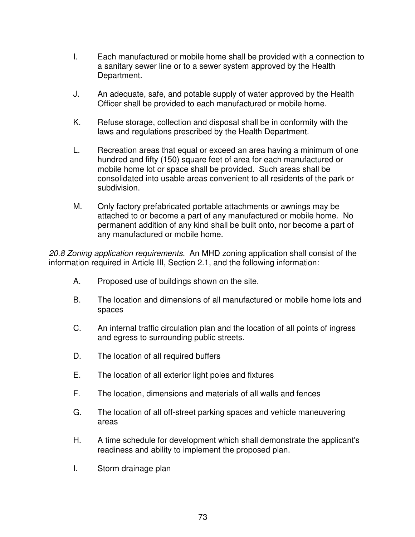- I. Each manufactured or mobile home shall be provided with a connection to a sanitary sewer line or to a sewer system approved by the Health Department.
- J. An adequate, safe, and potable supply of water approved by the Health Officer shall be provided to each manufactured or mobile home.
- K. Refuse storage, collection and disposal shall be in conformity with the laws and regulations prescribed by the Health Department.
- L. Recreation areas that equal or exceed an area having a minimum of one hundred and fifty (150) square feet of area for each manufactured or mobile home lot or space shall be provided. Such areas shall be consolidated into usable areas convenient to all residents of the park or subdivision.
- M. Only factory prefabricated portable attachments or awnings may be attached to or become a part of any manufactured or mobile home. No permanent addition of any kind shall be built onto, nor become a part of any manufactured or mobile home.

*20.8 Zoning application requirements.* An MHD zoning application shall consist of the information required in Article III, Section 2.1, and the following information:

- A. Proposed use of buildings shown on the site.
- B. The location and dimensions of all manufactured or mobile home lots and spaces
- C. An internal traffic circulation plan and the location of all points of ingress and egress to surrounding public streets.
- D. The location of all required buffers
- E. The location of all exterior light poles and fixtures
- F. The location, dimensions and materials of all walls and fences
- G. The location of all off-street parking spaces and vehicle maneuvering areas
- H. A time schedule for development which shall demonstrate the applicant's readiness and ability to implement the proposed plan.
- I. Storm drainage plan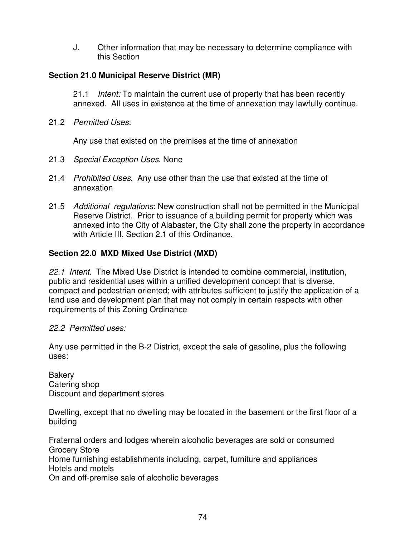J. Other information that may be necessary to determine compliance with this Section

# **Section 21.0 Municipal Reserve District (MR)**

21.1 *Intent:* To maintain the current use of property that has been recently annexed. All uses in existence at the time of annexation may lawfully continue.

21.2 *Permitted Uses*:

Any use that existed on the premises at the time of annexation

- 21.3 *Special Exception Uses*. None
- 21.4 *Prohibited Uses*. Any use other than the use that existed at the time of annexation
- 21.5 *Additional regulations*: New construction shall not be permitted in the Municipal Reserve District. Prior to issuance of a building permit for property which was annexed into the City of Alabaster, the City shall zone the property in accordance with Article III, Section 2.1 of this Ordinance.

# **Section 22.0 MXD Mixed Use District (MXD)**

*22.1 Intent.* The Mixed Use District is intended to combine commercial, institution, public and residential uses within a unified development concept that is diverse, compact and pedestrian oriented; with attributes sufficient to justify the application of a land use and development plan that may not comply in certain respects with other requirements of this Zoning Ordinance

# *22.2 Permitted uses:*

Any use permitted in the B-2 District, except the sale of gasoline, plus the following uses:

**Bakery** Catering shop Discount and department stores

Dwelling, except that no dwelling may be located in the basement or the first floor of a building

Fraternal orders and lodges wherein alcoholic beverages are sold or consumed Grocery Store Home furnishing establishments including, carpet, furniture and appliances Hotels and motels On and off-premise sale of alcoholic beverages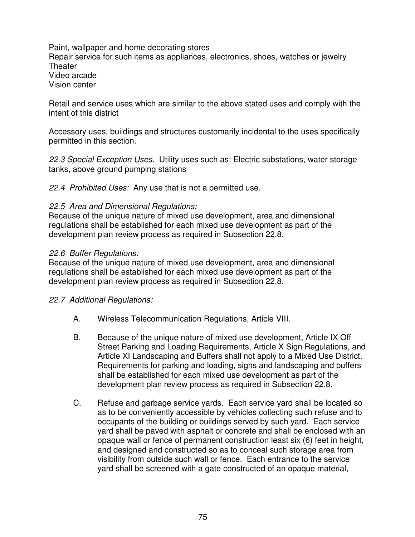Paint, wallpaper and home decorating stores Repair service for such items as appliances, electronics, shoes, watches or jewelry **Theater** Video arcade Vision center

Retail and service uses which are similar to the above stated uses and comply with the intent of this district

Accessory uses, buildings and structures customarily incidental to the uses specifically permitted in this section.

*22.3 Special Exception Uses.* Utility uses such as: Electric substations, water storage tanks, above ground pumping stations

*22.4 Prohibited Uses:* Any use that is not a permitted use.

#### *22.5 Area and Dimensional Regulations:*

Because of the unique nature of mixed use development, area and dimensional regulations shall be established for each mixed use development as part of the development plan review process as required in Subsection 22.8.

#### *22.6 Buffer Regulations:*

Because of the unique nature of mixed use development, area and dimensional regulations shall be established for each mixed use development as part of the development plan review process as required in Subsection 22.8.

#### *22.7 Additional Regulations:*

- A. Wireless Telecommunication Regulations, Article VIII.
- B. Because of the unique nature of mixed use development, Article IX Off Street Parking and Loading Requirements, Article X Sign Regulations, and Article XI Landscaping and Buffers shall not apply to a Mixed Use District. Requirements for parking and loading, signs and landscaping and buffers shall be established for each mixed use development as part of the development plan review process as required in Subsection 22.8.
- C. Refuse and garbage service yards. Each service yard shall be located so as to be conveniently accessible by vehicles collecting such refuse and to occupants of the building or buildings served by such yard. Each service yard shall be paved with asphalt or concrete and shall be enclosed with an opaque wall or fence of permanent construction least six (6) feet in height, and designed and constructed so as to conceal such storage area from visibility from outside such wall or fence. Each entrance to the service yard shall be screened with a gate constructed of an opaque material,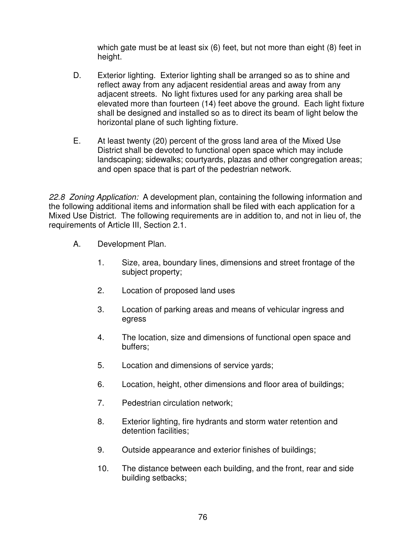which gate must be at least six (6) feet, but not more than eight (8) feet in height.

- D. Exterior lighting. Exterior lighting shall be arranged so as to shine and reflect away from any adjacent residential areas and away from any adjacent streets. No light fixtures used for any parking area shall be elevated more than fourteen (14) feet above the ground. Each light fixture shall be designed and installed so as to direct its beam of light below the horizontal plane of such lighting fixture.
- E. At least twenty (20) percent of the gross land area of the Mixed Use District shall be devoted to functional open space which may include landscaping; sidewalks; courtyards, plazas and other congregation areas; and open space that is part of the pedestrian network.

*22.8 Zoning Application:* A development plan, containing the following information and the following additional items and information shall be filed with each application for a Mixed Use District. The following requirements are in addition to, and not in lieu of, the requirements of Article III, Section 2.1.

- A. Development Plan.
	- 1. Size, area, boundary lines, dimensions and street frontage of the subject property;
	- 2. Location of proposed land uses
	- 3. Location of parking areas and means of vehicular ingress and egress
	- 4. The location, size and dimensions of functional open space and buffers;
	- 5. Location and dimensions of service yards;
	- 6. Location, height, other dimensions and floor area of buildings;
	- 7. Pedestrian circulation network;
	- 8. Exterior lighting, fire hydrants and storm water retention and detention facilities;
	- 9. Outside appearance and exterior finishes of buildings;
	- 10. The distance between each building, and the front, rear and side building setbacks;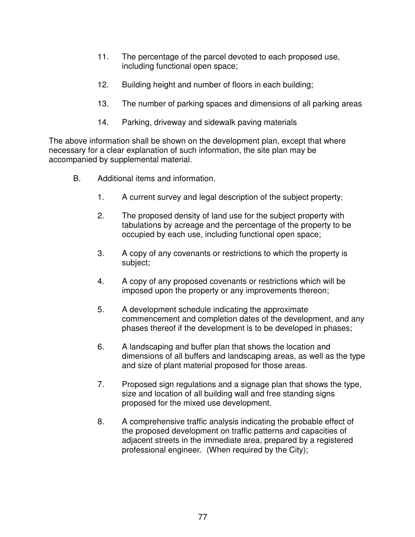- 11. The percentage of the parcel devoted to each proposed use, including functional open space;
- 12. Building height and number of floors in each building;
- 13. The number of parking spaces and dimensions of all parking areas
- 14. Parking, driveway and sidewalk paving materials

The above information shall be shown on the development plan, except that where necessary for a clear explanation of such information, the site plan may be accompanied by supplemental material.

- B. Additional items and information.
	- 1. A current survey and legal description of the subject property;
	- 2. The proposed density of land use for the subject property with tabulations by acreage and the percentage of the property to be occupied by each use, including functional open space;
	- 3. A copy of any covenants or restrictions to which the property is subject;
	- 4. A copy of any proposed covenants or restrictions which will be imposed upon the property or any improvements thereon;
	- 5. A development schedule indicating the approximate commencement and completion dates of the development, and any phases thereof if the development is to be developed in phases;
	- 6. A landscaping and buffer plan that shows the location and dimensions of all buffers and landscaping areas, as well as the type and size of plant material proposed for those areas.
	- 7. Proposed sign regulations and a signage plan that shows the type, size and location of all building wall and free standing signs proposed for the mixed use development.
	- 8. A comprehensive traffic analysis indicating the probable effect of the proposed development on traffic patterns and capacities of adjacent streets in the immediate area, prepared by a registered professional engineer. (When required by the City);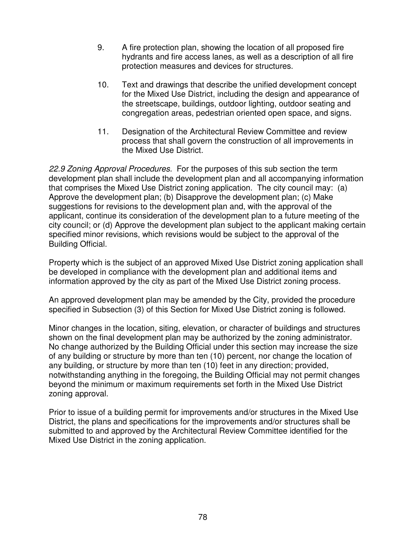- 9. A fire protection plan, showing the location of all proposed fire hydrants and fire access lanes, as well as a description of all fire protection measures and devices for structures.
- 10. Text and drawings that describe the unified development concept for the Mixed Use District, including the design and appearance of the streetscape, buildings, outdoor lighting, outdoor seating and congregation areas, pedestrian oriented open space, and signs.
- 11. Designation of the Architectural Review Committee and review process that shall govern the construction of all improvements in the Mixed Use District.

*22.9 Zoning Approval Procedures.* For the purposes of this sub section the term development plan shall include the development plan and all accompanying information that comprises the Mixed Use District zoning application. The city council may: (a) Approve the development plan; (b) Disapprove the development plan; (c) Make suggestions for revisions to the development plan and, with the approval of the applicant, continue its consideration of the development plan to a future meeting of the city council; or (d) Approve the development plan subject to the applicant making certain specified minor revisions, which revisions would be subject to the approval of the Building Official.

Property which is the subject of an approved Mixed Use District zoning application shall be developed in compliance with the development plan and additional items and information approved by the city as part of the Mixed Use District zoning process.

An approved development plan may be amended by the City, provided the procedure specified in Subsection (3) of this Section for Mixed Use District zoning is followed.

Minor changes in the location, siting, elevation, or character of buildings and structures shown on the final development plan may be authorized by the zoning administrator. No change authorized by the Building Official under this section may increase the size of any building or structure by more than ten (10) percent, nor change the location of any building, or structure by more than ten (10) feet in any direction; provided, notwithstanding anything in the foregoing, the Building Official may not permit changes beyond the minimum or maximum requirements set forth in the Mixed Use District zoning approval.

Prior to issue of a building permit for improvements and/or structures in the Mixed Use District, the plans and specifications for the improvements and/or structures shall be submitted to and approved by the Architectural Review Committee identified for the Mixed Use District in the zoning application.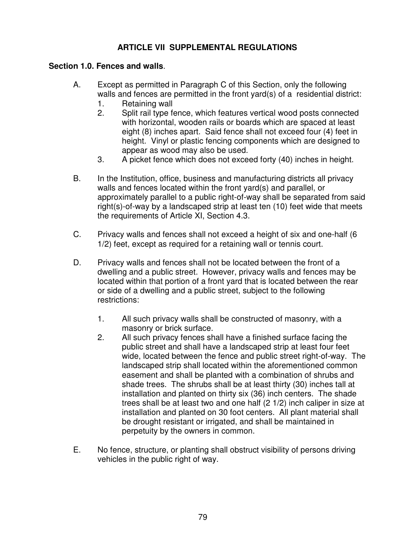# **ARTICLE VII SUPPLEMENTAL REGULATIONS**

### **Section 1.0. Fences and walls**.

- A. Except as permitted in Paragraph C of this Section, only the following walls and fences are permitted in the front yard(s) of a residential district:
	- 1. Retaining wall
	- 2. Split rail type fence, which features vertical wood posts connected with horizontal, wooden rails or boards which are spaced at least eight (8) inches apart. Said fence shall not exceed four (4) feet in height. Vinyl or plastic fencing components which are designed to appear as wood may also be used.
	- 3. A picket fence which does not exceed forty (40) inches in height.
- B. In the Institution, office, business and manufacturing districts all privacy walls and fences located within the front yard(s) and parallel, or approximately parallel to a public right-of-way shall be separated from said right(s)-of-way by a landscaped strip at least ten (10) feet wide that meets the requirements of Article XI, Section 4.3.
- C. Privacy walls and fences shall not exceed a height of six and one-half (6 1/2) feet, except as required for a retaining wall or tennis court.
- D. Privacy walls and fences shall not be located between the front of a dwelling and a public street. However, privacy walls and fences may be located within that portion of a front yard that is located between the rear or side of a dwelling and a public street, subject to the following restrictions:
	- 1. All such privacy walls shall be constructed of masonry, with a masonry or brick surface.
	- 2. All such privacy fences shall have a finished surface facing the public street and shall have a landscaped strip at least four feet wide, located between the fence and public street right-of-way. The landscaped strip shall located within the aforementioned common easement and shall be planted with a combination of shrubs and shade trees. The shrubs shall be at least thirty (30) inches tall at installation and planted on thirty six (36) inch centers. The shade trees shall be at least two and one half (2 1/2) inch caliper in size at installation and planted on 30 foot centers. All plant material shall be drought resistant or irrigated, and shall be maintained in perpetuity by the owners in common.
- E. No fence, structure, or planting shall obstruct visibility of persons driving vehicles in the public right of way.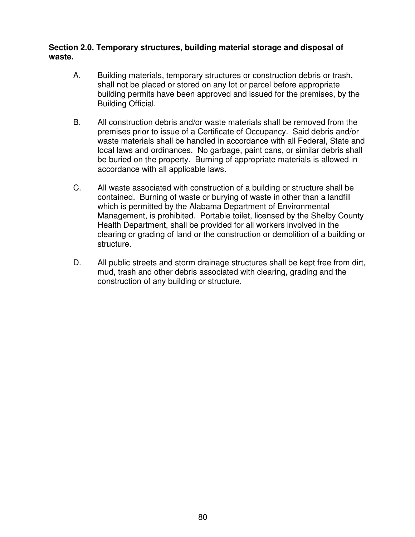#### **Section 2.0. Temporary structures, building material storage and disposal of waste.**

- A. Building materials, temporary structures or construction debris or trash, shall not be placed or stored on any lot or parcel before appropriate building permits have been approved and issued for the premises, by the Building Official.
- B. All construction debris and/or waste materials shall be removed from the premises prior to issue of a Certificate of Occupancy. Said debris and/or waste materials shall be handled in accordance with all Federal, State and local laws and ordinances. No garbage, paint cans, or similar debris shall be buried on the property. Burning of appropriate materials is allowed in accordance with all applicable laws.
- C. All waste associated with construction of a building or structure shall be contained. Burning of waste or burying of waste in other than a landfill which is permitted by the Alabama Department of Environmental Management, is prohibited. Portable toilet, licensed by the Shelby County Health Department, shall be provided for all workers involved in the clearing or grading of land or the construction or demolition of a building or structure.
- D. All public streets and storm drainage structures shall be kept free from dirt, mud, trash and other debris associated with clearing, grading and the construction of any building or structure.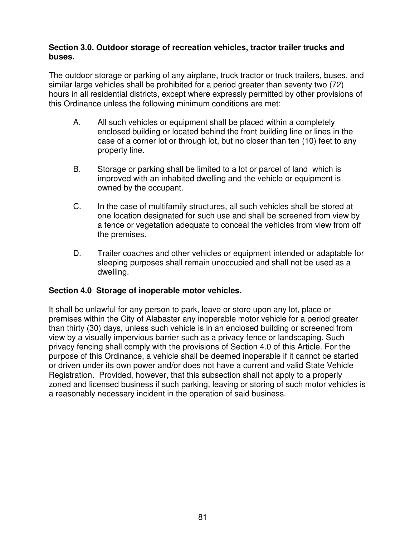### **Section 3.0. Outdoor storage of recreation vehicles, tractor trailer trucks and buses.**

The outdoor storage or parking of any airplane, truck tractor or truck trailers, buses, and similar large vehicles shall be prohibited for a period greater than seventy two (72) hours in all residential districts, except where expressly permitted by other provisions of this Ordinance unless the following minimum conditions are met:

- A. All such vehicles or equipment shall be placed within a completely enclosed building or located behind the front building line or lines in the case of a corner lot or through lot, but no closer than ten (10) feet to any property line.
- B. Storage or parking shall be limited to a lot or parcel of land which is improved with an inhabited dwelling and the vehicle or equipment is owned by the occupant.
- C. In the case of multifamily structures, all such vehicles shall be stored at one location designated for such use and shall be screened from view by a fence or vegetation adequate to conceal the vehicles from view from off the premises.
- D. Trailer coaches and other vehicles or equipment intended or adaptable for sleeping purposes shall remain unoccupied and shall not be used as a dwelling.

# **Section 4.0 Storage of inoperable motor vehicles.**

It shall be unlawful for any person to park, leave or store upon any lot, place or premises within the City of Alabaster any inoperable motor vehicle for a period greater than thirty (30) days, unless such vehicle is in an enclosed building or screened from view by a visually impervious barrier such as a privacy fence or landscaping. Such privacy fencing shall comply with the provisions of Section 4.0 of this Article. For the purpose of this Ordinance, a vehicle shall be deemed inoperable if it cannot be started or driven under its own power and/or does not have a current and valid State Vehicle Registration. Provided, however, that this subsection shall not apply to a properly zoned and licensed business if such parking, leaving or storing of such motor vehicles is a reasonably necessary incident in the operation of said business.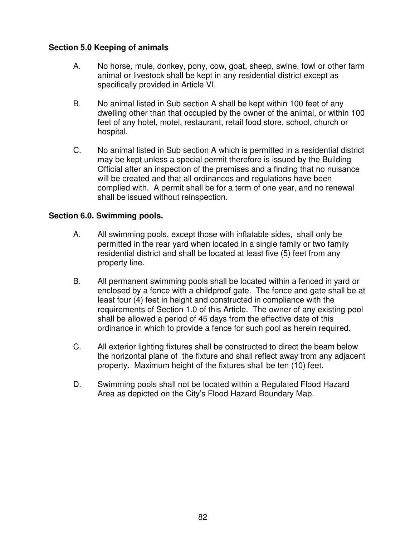# **Section 5.0 Keeping of animals**

- A. No horse, mule, donkey, pony, cow, goat, sheep, swine, fowl or other farm animal or livestock shall be kept in any residential district except as specifically provided in Article VI.
- B. No animal listed in Sub section A shall be kept within 100 feet of any dwelling other than that occupied by the owner of the animal, or within 100 feet of any hotel, motel, restaurant, retail food store, school, church or hospital.
- C. No animal listed in Sub section A which is permitted in a residential district may be kept unless a special permit therefore is issued by the Building Official after an inspection of the premises and a finding that no nuisance will be created and that all ordinances and regulations have been complied with. A permit shall be for a term of one year, and no renewal shall be issued without reinspection.

### **Section 6.0. Swimming pools.**

- A. All swimming pools, except those with inflatable sides, shall only be permitted in the rear yard when located in a single family or two family residential district and shall be located at least five (5) feet from any property line.
- B. All permanent swimming pools shall be located within a fenced in yard or enclosed by a fence with a childproof gate. The fence and gate shall be at least four (4) feet in height and constructed in compliance with the requirements of Section 1.0 of this Article. The owner of any existing pool shall be allowed a period of 45 days from the effective date of this ordinance in which to provide a fence for such pool as herein required.
- C. All exterior lighting fixtures shall be constructed to direct the beam below the horizontal plane of the fixture and shall reflect away from any adjacent property. Maximum height of the fixtures shall be ten (10) feet.
- D. Swimming pools shall not be located within a Regulated Flood Hazard Area as depicted on the City's Flood Hazard Boundary Map.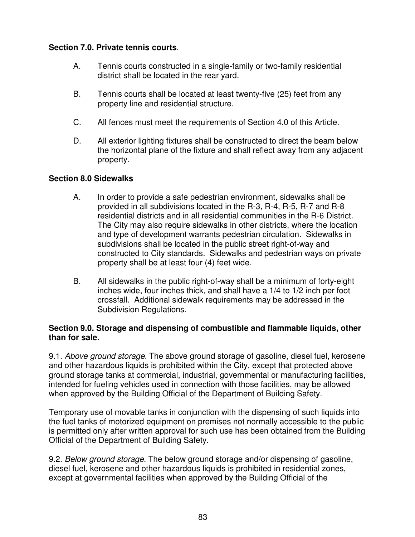# **Section 7.0. Private tennis courts**.

- A. Tennis courts constructed in a single-family or two-family residential district shall be located in the rear yard.
- B. Tennis courts shall be located at least twenty-five (25) feet from any property line and residential structure.
- C. All fences must meet the requirements of Section 4.0 of this Article.
- D. All exterior lighting fixtures shall be constructed to direct the beam below the horizontal plane of the fixture and shall reflect away from any adjacent property.

# **Section 8.0 Sidewalks**

- A. In order to provide a safe pedestrian environment, sidewalks shall be provided in all subdivisions located in the R-3, R-4, R-5, R-7 and R-8 residential districts and in all residential communities in the R-6 District. The City may also require sidewalks in other districts, where the location and type of development warrants pedestrian circulation. Sidewalks in subdivisions shall be located in the public street right-of-way and constructed to City standards. Sidewalks and pedestrian ways on private property shall be at least four (4) feet wide.
- B. All sidewalks in the public right-of-way shall be a minimum of forty-eight inches wide, four inches thick, and shall have a 1/4 to 1/2 inch per foot crossfall. Additional sidewalk requirements may be addressed in the Subdivision Regulations.

# **Section 9.0. Storage and dispensing of combustible and flammable liquids, other than for sale.**

9.1. *Above ground storage*. The above ground storage of gasoline, diesel fuel, kerosene and other hazardous liquids is prohibited within the City, except that protected above ground storage tanks at commercial, industrial, governmental or manufacturing facilities, intended for fueling vehicles used in connection with those facilities, may be allowed when approved by the Building Official of the Department of Building Safety.

Temporary use of movable tanks in conjunction with the dispensing of such liquids into the fuel tanks of motorized equipment on premises not normally accessible to the public is permitted only after written approval for such use has been obtained from the Building Official of the Department of Building Safety.

9.2. *Below ground storage*. The below ground storage and/or dispensing of gasoline, diesel fuel, kerosene and other hazardous liquids is prohibited in residential zones, except at governmental facilities when approved by the Building Official of the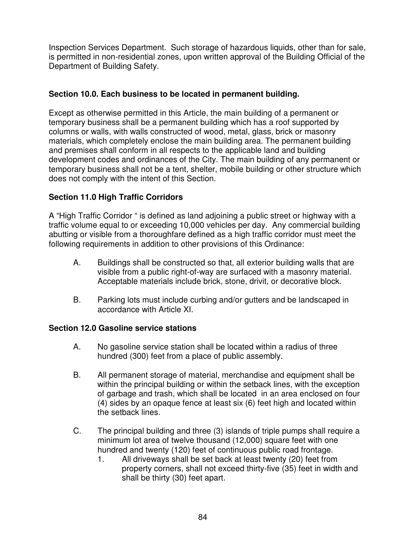Inspection Services Department. Such storage of hazardous liquids, other than for sale, is permitted in non-residential zones, upon written approval of the Building Official of the Department of Building Safety.

# **Section 10.0. Each business to be located in permanent building.**

Except as otherwise permitted in this Article, the main building of a permanent or temporary business shall be a permanent building which has a roof supported by columns or walls, with walls constructed of wood, metal, glass, brick or masonry materials, which completely enclose the main building area. The permanent building and premises shall conform in all respects to the applicable land and building development codes and ordinances of the City. The main building of any permanent or temporary business shall not be a tent, shelter, mobile building or other structure which does not comply with the intent of this Section.

# **Section 11.0 High Traffic Corridors**

A "High Traffic Corridor " is defined as land adjoining a public street or highway with a traffic volume equal to or exceeding 10,000 vehicles per day. Any commercial building abutting or visible from a thoroughfare defined as a high traffic corridor must meet the following requirements in addition to other provisions of this Ordinance:

- A. Buildings shall be constructed so that, all exterior building walls that are visible from a public right-of-way are surfaced with a masonry material. Acceptable materials include brick, stone, drivit, or decorative block.
- B. Parking lots must include curbing and/or gutters and be landscaped in accordance with Article XI.

# **Section 12.0 Gasoline service stations**

- A. No gasoline service station shall be located within a radius of three hundred (300) feet from a place of public assembly.
- B. All permanent storage of material, merchandise and equipment shall be within the principal building or within the setback lines, with the exception of garbage and trash, which shall be located in an area enclosed on four (4) sides by an opaque fence at least six (6) feet high and located within the setback lines.
- C. The principal building and three (3) islands of triple pumps shall require a minimum lot area of twelve thousand (12,000) square feet with one hundred and twenty (120) feet of continuous public road frontage.
	- 1. All driveways shall be set back at least twenty (20) feet from property corners, shall not exceed thirty-five (35) feet in width and shall be thirty (30) feet apart.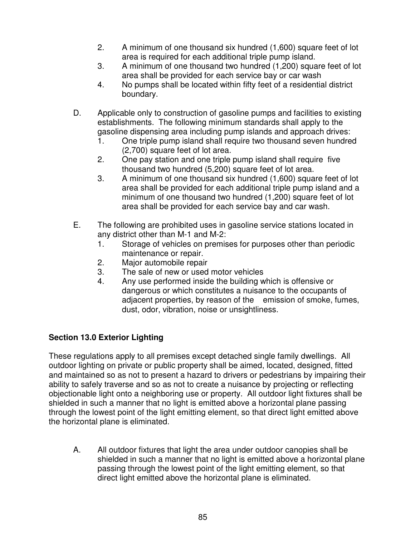- 2. A minimum of one thousand six hundred (1,600) square feet of lot area is required for each additional triple pump island.
- 3. A minimum of one thousand two hundred (1,200) square feet of lot area shall be provided for each service bay or car wash
- 4. No pumps shall be located within fifty feet of a residential district boundary.
- D. Applicable only to construction of gasoline pumps and facilities to existing establishments. The following minimum standards shall apply to the gasoline dispensing area including pump islands and approach drives:
	- 1. One triple pump island shall require two thousand seven hundred (2,700) square feet of lot area.
	- 2. One pay station and one triple pump island shall require five thousand two hundred (5,200) square feet of lot area.
	- 3. A minimum of one thousand six hundred (1,600) square feet of lot area shall be provided for each additional triple pump island and a minimum of one thousand two hundred (1,200) square feet of lot area shall be provided for each service bay and car wash.
- E. The following are prohibited uses in gasoline service stations located in any district other than M-1 and M-2:
	- 1. Storage of vehicles on premises for purposes other than periodic maintenance or repair.
	- 2. Major automobile repair
	- 3. The sale of new or used motor vehicles
	- 4. Any use performed inside the building which is offensive or dangerous or which constitutes a nuisance to the occupants of adjacent properties, by reason of the emission of smoke, fumes, dust, odor, vibration, noise or unsightliness.

# **Section 13.0 Exterior Lighting**

These regulations apply to all premises except detached single family dwellings. All outdoor lighting on private or public property shall be aimed, located, designed, fitted and maintained so as not to present a hazard to drivers or pedestrians by impairing their ability to safely traverse and so as not to create a nuisance by projecting or reflecting objectionable light onto a neighboring use or property. All outdoor light fixtures shall be shielded in such a manner that no light is emitted above a horizontal plane passing through the lowest point of the light emitting element, so that direct light emitted above the horizontal plane is eliminated.

A. All outdoor fixtures that light the area under outdoor canopies shall be shielded in such a manner that no light is emitted above a horizontal plane passing through the lowest point of the light emitting element, so that direct light emitted above the horizontal plane is eliminated.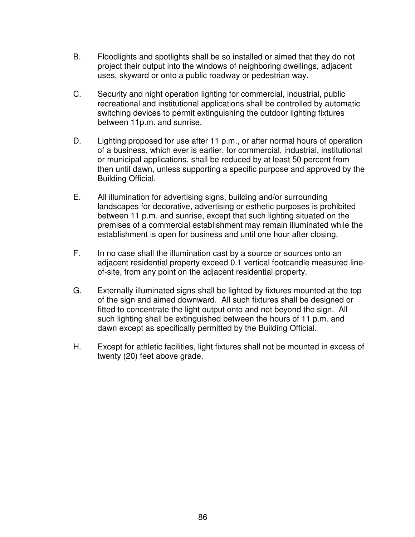- B. Floodlights and spotlights shall be so installed or aimed that they do not project their output into the windows of neighboring dwellings, adjacent uses, skyward or onto a public roadway or pedestrian way.
- C. Security and night operation lighting for commercial, industrial, public recreational and institutional applications shall be controlled by automatic switching devices to permit extinguishing the outdoor lighting fixtures between 11p.m. and sunrise.
- D. Lighting proposed for use after 11 p.m., or after normal hours of operation of a business, which ever is earlier, for commercial, industrial, institutional or municipal applications, shall be reduced by at least 50 percent from then until dawn, unless supporting a specific purpose and approved by the Building Official.
- E. All illumination for advertising signs, building and/or surrounding landscapes for decorative, advertising or esthetic purposes is prohibited between 11 p.m. and sunrise, except that such lighting situated on the premises of a commercial establishment may remain illuminated while the establishment is open for business and until one hour after closing.
- F. In no case shall the illumination cast by a source or sources onto an adjacent residential property exceed 0.1 vertical footcandle measured lineof-site, from any point on the adjacent residential property.
- G. Externally illuminated signs shall be lighted by fixtures mounted at the top of the sign and aimed downward. All such fixtures shall be designed or fitted to concentrate the light output onto and not beyond the sign. All such lighting shall be extinguished between the hours of 11 p.m. and dawn except as specifically permitted by the Building Official.
- H. Except for athletic facilities, light fixtures shall not be mounted in excess of twenty (20) feet above grade.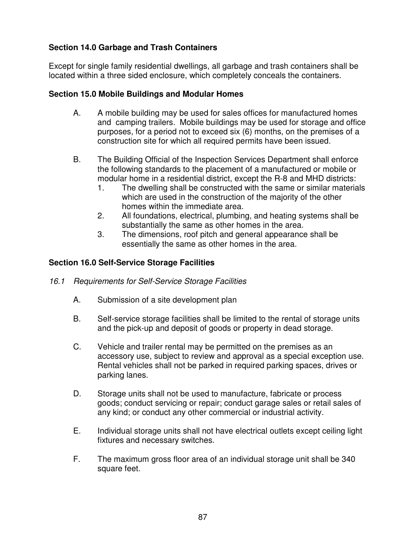# **Section 14.0 Garbage and Trash Containers**

Except for single family residential dwellings, all garbage and trash containers shall be located within a three sided enclosure, which completely conceals the containers.

# **Section 15.0 Mobile Buildings and Modular Homes**

- A. A mobile building may be used for sales offices for manufactured homes and camping trailers. Mobile buildings may be used for storage and office purposes, for a period not to exceed six (6) months, on the premises of a construction site for which all required permits have been issued.
- B. The Building Official of the Inspection Services Department shall enforce the following standards to the placement of a manufactured or mobile or modular home in a residential district, except the R-8 and MHD districts:
	- 1. The dwelling shall be constructed with the same or similar materials which are used in the construction of the majority of the other homes within the immediate area.
	- 2. All foundations, electrical, plumbing, and heating systems shall be substantially the same as other homes in the area.
	- 3. The dimensions, roof pitch and general appearance shall be essentially the same as other homes in the area.

# **Section 16.0 Self-Service Storage Facilities**

- *16.1 Requirements for Self-Service Storage Facilities*
	- A. Submission of a site development plan
	- B. Self-service storage facilities shall be limited to the rental of storage units and the pick-up and deposit of goods or property in dead storage.
	- C. Vehicle and trailer rental may be permitted on the premises as an accessory use, subject to review and approval as a special exception use. Rental vehicles shall not be parked in required parking spaces, drives or parking lanes.
	- D. Storage units shall not be used to manufacture, fabricate or process goods; conduct servicing or repair; conduct garage sales or retail sales of any kind; or conduct any other commercial or industrial activity.
	- E. Individual storage units shall not have electrical outlets except ceiling light fixtures and necessary switches.
	- F. The maximum gross floor area of an individual storage unit shall be 340 square feet.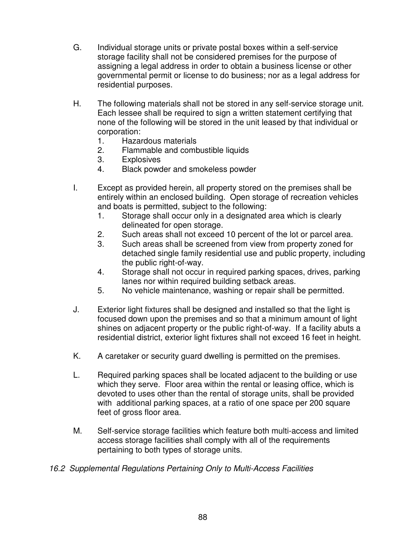- G. Individual storage units or private postal boxes within a self-service storage facility shall not be considered premises for the purpose of assigning a legal address in order to obtain a business license or other governmental permit or license to do business; nor as a legal address for residential purposes.
- H. The following materials shall not be stored in any self-service storage unit. Each lessee shall be required to sign a written statement certifying that none of the following will be stored in the unit leased by that individual or corporation:
	- 1. Hazardous materials
	- 2. Flammable and combustible liquids
	- 3. Explosives
	- 4. Black powder and smokeless powder
- I. Except as provided herein, all property stored on the premises shall be entirely within an enclosed building. Open storage of recreation vehicles and boats is permitted, subject to the following:
	- 1. Storage shall occur only in a designated area which is clearly delineated for open storage.
	- 2. Such areas shall not exceed 10 percent of the lot or parcel area.
	- 3. Such areas shall be screened from view from property zoned for detached single family residential use and public property, including the public right-of-way.
	- 4. Storage shall not occur in required parking spaces, drives, parking lanes nor within required building setback areas.
	- 5. No vehicle maintenance, washing or repair shall be permitted.
- J. Exterior light fixtures shall be designed and installed so that the light is focused down upon the premises and so that a minimum amount of light shines on adjacent property or the public right-of-way. If a facility abuts a residential district, exterior light fixtures shall not exceed 16 feet in height.
- K. A caretaker or security guard dwelling is permitted on the premises.
- L. Required parking spaces shall be located adjacent to the building or use which they serve. Floor area within the rental or leasing office, which is devoted to uses other than the rental of storage units, shall be provided with additional parking spaces, at a ratio of one space per 200 square feet of gross floor area.
- M. Self-service storage facilities which feature both multi-access and limited access storage facilities shall comply with all of the requirements pertaining to both types of storage units.
- *16.2 Supplemental Regulations Pertaining Only to Multi-Access Facilities*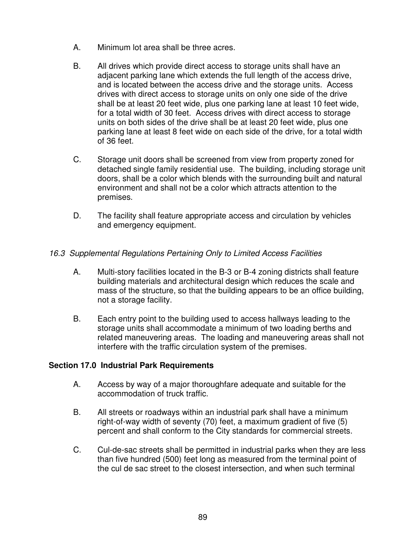- A. Minimum lot area shall be three acres.
- B. All drives which provide direct access to storage units shall have an adjacent parking lane which extends the full length of the access drive, and is located between the access drive and the storage units. Access drives with direct access to storage units on only one side of the drive shall be at least 20 feet wide, plus one parking lane at least 10 feet wide, for a total width of 30 feet. Access drives with direct access to storage units on both sides of the drive shall be at least 20 feet wide, plus one parking lane at least 8 feet wide on each side of the drive, for a total width of 36 feet.
- C. Storage unit doors shall be screened from view from property zoned for detached single family residential use. The building, including storage unit doors, shall be a color which blends with the surrounding built and natural environment and shall not be a color which attracts attention to the premises.
- D. The facility shall feature appropriate access and circulation by vehicles and emergency equipment.

# *16.3 Supplemental Regulations Pertaining Only to Limited Access Facilities*

- A. Multi-story facilities located in the B-3 or B-4 zoning districts shall feature building materials and architectural design which reduces the scale and mass of the structure, so that the building appears to be an office building, not a storage facility.
- B. Each entry point to the building used to access hallways leading to the storage units shall accommodate a minimum of two loading berths and related maneuvering areas. The loading and maneuvering areas shall not interfere with the traffic circulation system of the premises.

### **Section 17.0 Industrial Park Requirements**

- A. Access by way of a major thoroughfare adequate and suitable for the accommodation of truck traffic.
- B. All streets or roadways within an industrial park shall have a minimum right-of-way width of seventy (70) feet, a maximum gradient of five (5) percent and shall conform to the City standards for commercial streets.
- C. Cul-de-sac streets shall be permitted in industrial parks when they are less than five hundred (500) feet long as measured from the terminal point of the cul de sac street to the closest intersection, and when such terminal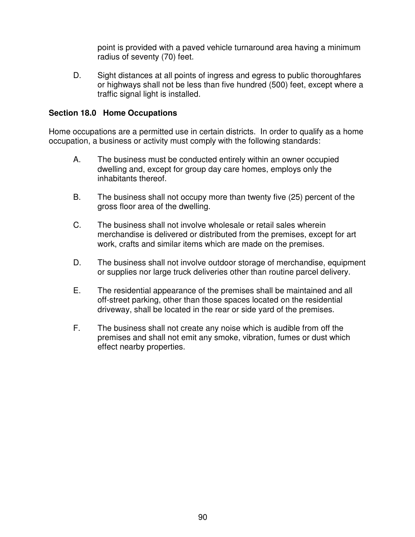point is provided with a paved vehicle turnaround area having a minimum radius of seventy (70) feet.

D. Sight distances at all points of ingress and egress to public thoroughfares or highways shall not be less than five hundred (500) feet, except where a traffic signal light is installed.

### **Section 18.0 Home Occupations**

Home occupations are a permitted use in certain districts. In order to qualify as a home occupation, a business or activity must comply with the following standards:

- A. The business must be conducted entirely within an owner occupied dwelling and, except for group day care homes, employs only the inhabitants thereof.
- B. The business shall not occupy more than twenty five (25) percent of the gross floor area of the dwelling.
- C. The business shall not involve wholesale or retail sales wherein merchandise is delivered or distributed from the premises, except for art work, crafts and similar items which are made on the premises.
- D. The business shall not involve outdoor storage of merchandise, equipment or supplies nor large truck deliveries other than routine parcel delivery.
- E. The residential appearance of the premises shall be maintained and all off-street parking, other than those spaces located on the residential driveway, shall be located in the rear or side yard of the premises.
- F. The business shall not create any noise which is audible from off the premises and shall not emit any smoke, vibration, fumes or dust which effect nearby properties.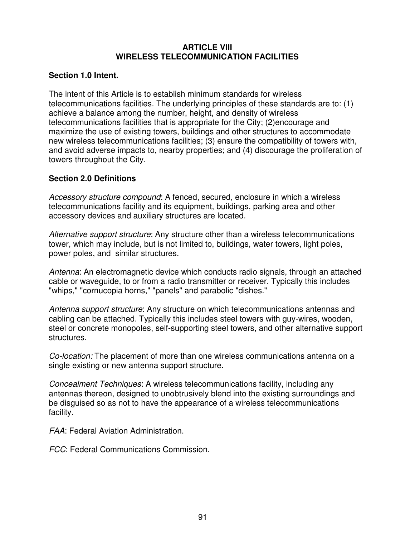### **ARTICLE VIII WIRELESS TELECOMMUNICATION FACILITIES**

### **Section 1.0 Intent.**

The intent of this Article is to establish minimum standards for wireless telecommunications facilities. The underlying principles of these standards are to: (1) achieve a balance among the number, height, and density of wireless telecommunications facilities that is appropriate for the City; (2)encourage and maximize the use of existing towers, buildings and other structures to accommodate new wireless telecommunications facilities; (3) ensure the compatibility of towers with, and avoid adverse impacts to, nearby properties; and (4) discourage the proliferation of towers throughout the City.

# **Section 2.0 Definitions**

*Accessory structure compound*: A fenced, secured, enclosure in which a wireless telecommunications facility and its equipment, buildings, parking area and other accessory devices and auxiliary structures are located.

*Alternative support structure*: Any structure other than a wireless telecommunications tower, which may include, but is not limited to, buildings, water towers, light poles, power poles, and similar structures.

*Antenna*: An electromagnetic device which conducts radio signals, through an attached cable or waveguide, to or from a radio transmitter or receiver. Typically this includes "whips," "cornucopia horns," "panels" and parabolic "dishes."

*Antenna support structure*: Any structure on which telecommunications antennas and cabling can be attached. Typically this includes steel towers with guy-wires, wooden, steel or concrete monopoles, self-supporting steel towers, and other alternative support structures.

*Co-location:* The placement of more than one wireless communications antenna on a single existing or new antenna support structure.

*Concealment Techniques*: A wireless telecommunications facility, including any antennas thereon, designed to unobtrusively blend into the existing surroundings and be disguised so as not to have the appearance of a wireless telecommunications facility.

*FAA*: Federal Aviation Administration.

*FCC*: Federal Communications Commission.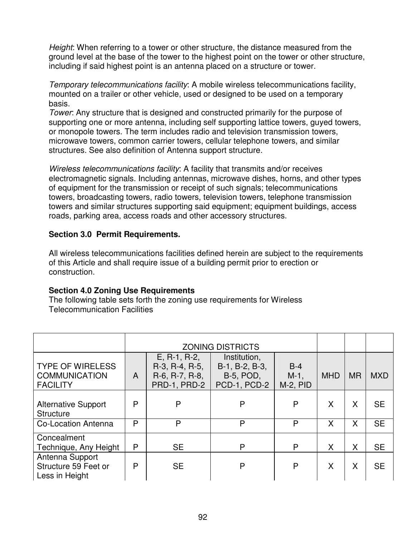*Height*: When referring to a tower or other structure, the distance measured from the ground level at the base of the tower to the highest point on the tower or other structure, including if said highest point is an antenna placed on a structure or tower.

*Temporary telecommunications facility*: A mobile wireless telecommunications facility, mounted on a trailer or other vehicle, used or designed to be used on a temporary basis.

*Tower*: Any structure that is designed and constructed primarily for the purpose of supporting one or more antenna, including self supporting lattice towers, guyed towers, or monopole towers. The term includes radio and television transmission towers, microwave towers, common carrier towers, cellular telephone towers, and similar structures. See also definition of Antenna support structure.

*Wireless telecommunications facility*: A facility that transmits and/or receives electromagnetic signals. Including antennas, microwave dishes, horns, and other types of equipment for the transmission or receipt of such signals; telecommunications towers, broadcasting towers, radio towers, television towers, telephone transmission towers and similar structures supporting said equipment; equipment buildings, access roads, parking area, access roads and other accessory structures.

### **Section 3.0 Permit Requirements.**

All wireless telecommunications facilities defined herein are subject to the requirements of this Article and shall require issue of a building permit prior to erection or construction.

### **Section 4.0 Zoning Use Requirements**

The following table sets forth the zoning use requirements for Wireless Telecommunication Facilities

|                                                                    | <b>ZONING DISTRICTS</b> |                                                                    |                                                                    |                                   |            |           |            |
|--------------------------------------------------------------------|-------------------------|--------------------------------------------------------------------|--------------------------------------------------------------------|-----------------------------------|------------|-----------|------------|
| <b>TYPE OF WIRELESS</b><br><b>COMMUNICATION</b><br><b>FACILITY</b> | $\mathsf{A}$            | $E, R-1, R-2,$<br>R-3, R-4, R-5,<br>R-6, R-7, R-8,<br>PRD-1, PRD-2 | Institution,<br>B-1, B-2, B-3,<br><b>B-5, POD,</b><br>PCD-1, PCD-2 | $B-4$<br>$M-1$ ,<br>$M-2$ , $PID$ | <b>MHD</b> | <b>MR</b> | <b>MXD</b> |
| <b>Alternative Support</b><br><b>Structure</b>                     | P                       | P                                                                  | P                                                                  | P                                 | X          | X         | <b>SE</b>  |
| <b>Co-Location Antenna</b>                                         | P                       | P                                                                  | P                                                                  | P                                 | X          | X         | <b>SE</b>  |
| Concealment<br>Technique, Any Height                               | P                       | <b>SE</b>                                                          | P                                                                  | P                                 | X          | Χ         | <b>SE</b>  |
| Antenna Support<br>Structure 59 Feet or<br>Less in Height          | P                       | <b>SE</b>                                                          | P                                                                  | P                                 | X          | X         | <b>SE</b>  |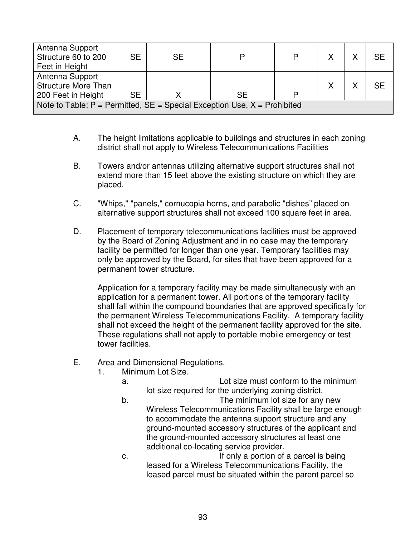| Antenna Support<br>Structure 60 to 200<br>Feet in Height                          | <b>SE</b> | <b>SE</b> |     | P | $\checkmark$ | <b>SE</b> |
|-----------------------------------------------------------------------------------|-----------|-----------|-----|---|--------------|-----------|
| Antenna Support<br><b>Structure More Than</b><br>200 Feet in Height               | <b>SE</b> |           | SE. | P |              | <b>SE</b> |
| Note to Table: $P = P$ ermitted, $SE = S$ pecial Exception Use, $X = P$ rohibited |           |           |     |   |              |           |

- A. The height limitations applicable to buildings and structures in each zoning district shall not apply to Wireless Telecommunications Facilities
- B. Towers and/or antennas utilizing alternative support structures shall not extend more than 15 feet above the existing structure on which they are placed.
- C. "Whips," "panels," cornucopia horns, and parabolic "dishes" placed on alternative support structures shall not exceed 100 square feet in area.
- D. Placement of temporary telecommunications facilities must be approved by the Board of Zoning Adjustment and in no case may the temporary facility be permitted for longer than one year. Temporary facilities may only be approved by the Board, for sites that have been approved for a permanent tower structure.

Application for a temporary facility may be made simultaneously with an application for a permanent tower. All portions of the temporary facility shall fall within the compound boundaries that are approved specifically for the permanent Wireless Telecommunications Facility. A temporary facility shall not exceed the height of the permanent facility approved for the site. These regulations shall not apply to portable mobile emergency or test tower facilities.

- E. Area and Dimensional Regulations.
	- 1. Minimum Lot Size.
		- a. Lot size must conform to the minimum lot size required for the underlying zoning district.
		- b. The minimum lot size for any new Wireless Telecommunications Facility shall be large enough to accommodate the antenna support structure and any ground-mounted accessory structures of the applicant and the ground-mounted accessory structures at least one additional co-locating service provider.
		- c. If only a portion of a parcel is being leased for a Wireless Telecommunications Facility, the leased parcel must be situated within the parent parcel so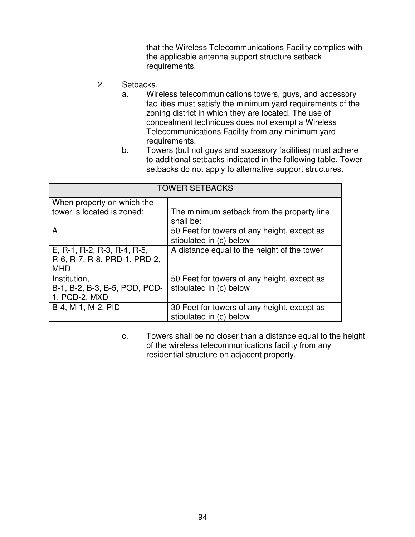that the Wireless Telecommunications Facility complies with the applicable antenna support structure setback requirements.

- 2. Setbacks.
	- a. Wireless telecommunications towers, guys, and accessory facilities must satisfy the minimum yard requirements of the zoning district in which they are located. The use of concealment techniques does not exempt a Wireless Telecommunications Facility from any minimum yard requirements.
	- b. Towers (but not guys and accessory facilities) must adhere to additional setbacks indicated in the following table. Tower setbacks do not apply to alternative support structures.

| <b>TOWER SETBACKS</b>                                                     |                                                                        |  |  |
|---------------------------------------------------------------------------|------------------------------------------------------------------------|--|--|
| When property on which the                                                |                                                                        |  |  |
| tower is located is zoned:                                                | The minimum setback from the property line<br>shall be:                |  |  |
| A                                                                         | 50 Feet for towers of any height, except as<br>stipulated in (c) below |  |  |
| E, R-1, R-2, R-3, R-4, R-5,<br>R-6, R-7, R-8, PRD-1, PRD-2,<br><b>MHD</b> | A distance equal to the height of the tower                            |  |  |
| Institution,<br>B-1, B-2, B-3, B-5, POD, PCD-<br>1, PCD-2, MXD            | 50 Feet for towers of any height, except as<br>stipulated in (c) below |  |  |
| B-4, M-1, M-2, PID                                                        | 30 Feet for towers of any height, except as<br>stipulated in (c) below |  |  |

c. Towers shall be no closer than a distance equal to the height of the wireless telecommunications facility from any residential structure on adjacent property.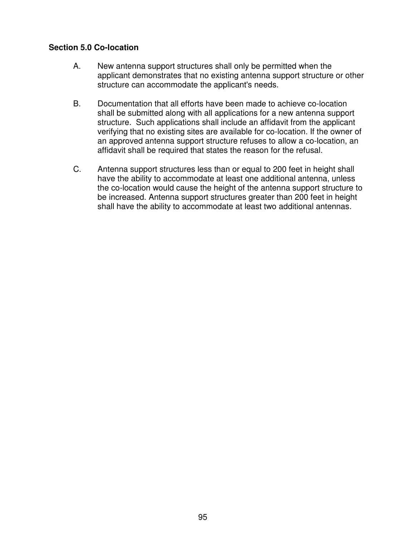### **Section 5.0 Co-location**

- A. New antenna support structures shall only be permitted when the applicant demonstrates that no existing antenna support structure or other structure can accommodate the applicant's needs.
- B. Documentation that all efforts have been made to achieve co-location shall be submitted along with all applications for a new antenna support structure. Such applications shall include an affidavit from the applicant verifying that no existing sites are available for co-location. If the owner of an approved antenna support structure refuses to allow a co-location, an affidavit shall be required that states the reason for the refusal.
- C. Antenna support structures less than or equal to 200 feet in height shall have the ability to accommodate at least one additional antenna, unless the co-location would cause the height of the antenna support structure to be increased. Antenna support structures greater than 200 feet in height shall have the ability to accommodate at least two additional antennas.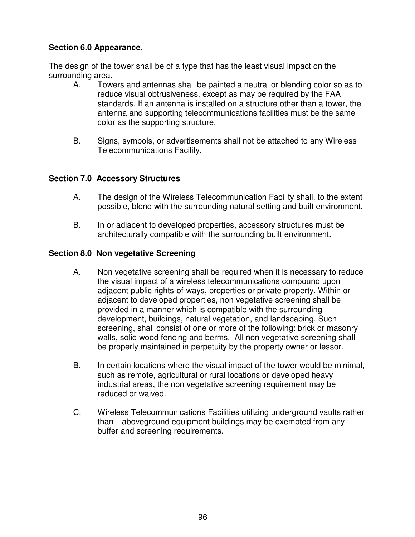# **Section 6.0 Appearance**.

The design of the tower shall be of a type that has the least visual impact on the surrounding area.

- A. Towers and antennas shall be painted a neutral or blending color so as to reduce visual obtrusiveness, except as may be required by the FAA standards. If an antenna is installed on a structure other than a tower, the antenna and supporting telecommunications facilities must be the same color as the supporting structure.
- B. Signs, symbols, or advertisements shall not be attached to any Wireless Telecommunications Facility.

# **Section 7.0 Accessory Structures**

- A. The design of the Wireless Telecommunication Facility shall, to the extent possible, blend with the surrounding natural setting and built environment.
- B. In or adjacent to developed properties, accessory structures must be architecturally compatible with the surrounding built environment.

# **Section 8.0 Non vegetative Screening**

- A. Non vegetative screening shall be required when it is necessary to reduce the visual impact of a wireless telecommunications compound upon adjacent public rights-of-ways, properties or private property. Within or adjacent to developed properties, non vegetative screening shall be provided in a manner which is compatible with the surrounding development, buildings, natural vegetation, and landscaping. Such screening, shall consist of one or more of the following: brick or masonry walls, solid wood fencing and berms. All non vegetative screening shall be properly maintained in perpetuity by the property owner or lessor.
- B. In certain locations where the visual impact of the tower would be minimal, such as remote, agricultural or rural locations or developed heavy industrial areas, the non vegetative screening requirement may be reduced or waived.
- C. Wireless Telecommunications Facilities utilizing underground vaults rather than aboveground equipment buildings may be exempted from any buffer and screening requirements.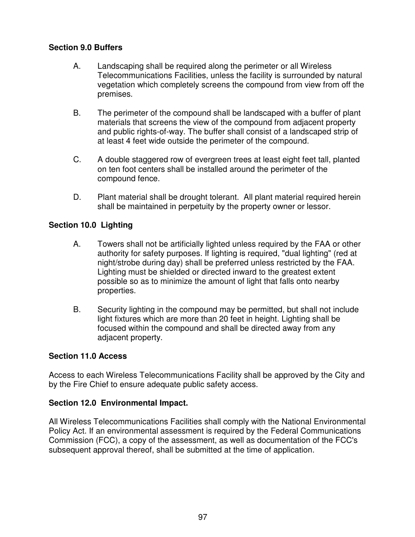# **Section 9.0 Buffers**

- A. Landscaping shall be required along the perimeter or all Wireless Telecommunications Facilities, unless the facility is surrounded by natural vegetation which completely screens the compound from view from off the premises.
- B. The perimeter of the compound shall be landscaped with a buffer of plant materials that screens the view of the compound from adjacent property and public rights-of-way. The buffer shall consist of a landscaped strip of at least 4 feet wide outside the perimeter of the compound.
- C. A double staggered row of evergreen trees at least eight feet tall, planted on ten foot centers shall be installed around the perimeter of the compound fence.
- D. Plant material shall be drought tolerant. All plant material required herein shall be maintained in perpetuity by the property owner or lessor.

# **Section 10.0 Lighting**

- A. Towers shall not be artificially lighted unless required by the FAA or other authority for safety purposes. If lighting is required, "dual lighting" (red at night/strobe during day) shall be preferred unless restricted by the FAA. Lighting must be shielded or directed inward to the greatest extent possible so as to minimize the amount of light that falls onto nearby properties.
- B. Security lighting in the compound may be permitted, but shall not include light fixtures which are more than 20 feet in height. Lighting shall be focused within the compound and shall be directed away from any adjacent property.

# **Section 11.0 Access**

Access to each Wireless Telecommunications Facility shall be approved by the City and by the Fire Chief to ensure adequate public safety access.

# **Section 12.0 Environmental Impact.**

All Wireless Telecommunications Facilities shall comply with the National Environmental Policy Act. If an environmental assessment is required by the Federal Communications Commission (FCC), a copy of the assessment, as well as documentation of the FCC's subsequent approval thereof, shall be submitted at the time of application.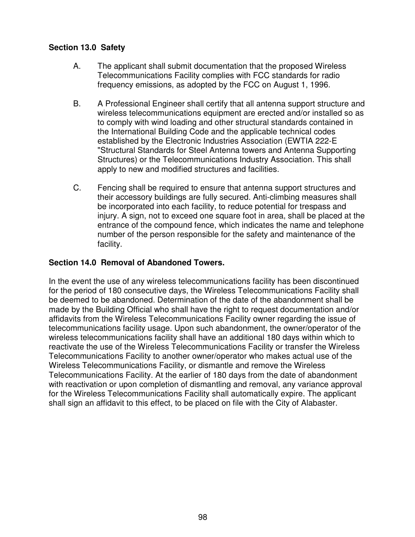# **Section 13.0 Safety**

- A. The applicant shall submit documentation that the proposed Wireless Telecommunications Facility complies with FCC standards for radio frequency emissions, as adopted by the FCC on August 1, 1996.
- B. A Professional Engineer shall certify that all antenna support structure and wireless telecommunications equipment are erected and/or installed so as to comply with wind loading and other structural standards contained in the International Building Code and the applicable technical codes established by the Electronic Industries Association (EWTIA 222-E "Structural Standards for Steel Antenna towers and Antenna Supporting Structures) or the Telecommunications Industry Association. This shall apply to new and modified structures and facilities.
- C. Fencing shall be required to ensure that antenna support structures and their accessory buildings are fully secured. Anti-climbing measures shall be incorporated into each facility, to reduce potential for trespass and injury. A sign, not to exceed one square foot in area, shall be placed at the entrance of the compound fence, which indicates the name and telephone number of the person responsible for the safety and maintenance of the facility.

# **Section 14.0 Removal of Abandoned Towers.**

In the event the use of any wireless telecommunications facility has been discontinued for the period of 180 consecutive days, the Wireless Telecommunications Facility shall be deemed to be abandoned. Determination of the date of the abandonment shall be made by the Building Official who shall have the right to request documentation and/or affidavits from the Wireless Telecommunications Facility owner regarding the issue of telecommunications facility usage. Upon such abandonment, the owner/operator of the wireless telecommunications facility shall have an additional 180 days within which to reactivate the use of the Wireless Telecommunications Facility or transfer the Wireless Telecommunications Facility to another owner/operator who makes actual use of the Wireless Telecommunications Facility, or dismantle and remove the Wireless Telecommunications Facility. At the earlier of 180 days from the date of abandonment with reactivation or upon completion of dismantling and removal, any variance approval for the Wireless Telecommunications Facility shall automatically expire. The applicant shall sign an affidavit to this effect, to be placed on file with the City of Alabaster.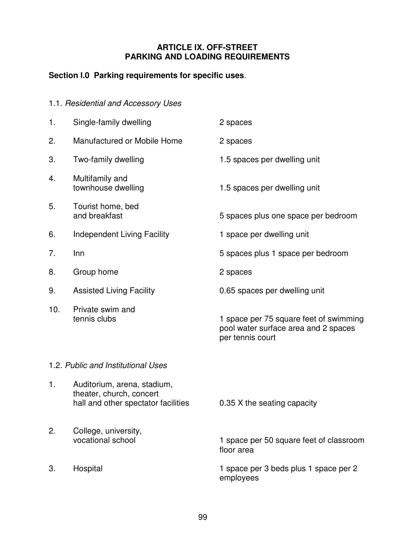### **ARTICLE IX. OFF-STREET PARKING AND LOADING REQUIREMENTS**

# **Section l.0 Parking requirements for specific uses**.

|     | 1.1. Residential and Accessory Uses                                                            |                                                                                                    |
|-----|------------------------------------------------------------------------------------------------|----------------------------------------------------------------------------------------------------|
| 1.  | Single-family dwelling                                                                         | 2 spaces                                                                                           |
| 2.  | Manufactured or Mobile Home                                                                    | 2 spaces                                                                                           |
| 3.  | Two-family dwelling                                                                            | 1.5 spaces per dwelling unit                                                                       |
| 4.  | Multifamily and<br>townhouse dwelling                                                          | 1.5 spaces per dwelling unit                                                                       |
| 5.  | Tourist home, bed<br>and breakfast                                                             | 5 spaces plus one space per bedroom                                                                |
| 6.  | <b>Independent Living Facility</b>                                                             | 1 space per dwelling unit                                                                          |
| 7.  | Inn                                                                                            | 5 spaces plus 1 space per bedroom                                                                  |
| 8.  | Group home                                                                                     | 2 spaces                                                                                           |
| 9.  | <b>Assisted Living Facility</b>                                                                | 0.65 spaces per dwelling unit                                                                      |
| 10. | Private swim and<br>tennis clubs                                                               | 1 space per 75 square feet of swimming<br>pool water surface area and 2 spaces<br>per tennis court |
|     | 1.2. Public and Institutional Uses                                                             |                                                                                                    |
| 1.  | Auditorium, arena, stadium,<br>theater, church, concert<br>hall and other spectator facilities | 0.35 X the seating capacity                                                                        |
| 2.  | College, university,<br>vocational school                                                      | 1 space per 50 square feet of classroom<br>floor area                                              |
| 3.  | Hospital                                                                                       | 1 space per 3 beds plus 1 space per 2                                                              |

employees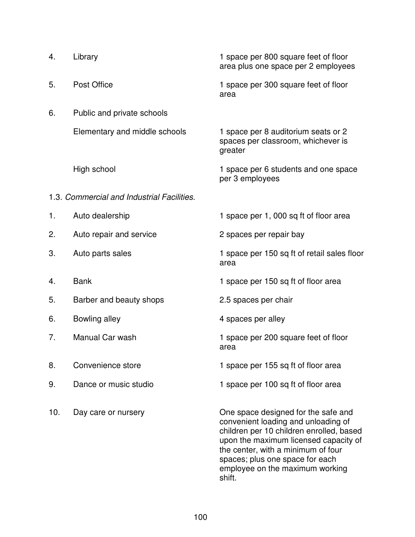| 4.  | Library                                    | 1 space per 800 square feet of floor<br>area plus one space per 2 employees                                                                                                                                                                                                           |
|-----|--------------------------------------------|---------------------------------------------------------------------------------------------------------------------------------------------------------------------------------------------------------------------------------------------------------------------------------------|
| 5.  | Post Office                                | 1 space per 300 square feet of floor<br>area                                                                                                                                                                                                                                          |
| 6.  | Public and private schools                 |                                                                                                                                                                                                                                                                                       |
|     | Elementary and middle schools              | 1 space per 8 auditorium seats or 2<br>spaces per classroom, whichever is<br>greater                                                                                                                                                                                                  |
|     | High school                                | 1 space per 6 students and one space<br>per 3 employees                                                                                                                                                                                                                               |
|     | 1.3. Commercial and Industrial Facilities. |                                                                                                                                                                                                                                                                                       |
| 1.  | Auto dealership                            | 1 space per 1, 000 sq ft of floor area                                                                                                                                                                                                                                                |
| 2.  | Auto repair and service                    | 2 spaces per repair bay                                                                                                                                                                                                                                                               |
| 3.  | Auto parts sales                           | 1 space per 150 sq ft of retail sales floor<br>area                                                                                                                                                                                                                                   |
| 4.  | <b>Bank</b>                                | 1 space per 150 sq ft of floor area                                                                                                                                                                                                                                                   |
| 5.  | Barber and beauty shops                    | 2.5 spaces per chair                                                                                                                                                                                                                                                                  |
| 6.  | Bowling alley                              | 4 spaces per alley                                                                                                                                                                                                                                                                    |
| 7.  | Manual Car wash                            | 1 space per 200 square feet of floor<br>area                                                                                                                                                                                                                                          |
| 8.  | Convenience store                          | 1 space per 155 sq ft of floor area                                                                                                                                                                                                                                                   |
| 9.  | Dance or music studio                      | 1 space per 100 sq ft of floor area                                                                                                                                                                                                                                                   |
| 10. | Day care or nursery                        | One space designed for the safe and<br>convenient loading and unloading of<br>children per 10 children enrolled, based<br>upon the maximum licensed capacity of<br>the center, with a minimum of four<br>spaces; plus one space for each<br>employee on the maximum working<br>shift. |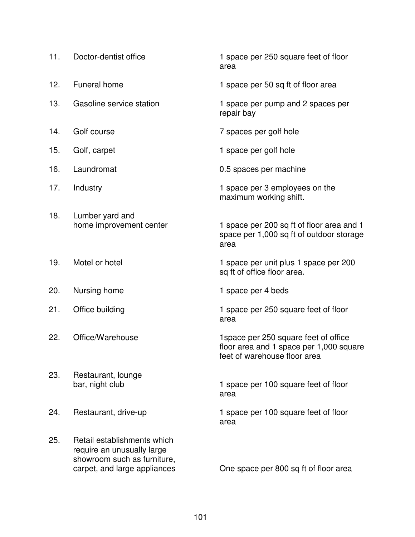| 11. | Doctor-dentist office                                                                                                    | 1 space per 250 square feet of floor<br>area                                                                     |
|-----|--------------------------------------------------------------------------------------------------------------------------|------------------------------------------------------------------------------------------------------------------|
| 12. | <b>Funeral home</b>                                                                                                      | 1 space per 50 sq ft of floor area                                                                               |
| 13. | Gasoline service station                                                                                                 | 1 space per pump and 2 spaces per<br>repair bay                                                                  |
| 14. | Golf course                                                                                                              | 7 spaces per golf hole                                                                                           |
| 15. | Golf, carpet                                                                                                             | 1 space per golf hole                                                                                            |
| 16. | Laundromat                                                                                                               | 0.5 spaces per machine                                                                                           |
| 17. | Industry                                                                                                                 | 1 space per 3 employees on the<br>maximum working shift.                                                         |
| 18. | Lumber yard and<br>home improvement center                                                                               | 1 space per 200 sq ft of floor area and 1<br>space per 1,000 sq ft of outdoor storage<br>area                    |
| 19. | Motel or hotel                                                                                                           | 1 space per unit plus 1 space per 200<br>sq ft of office floor area.                                             |
| 20. | Nursing home                                                                                                             | 1 space per 4 beds                                                                                               |
| 21. | Office building                                                                                                          | 1 space per 250 square feet of floor<br>area                                                                     |
| 22. | Office/Warehouse                                                                                                         | 1 space per 250 square feet of office<br>floor area and 1 space per 1,000 square<br>feet of warehouse floor area |
| 23. | Restaurant, lounge<br>bar, night club                                                                                    | 1 space per 100 square feet of floor<br>area                                                                     |
| 24. | Restaurant, drive-up                                                                                                     | 1 space per 100 square feet of floor<br>area                                                                     |
| 25. | Retail establishments which<br>require an unusually large<br>showroom such as furniture,<br>carpet, and large appliances | One space per 800 sq ft of floor area                                                                            |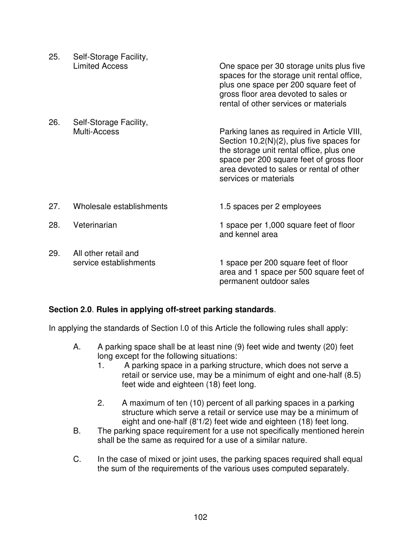| 25. | Self-Storage Facility,<br><b>Limited Access</b> | One space per 30 storage units plus five<br>spaces for the storage unit rental office,<br>plus one space per 200 square feet of<br>gross floor area devoted to sales or<br>rental of other services or materials                                       |
|-----|-------------------------------------------------|--------------------------------------------------------------------------------------------------------------------------------------------------------------------------------------------------------------------------------------------------------|
| 26. | Self-Storage Facility,<br>Multi-Access          | Parking lanes as required in Article VIII,<br>Section $10.2(N)(2)$ , plus five spaces for<br>the storage unit rental office, plus one<br>space per 200 square feet of gross floor<br>area devoted to sales or rental of other<br>services or materials |
| 27. | Wholesale establishments                        | 1.5 spaces per 2 employees                                                                                                                                                                                                                             |
| 28. | Veterinarian                                    | 1 space per 1,000 square feet of floor<br>and kennel area                                                                                                                                                                                              |
| 29. | All other retail and<br>service establishments  | 1 space per 200 square feet of floor<br>area and 1 space per 500 square feet of<br>permanent outdoor sales                                                                                                                                             |

# **Section 2.0**. **Rules in applying off-street parking standards**.

In applying the standards of Section l.0 of this Article the following rules shall apply:

- A. A parking space shall be at least nine (9) feet wide and twenty (20) feet long except for the following situations:
	- 1. A parking space in a parking structure, which does not serve a retail or service use, may be a minimum of eight and one-half (8.5) feet wide and eighteen (18) feet long.
	- 2. A maximum of ten (10) percent of all parking spaces in a parking structure which serve a retail or service use may be a minimum of eight and one-half (8'1/2) feet wide and eighteen (18) feet long.
- B. The parking space requirement for a use not specifically mentioned herein shall be the same as required for a use of a similar nature.
- C. In the case of mixed or joint uses, the parking spaces required shall equal the sum of the requirements of the various uses computed separately.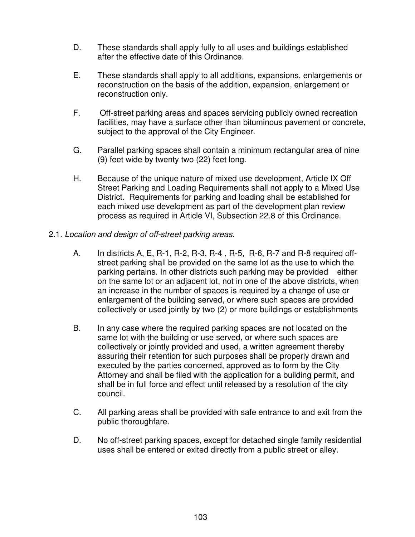- D. These standards shall apply fully to all uses and buildings established after the effective date of this Ordinance.
- E. These standards shall apply to all additions, expansions, enlargements or reconstruction on the basis of the addition, expansion, enlargement or reconstruction only.
- F. Off-street parking areas and spaces servicing publicly owned recreation facilities, may have a surface other than bituminous pavement or concrete, subject to the approval of the City Engineer.
- G. Parallel parking spaces shall contain a minimum rectangular area of nine (9) feet wide by twenty two (22) feet long.
- H. Because of the unique nature of mixed use development, Article IX Off Street Parking and Loading Requirements shall not apply to a Mixed Use District. Requirements for parking and loading shall be established for each mixed use development as part of the development plan review process as required in Article VI, Subsection 22.8 of this Ordinance.
- 2.1. *Location and design of off-street parking areas*.
	- A. In districts A, E, R-1, R-2, R-3, R-4 , R-5, R-6, R-7 and R-8 required offstreet parking shall be provided on the same lot as the use to which the parking pertains. In other districts such parking may be provided either on the same lot or an adjacent lot, not in one of the above districts, when an increase in the number of spaces is required by a change of use or enlargement of the building served, or where such spaces are provided collectively or used jointly by two (2) or more buildings or establishments
	- B. In any case where the required parking spaces are not located on the same lot with the building or use served, or where such spaces are collectively or jointly provided and used, a written agreement thereby assuring their retention for such purposes shall be properly drawn and executed by the parties concerned, approved as to form by the City Attorney and shall be filed with the application for a building permit, and shall be in full force and effect until released by a resolution of the city council.
	- C. All parking areas shall be provided with safe entrance to and exit from the public thoroughfare.
	- D. No off-street parking spaces, except for detached single family residential uses shall be entered or exited directly from a public street or alley.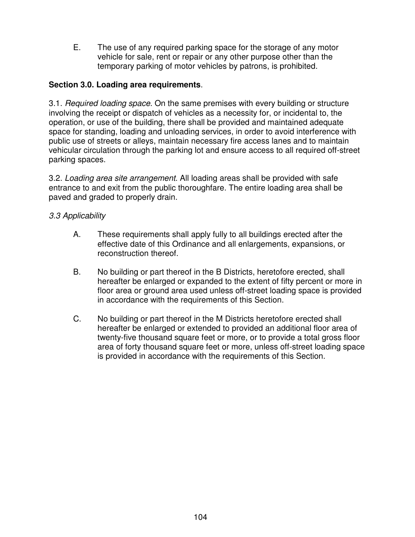E. The use of any required parking space for the storage of any motor vehicle for sale, rent or repair or any other purpose other than the temporary parking of motor vehicles by patrons, is prohibited.

### **Section 3.0. Loading area requirements**.

3.1. *Required loading space*. On the same premises with every building or structure involving the receipt or dispatch of vehicles as a necessity for, or incidental to, the operation, or use of the building, there shall be provided and maintained adequate space for standing, loading and unloading services, in order to avoid interference with public use of streets or alleys, maintain necessary fire access lanes and to maintain vehicular circulation through the parking lot and ensure access to all required off-street parking spaces.

3.2. *Loading area site arrangement*. All loading areas shall be provided with safe entrance to and exit from the public thoroughfare. The entire loading area shall be paved and graded to properly drain.

### *3.3 Applicability*

- A. These requirements shall apply fully to all buildings erected after the effective date of this Ordinance and all enlargements, expansions, or reconstruction thereof.
- B. No building or part thereof in the B Districts, heretofore erected, shall hereafter be enlarged or expanded to the extent of fifty percent or more in floor area or ground area used unless off-street loading space is provided in accordance with the requirements of this Section.
- C. No building or part thereof in the M Districts heretofore erected shall hereafter be enlarged or extended to provided an additional floor area of twenty-five thousand square feet or more, or to provide a total gross floor area of forty thousand square feet or more, unless off-street loading space is provided in accordance with the requirements of this Section.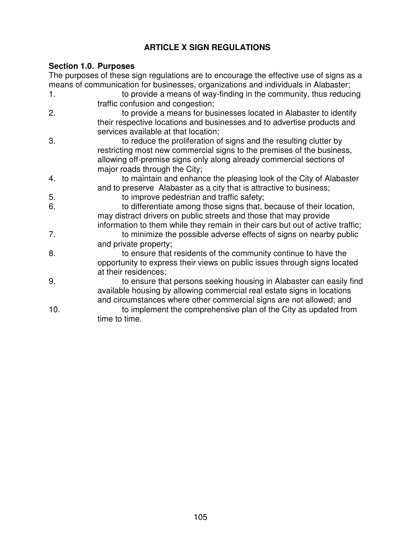# **ARTICLE X SIGN REGULATIONS**

### **Section 1.0. Purposes**

The purposes of these sign regulations are to encourage the effective use of signs as a means of communication for businesses, organizations and individuals in Alabaster;

- 1. to provide a means of way-finding in the community, thus reducing traffic confusion and congestion;
- 2. to provide a means for businesses located in Alabaster to identify their respective locations and businesses and to advertise products and services available at that location;
- 3. to reduce the proliferation of signs and the resulting clutter by restricting most new commercial signs to the premises of the business, allowing off-premise signs only along already commercial sections of major roads through the City;
- 4. to maintain and enhance the pleasing look of the City of Alabaster and to preserve Alabaster as a city that is attractive to business;
- 5. to improve pedestrian and traffic safety;
- 6. to differentiate among those signs that, because of their location, may distract drivers on public streets and those that may provide information to them while they remain in their cars but out of active traffic;
- 7. to minimize the possible adverse effects of signs on nearby public and private property;
- 8. to ensure that residents of the community continue to have the opportunity to express their views on public issues through signs located at their residences;
- 9. to ensure that persons seeking housing in Alabaster can easily find available housing by allowing commercial real estate signs in locations and circumstances where other commercial signs are not allowed; and
- 10. to implement the comprehensive plan of the City as updated from time to time.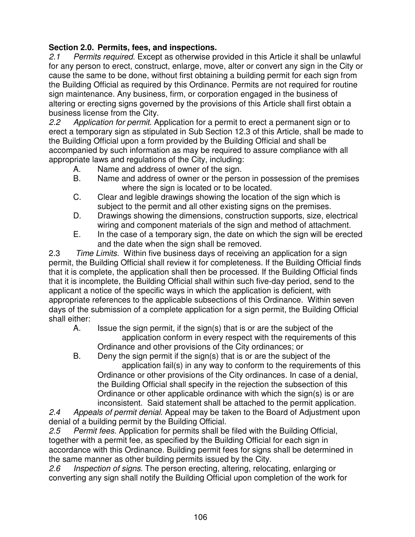# **Section 2.0. Permits, fees, and inspections.**

*2.1 Permits required*. Except as otherwise provided in this Article it shall be unlawful for any person to erect, construct, enlarge, move, alter or convert any sign in the City or cause the same to be done, without first obtaining a building permit for each sign from the Building Official as required by this Ordinance. Permits are not required for routine sign maintenance. Any business, firm, or corporation engaged in the business of altering or erecting signs governed by the provisions of this Article shall first obtain a business license from the City.

*2.2 Application for permit*. Application for a permit to erect a permanent sign or to erect a temporary sign as stipulated in Sub Section 12.3 of this Article, shall be made to the Building Official upon a form provided by the Building Official and shall be accompanied by such information as may be required to assure compliance with all appropriate laws and regulations of the City, including:

- A. Name and address of owner of the sign.
- B. Name and address of owner or the person in possession of the premises where the sign is located or to be located.
- C. Clear and legible drawings showing the location of the sign which is subject to the permit and all other existing signs on the premises.
- D. Drawings showing the dimensions, construction supports, size, electrical wiring and component materials of the sign and method of attachment.
- E. In the case of a temporary sign, the date on which the sign will be erected and the date when the sign shall be removed.

2.3 *Time Limits.* Within five business days of receiving an application for a sign permit, the Building Official shall review it for completeness. If the Building Official finds that it is complete, the application shall then be processed. If the Building Official finds that it is incomplete, the Building Official shall within such five-day period, send to the applicant a notice of the specific ways in which the application is deficient, with appropriate references to the applicable subsections of this Ordinance. Within seven days of the submission of a complete application for a sign permit, the Building Official shall either:

- A. Issue the sign permit, if the sign(s) that is or are the subject of the application conform in every respect with the requirements of this Ordinance and other provisions of the City ordinances; or
- B. Deny the sign permit if the sign(s) that is or are the subject of the application fail(s) in any way to conform to the requirements of this Ordinance or other provisions of the City ordinances. In case of a denial, the Building Official shall specify in the rejection the subsection of this Ordinance or other applicable ordinance with which the sign(s) is or are inconsistent. Said statement shall be attached to the permit application.

*2.4 Appeals of permit denial*. Appeal may be taken to the Board of Adjustment upon denial of a building permit by the Building Official.

*2.5 Permit fees*. Application for permits shall be filed with the Building Official, together with a permit fee, as specified by the Building Official for each sign in accordance with this Ordinance. Building permit fees for signs shall be determined in the same manner as other building permits issued by the City.

*2.6 Inspection of signs*. The person erecting, altering, relocating, enlarging or converting any sign shall notify the Building Official upon completion of the work for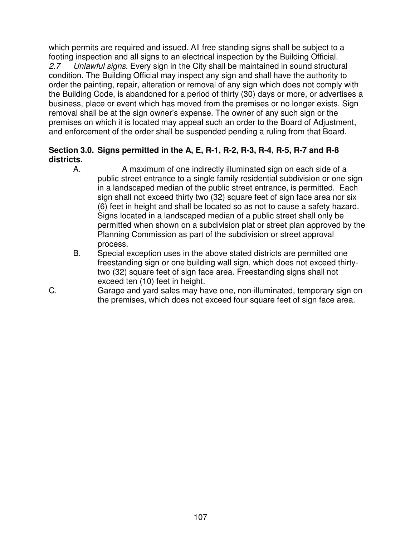which permits are required and issued. All free standing signs shall be subject to a footing inspection and all signs to an electrical inspection by the Building Official. *2.7 Unlawful signs*. Every sign in the City shall be maintained in sound structural condition. The Building Official may inspect any sign and shall have the authority to order the painting, repair, alteration or removal of any sign which does not comply with the Building Code, is abandoned for a period of thirty (30) days or more, or advertises a business, place or event which has moved from the premises or no longer exists. Sign removal shall be at the sign owner's expense. The owner of any such sign or the premises on which it is located may appeal such an order to the Board of Adjustment, and enforcement of the order shall be suspended pending a ruling from that Board.

### **Section 3.0. Signs permitted in the A, E, R-1, R-2, R-3, R-4, R-5, R-7 and R-8 districts.**

- A. A maximum of one indirectly illuminated sign on each side of a public street entrance to a single family residential subdivision or one sign in a landscaped median of the public street entrance, is permitted. Each sign shall not exceed thirty two (32) square feet of sign face area nor six (6) feet in height and shall be located so as not to cause a safety hazard. Signs located in a landscaped median of a public street shall only be permitted when shown on a subdivision plat or street plan approved by the Planning Commission as part of the subdivision or street approval process.
- B. Special exception uses in the above stated districts are permitted one freestanding sign or one building wall sign, which does not exceed thirtytwo (32) square feet of sign face area. Freestanding signs shall not exceed ten (10) feet in height.
- C. Garage and yard sales may have one, non-illuminated, temporary sign on the premises, which does not exceed four square feet of sign face area.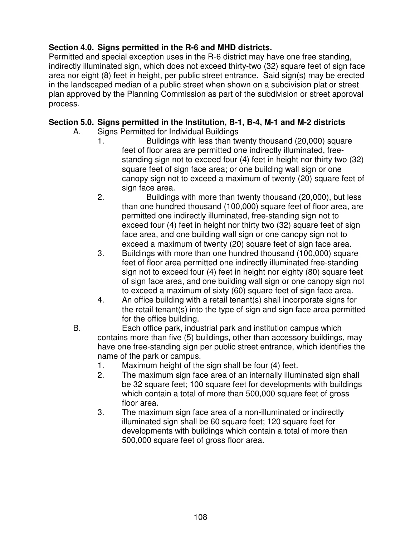# **Section 4.0. Signs permitted in the R-6 and MHD districts.**

Permitted and special exception uses in the R-6 district may have one free standing, indirectly illuminated sign, which does not exceed thirty-two (32) square feet of sign face area nor eight (8) feet in height, per public street entrance. Said sign(s) may be erected in the landscaped median of a public street when shown on a subdivision plat or street plan approved by the Planning Commission as part of the subdivision or street approval process.

## **Section 5.0. Signs permitted in the Institution, B-1, B-4, M-1 and M-2 districts**

- A. Signs Permitted for Individual Buildings
	- 1. Buildings with less than twenty thousand (20,000) square feet of floor area are permitted one indirectly illuminated, freestanding sign not to exceed four (4) feet in height nor thirty two (32) square feet of sign face area; or one building wall sign or one canopy sign not to exceed a maximum of twenty (20) square feet of sign face area.
	- 2. Buildings with more than twenty thousand (20,000), but less than one hundred thousand (100,000) square feet of floor area, are permitted one indirectly illuminated, free-standing sign not to exceed four (4) feet in height nor thirty two (32) square feet of sign face area, and one building wall sign or one canopy sign not to exceed a maximum of twenty (20) square feet of sign face area.
	- 3. Buildings with more than one hundred thousand (100,000) square feet of floor area permitted one indirectly illuminated free-standing sign not to exceed four (4) feet in height nor eighty (80) square feet of sign face area, and one building wall sign or one canopy sign not to exceed a maximum of sixty (60) square feet of sign face area.
	- 4. An office building with a retail tenant(s) shall incorporate signs for the retail tenant(s) into the type of sign and sign face area permitted for the office building.
- B. Each office park, industrial park and institution campus which contains more than five (5) buildings, other than accessory buildings, may have one free-standing sign per public street entrance, which identifies the name of the park or campus.
	- 1. Maximum height of the sign shall be four (4) feet.
	- 2. The maximum sign face area of an internally illuminated sign shall be 32 square feet; 100 square feet for developments with buildings which contain a total of more than 500,000 square feet of gross floor area.
	- 3. The maximum sign face area of a non-illuminated or indirectly illuminated sign shall be 60 square feet; 120 square feet for developments with buildings which contain a total of more than 500,000 square feet of gross floor area.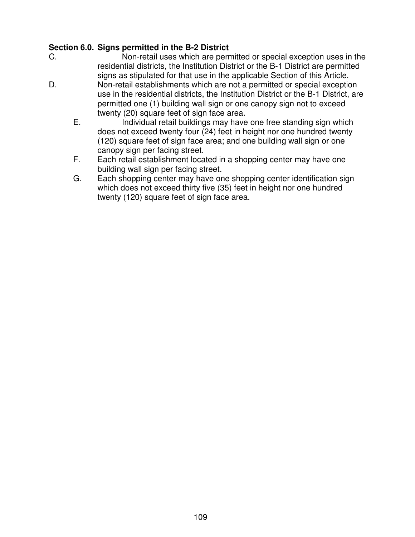## **Section 6.0. Signs permitted in the B-2 District**

- C. Non-retail uses which are permitted or special exception uses in the residential districts, the Institution District or the B-1 District are permitted signs as stipulated for that use in the applicable Section of this Article.
- D. Non-retail establishments which are not a permitted or special exception use in the residential districts, the Institution District or the B-1 District, are permitted one (1) building wall sign or one canopy sign not to exceed twenty (20) square feet of sign face area.
	- E. Individual retail buildings may have one free standing sign which does not exceed twenty four (24) feet in height nor one hundred twenty (120) square feet of sign face area; and one building wall sign or one canopy sign per facing street.
	- F. Each retail establishment located in a shopping center may have one building wall sign per facing street.
	- G. Each shopping center may have one shopping center identification sign which does not exceed thirty five (35) feet in height nor one hundred twenty (120) square feet of sign face area.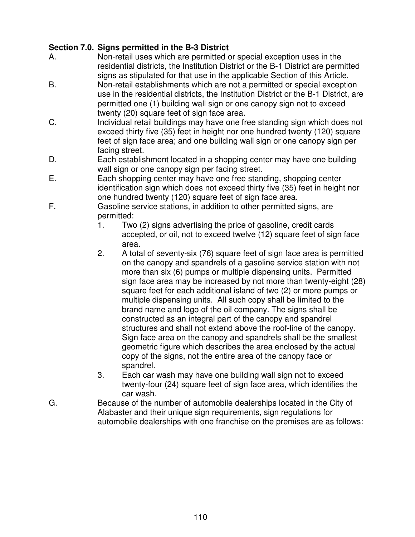## **Section 7.0. Signs permitted in the B-3 District**

- A. Non-retail uses which are permitted or special exception uses in the residential districts, the Institution District or the B-1 District are permitted signs as stipulated for that use in the applicable Section of this Article.
- B. Non-retail establishments which are not a permitted or special exception use in the residential districts, the Institution District or the B-1 District, are permitted one (1) building wall sign or one canopy sign not to exceed twenty (20) square feet of sign face area.
- C. Individual retail buildings may have one free standing sign which does not exceed thirty five (35) feet in height nor one hundred twenty (120) square feet of sign face area; and one building wall sign or one canopy sign per facing street.
- D. Each establishment located in a shopping center may have one building wall sign or one canopy sign per facing street.
- E. Each shopping center may have one free standing, shopping center identification sign which does not exceed thirty five (35) feet in height nor one hundred twenty (120) square feet of sign face area.
- F. Gasoline service stations, in addition to other permitted signs, are permitted:
	- 1. Two (2) signs advertising the price of gasoline, credit cards accepted, or oil, not to exceed twelve (12) square feet of sign face area.
	- 2. A total of seventy-six (76) square feet of sign face area is permitted on the canopy and spandrels of a gasoline service station with not more than six (6) pumps or multiple dispensing units. Permitted sign face area may be increased by not more than twenty-eight (28) square feet for each additional island of two (2) or more pumps or multiple dispensing units. All such copy shall be limited to the brand name and logo of the oil company. The signs shall be constructed as an integral part of the canopy and spandrel structures and shall not extend above the roof-line of the canopy. Sign face area on the canopy and spandrels shall be the smallest geometric figure which describes the area enclosed by the actual copy of the signs, not the entire area of the canopy face or spandrel.
	- 3. Each car wash may have one building wall sign not to exceed twenty-four (24) square feet of sign face area, which identifies the car wash.
- G. Because of the number of automobile dealerships located in the City of Alabaster and their unique sign requirements, sign regulations for automobile dealerships with one franchise on the premises are as follows: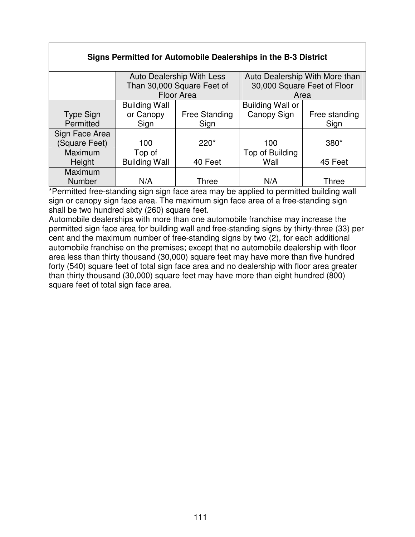### **Signs Permitted for Automobile Dealerships in the B-3 District**

|                | Auto Dealership With Less<br>Than 30,000 Square Feet of |                      | Auto Dealership With More than<br>30,000 Square Feet of Floor |               |
|----------------|---------------------------------------------------------|----------------------|---------------------------------------------------------------|---------------|
|                | <b>Floor Area</b>                                       |                      | Area                                                          |               |
|                | <b>Building Wall</b>                                    |                      | <b>Building Wall or</b>                                       |               |
| Type Sign      | or Canopy                                               | <b>Free Standing</b> | Canopy Sign                                                   | Free standing |
| Permitted      | Sign                                                    | Sign                 |                                                               | Sign          |
| Sign Face Area |                                                         |                      |                                                               |               |
| (Square Feet)  | 100                                                     | $220*$               | 100                                                           | $380*$        |
| Maximum        | Top of                                                  |                      | Top of Building                                               |               |
| Height         | <b>Building Wall</b>                                    | 40 Feet              | Wall                                                          | 45 Feet       |
| Maximum        |                                                         |                      |                                                               |               |
| Number         | N/A                                                     | Three                | N/A                                                           | Three         |

\*Permitted free-standing sign sign face area may be applied to permitted building wall sign or canopy sign face area. The maximum sign face area of a free-standing sign shall be two hundred sixty (260) square feet.

Automobile dealerships with more than one automobile franchise may increase the permitted sign face area for building wall and free-standing signs by thirty-three (33) per cent and the maximum number of free-standing signs by two (2), for each additional automobile franchise on the premises; except that no automobile dealership with floor area less than thirty thousand (30,000) square feet may have more than five hundred forty (540) square feet of total sign face area and no dealership with floor area greater than thirty thousand (30,000) square feet may have more than eight hundred (800) square feet of total sign face area.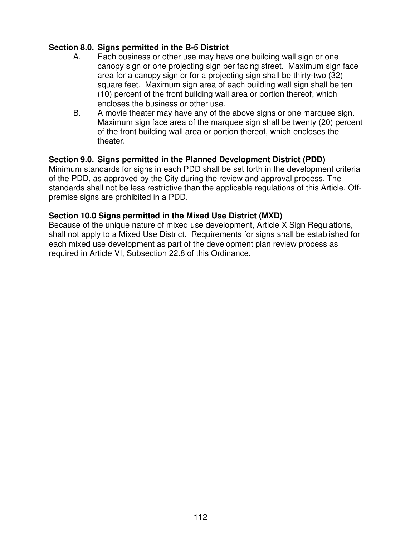### **Section 8.0. Signs permitted in the B-5 District**

- A. Each business or other use may have one building wall sign or one canopy sign or one projecting sign per facing street. Maximum sign face area for a canopy sign or for a projecting sign shall be thirty-two (32) square feet. Maximum sign area of each building wall sign shall be ten (10) percent of the front building wall area or portion thereof, which encloses the business or other use.
- B. A movie theater may have any of the above signs or one marquee sign. Maximum sign face area of the marquee sign shall be twenty (20) percent of the front building wall area or portion thereof, which encloses the theater.

### **Section 9.0. Signs permitted in the Planned Development District (PDD)**

Minimum standards for signs in each PDD shall be set forth in the development criteria of the PDD, as approved by the City during the review and approval process. The standards shall not be less restrictive than the applicable regulations of this Article. Offpremise signs are prohibited in a PDD.

#### **Section 10.0 Signs permitted in the Mixed Use District (MXD)**

Because of the unique nature of mixed use development, Article X Sign Regulations, shall not apply to a Mixed Use District. Requirements for signs shall be established for each mixed use development as part of the development plan review process as required in Article VI, Subsection 22.8 of this Ordinance.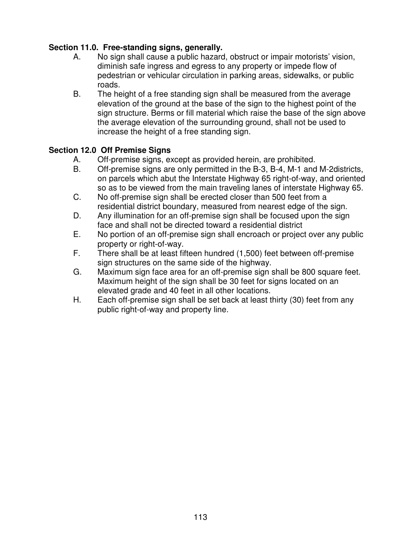# **Section 11.0. Free-standing signs, generally.**

- A. No sign shall cause a public hazard, obstruct or impair motorists' vision, diminish safe ingress and egress to any property or impede flow of pedestrian or vehicular circulation in parking areas, sidewalks, or public roads.
- B. The height of a free standing sign shall be measured from the average elevation of the ground at the base of the sign to the highest point of the sign structure. Berms or fill material which raise the base of the sign above the average elevation of the surrounding ground, shall not be used to increase the height of a free standing sign.

# **Section 12.0 Off Premise Signs**

- A. Off-premise signs, except as provided herein, are prohibited.
- B. Off-premise signs are only permitted in the B-3, B-4, M-1 and M-2districts, on parcels which abut the Interstate Highway 65 right-of-way, and oriented so as to be viewed from the main traveling lanes of interstate Highway 65.
- C. No off-premise sign shall be erected closer than 500 feet from a residential district boundary, measured from nearest edge of the sign.
- D. Any illumination for an off-premise sign shall be focused upon the sign face and shall not be directed toward a residential district
- E. No portion of an off-premise sign shall encroach or project over any public property or right-of-way.
- F. There shall be at least fifteen hundred (1,500) feet between off-premise sign structures on the same side of the highway.
- G. Maximum sign face area for an off-premise sign shall be 800 square feet. Maximum height of the sign shall be 30 feet for signs located on an elevated grade and 40 feet in all other locations.
- H. Each off-premise sign shall be set back at least thirty (30) feet from any public right-of-way and property line.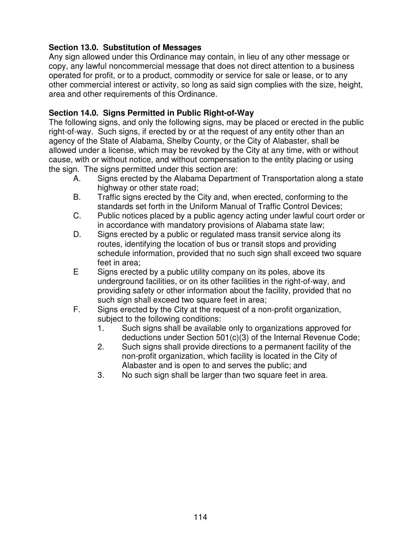# **Section 13.0. Substitution of Messages**

Any sign allowed under this Ordinance may contain, in lieu of any other message or copy, any lawful noncommercial message that does not direct attention to a business operated for profit, or to a product, commodity or service for sale or lease, or to any other commercial interest or activity, so long as said sign complies with the size, height, area and other requirements of this Ordinance.

## **Section 14.0. Signs Permitted in Public Right-of-Way**

The following signs, and only the following signs, may be placed or erected in the public right-of-way. Such signs, if erected by or at the request of any entity other than an agency of the State of Alabama, Shelby County, or the City of Alabaster, shall be allowed under a license, which may be revoked by the City at any time, with or without cause, with or without notice, and without compensation to the entity placing or using the sign. The signs permitted under this section are:

- A. Signs erected by the Alabama Department of Transportation along a state highway or other state road;
- B. Traffic signs erected by the City and, when erected, conforming to the standards set forth in the Uniform Manual of Traffic Control Devices;
- C. Public notices placed by a public agency acting under lawful court order or in accordance with mandatory provisions of Alabama state law;
- D. Signs erected by a public or regulated mass transit service along its routes, identifying the location of bus or transit stops and providing schedule information, provided that no such sign shall exceed two square feet in area;
- E Signs erected by a public utility company on its poles, above its underground facilities, or on its other facilities in the right-of-way, and providing safety or other information about the facility, provided that no such sign shall exceed two square feet in area;
- F. Signs erected by the City at the request of a non-profit organization, subject to the following conditions:
	- 1. Such signs shall be available only to organizations approved for deductions under Section 501(c)(3) of the Internal Revenue Code;
	- 2. Such signs shall provide directions to a permanent facility of the non-profit organization, which facility is located in the City of Alabaster and is open to and serves the public; and
	- 3. No such sign shall be larger than two square feet in area.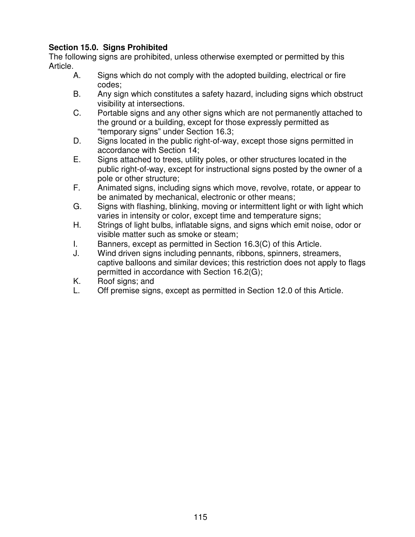# **Section 15.0. Signs Prohibited**

The following signs are prohibited, unless otherwise exempted or permitted by this Article.

- A. Signs which do not comply with the adopted building, electrical or fire codes;
- B. Any sign which constitutes a safety hazard, including signs which obstruct visibility at intersections.
- C. Portable signs and any other signs which are not permanently attached to the ground or a building, except for those expressly permitted as "temporary signs" under Section 16.3;
- D. Signs located in the public right-of-way, except those signs permitted in accordance with Section 14;
- E. Signs attached to trees, utility poles, or other structures located in the public right-of-way, except for instructional signs posted by the owner of a pole or other structure;
- F. Animated signs, including signs which move, revolve, rotate, or appear to be animated by mechanical, electronic or other means;
- G. Signs with flashing, blinking, moving or intermittent light or with light which varies in intensity or color, except time and temperature signs;
- H. Strings of light bulbs, inflatable signs, and signs which emit noise, odor or visible matter such as smoke or steam;
- I. Banners, except as permitted in Section 16.3(C) of this Article.
- J. Wind driven signs including pennants, ribbons, spinners, streamers, captive balloons and similar devices; this restriction does not apply to flags permitted in accordance with Section 16.2(G);
- K. Roof signs; and
- L. Off premise signs, except as permitted in Section 12.0 of this Article.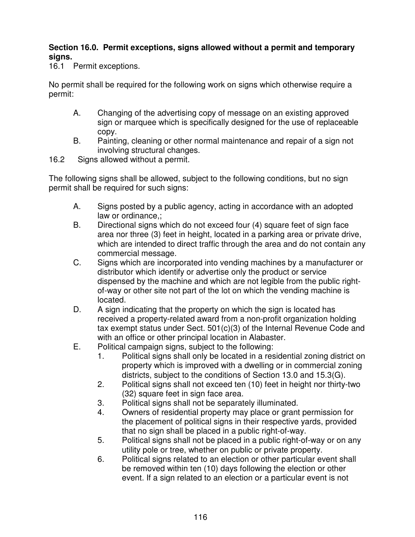### **Section 16.0. Permit exceptions, signs allowed without a permit and temporary signs.**

16.1 Permit exceptions.

No permit shall be required for the following work on signs which otherwise require a permit:

- A. Changing of the advertising copy of message on an existing approved sign or marquee which is specifically designed for the use of replaceable copy.
- B. Painting, cleaning or other normal maintenance and repair of a sign not involving structural changes.
- 16.2 Signs allowed without a permit.

The following signs shall be allowed, subject to the following conditions, but no sign permit shall be required for such signs:

- A. Signs posted by a public agency, acting in accordance with an adopted law or ordinance,;
- B. Directional signs which do not exceed four (4) square feet of sign face area nor three (3) feet in height, located in a parking area or private drive, which are intended to direct traffic through the area and do not contain any commercial message.
- C. Signs which are incorporated into vending machines by a manufacturer or distributor which identify or advertise only the product or service dispensed by the machine and which are not legible from the public rightof-way or other site not part of the lot on which the vending machine is located.
- D. A sign indicating that the property on which the sign is located has received a property-related award from a non-profit organization holding tax exempt status under Sect. 501(c)(3) of the Internal Revenue Code and with an office or other principal location in Alabaster.
- E. Political campaign signs, subject to the following:
	- 1. Political signs shall only be located in a residential zoning district on property which is improved with a dwelling or in commercial zoning districts, subject to the conditions of Section 13.0 and 15.3(G).
	- 2. Political signs shall not exceed ten (10) feet in height nor thirty-two (32) square feet in sign face area.
	- 3. Political signs shall not be separately illuminated.
	- 4. Owners of residential property may place or grant permission for the placement of political signs in their respective yards, provided that no sign shall be placed in a public right-of-way.
	- 5. Political signs shall not be placed in a public right-of-way or on any utility pole or tree, whether on public or private property.
	- 6. Political signs related to an election or other particular event shall be removed within ten (10) days following the election or other event. If a sign related to an election or a particular event is not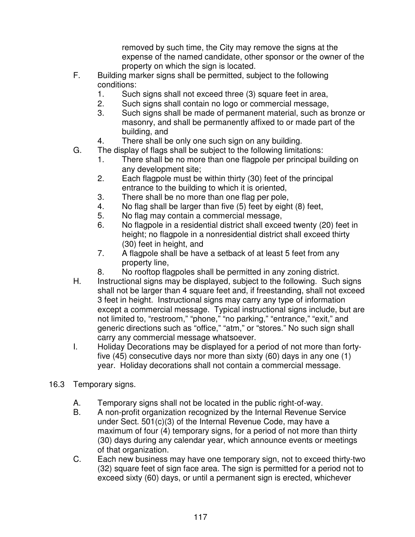removed by such time, the City may remove the signs at the expense of the named candidate, other sponsor or the owner of the property on which the sign is located.

- F. Building marker signs shall be permitted, subject to the following conditions:
	- 1. Such signs shall not exceed three (3) square feet in area,
	- 2. Such signs shall contain no logo or commercial message,
	- 3. Such signs shall be made of permanent material, such as bronze or masonry, and shall be permanently affixed to or made part of the building, and
	- 4. There shall be only one such sign on any building.
- G. The display of flags shall be subject to the following limitations:
	- 1. There shall be no more than one flagpole per principal building on any development site;
	- 2. Each flagpole must be within thirty (30) feet of the principal entrance to the building to which it is oriented,
	- 3. There shall be no more than one flag per pole,
	- 4. No flag shall be larger than five (5) feet by eight (8) feet,
	- 5. No flag may contain a commercial message,
	- 6. No flagpole in a residential district shall exceed twenty (20) feet in height; no flagpole in a nonresidential district shall exceed thirty (30) feet in height, and
	- 7. A flagpole shall be have a setback of at least 5 feet from any property line,
	- 8. No rooftop flagpoles shall be permitted in any zoning district.
- H. Instructional signs may be displayed, subject to the following. Such signs shall not be larger than 4 square feet and, if freestanding, shall not exceed 3 feet in height. Instructional signs may carry any type of information except a commercial message. Typical instructional signs include, but are not limited to, "restroom," "phone," "no parking," "entrance," "exit," and generic directions such as "office," "atm," or "stores." No such sign shall carry any commercial message whatsoever.
- I. Holiday Decorations may be displayed for a period of not more than fortyfive (45) consecutive days nor more than sixty (60) days in any one (1) year. Holiday decorations shall not contain a commercial message.
- 16.3 Temporary signs.
	- A. Temporary signs shall not be located in the public right-of-way.
	- B. A non-profit organization recognized by the Internal Revenue Service under Sect. 501(c)(3) of the Internal Revenue Code, may have a maximum of four (4) temporary signs, for a period of not more than thirty (30) days during any calendar year, which announce events or meetings of that organization.
	- C. Each new business may have one temporary sign, not to exceed thirty-two (32) square feet of sign face area. The sign is permitted for a period not to exceed sixty (60) days, or until a permanent sign is erected, whichever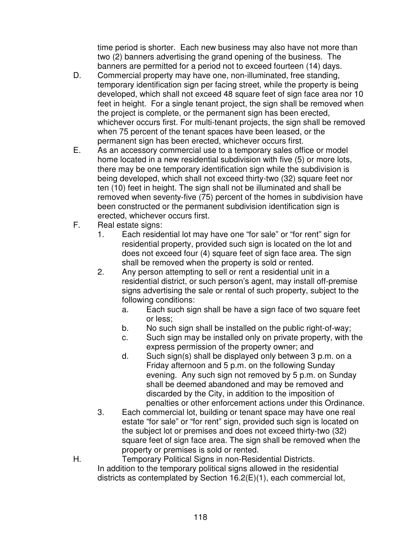time period is shorter. Each new business may also have not more than two (2) banners advertising the grand opening of the business. The banners are permitted for a period not to exceed fourteen (14) days.

- D. Commercial property may have one, non-illuminated, free standing, temporary identification sign per facing street, while the property is being developed, which shall not exceed 48 square feet of sign face area nor 10 feet in height. For a single tenant project, the sign shall be removed when the project is complete, or the permanent sign has been erected, whichever occurs first. For multi-tenant projects, the sign shall be removed when 75 percent of the tenant spaces have been leased, or the permanent sign has been erected, whichever occurs first.
- E. As an accessory commercial use to a temporary sales office or model home located in a new residential subdivision with five (5) or more lots, there may be one temporary identification sign while the subdivision is being developed, which shall not exceed thirty-two (32) square feet nor ten (10) feet in height. The sign shall not be illuminated and shall be removed when seventy-five (75) percent of the homes in subdivision have been constructed or the permanent subdivision identification sign is erected, whichever occurs first.
- F. Real estate signs:
	- 1. Each residential lot may have one "for sale" or "for rent" sign for residential property, provided such sign is located on the lot and does not exceed four (4) square feet of sign face area. The sign shall be removed when the property is sold or rented.
	- 2. Any person attempting to sell or rent a residential unit in a residential district, or such person's agent, may install off-premise signs advertising the sale or rental of such property, subject to the following conditions:
		- a. Each such sign shall be have a sign face of two square feet or less;
		- b. No such sign shall be installed on the public right-of-way;
		- c. Such sign may be installed only on private property, with the express permission of the property owner; and
		- d. Such sign(s) shall be displayed only between 3 p.m. on a Friday afternoon and 5 p.m. on the following Sunday evening. Any such sign not removed by 5 p.m. on Sunday shall be deemed abandoned and may be removed and discarded by the City, in addition to the imposition of penalties or other enforcement actions under this Ordinance.
	- 3. Each commercial lot, building or tenant space may have one real estate "for sale" or "for rent" sign, provided such sign is located on the subject lot or premises and does not exceed thirty-two (32) square feet of sign face area. The sign shall be removed when the property or premises is sold or rented.
- H. Temporary Political Signs in non-Residential Districts. In addition to the temporary political signs allowed in the residential districts as contemplated by Section 16.2(E)(1), each commercial lot,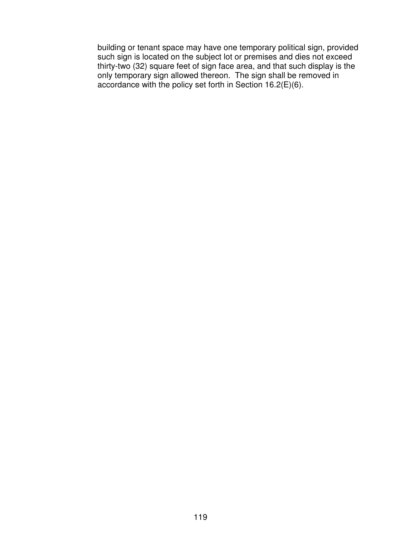building or tenant space may have one temporary political sign, provided such sign is located on the subject lot or premises and dies not exceed thirty-two (32) square feet of sign face area, and that such display is the only temporary sign allowed thereon. The sign shall be removed in accordance with the policy set forth in Section  $16.2(E)(6)$ .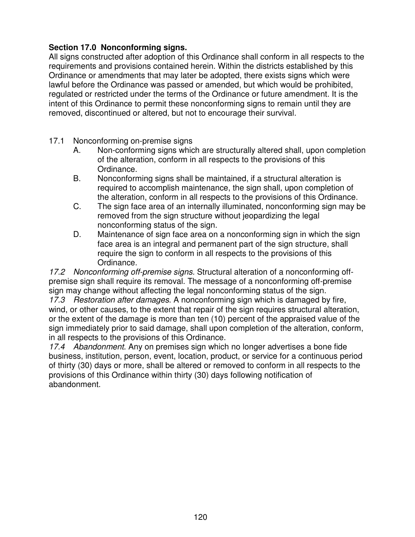## **Section 17.0 Nonconforming signs.**

All signs constructed after adoption of this Ordinance shall conform in all respects to the requirements and provisions contained herein. Within the districts established by this Ordinance or amendments that may later be adopted, there exists signs which were lawful before the Ordinance was passed or amended, but which would be prohibited, regulated or restricted under the terms of the Ordinance or future amendment. It is the intent of this Ordinance to permit these nonconforming signs to remain until they are removed, discontinued or altered, but not to encourage their survival.

- 17.1 Nonconforming on-premise signs
	- A. Non-conforming signs which are structurally altered shall, upon completion of the alteration, conform in all respects to the provisions of this Ordinance.
	- B. Nonconforming signs shall be maintained, if a structural alteration is required to accomplish maintenance, the sign shall, upon completion of the alteration, conform in all respects to the provisions of this Ordinance.
	- C. The sign face area of an internally illuminated, nonconforming sign may be removed from the sign structure without jeopardizing the legal nonconforming status of the sign.
	- D. Maintenance of sign face area on a nonconforming sign in which the sign face area is an integral and permanent part of the sign structure, shall require the sign to conform in all respects to the provisions of this Ordinance.

*17.2 Nonconforming off-premise signs.* Structural alteration of a nonconforming offpremise sign shall require its removal. The message of a nonconforming off-premise sign may change without affecting the legal nonconforming status of the sign.

*17.3 Restoration after damages*. A nonconforming sign which is damaged by fire, wind, or other causes, to the extent that repair of the sign requires structural alteration, or the extent of the damage is more than ten (10) percent of the appraised value of the sign immediately prior to said damage, shall upon completion of the alteration, conform, in all respects to the provisions of this Ordinance.

*17.4 Abandonment*. Any on premises sign which no longer advertises a bone fide business, institution, person, event, location, product, or service for a continuous period of thirty (30) days or more, shall be altered or removed to conform in all respects to the provisions of this Ordinance within thirty (30) days following notification of abandonment.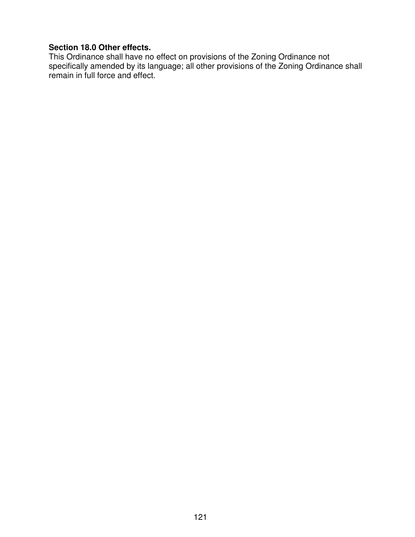### **Section 18.0 Other effects.**

This Ordinance shall have no effect on provisions of the Zoning Ordinance not specifically amended by its language; all other provisions of the Zoning Ordinance shall remain in full force and effect.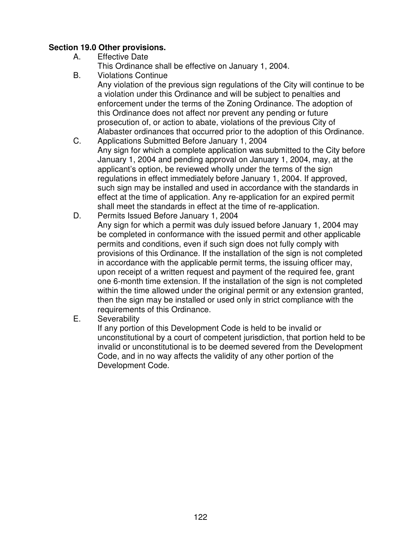## **Section 19.0 Other provisions.**

- A. Effective Date
	- This Ordinance shall be effective on January 1, 2004.
- B. Violations Continue Any violation of the previous sign regulations of the City will continue to be a violation under this Ordinance and will be subject to penalties and enforcement under the terms of the Zoning Ordinance. The adoption of this Ordinance does not affect nor prevent any pending or future prosecution of, or action to abate, violations of the previous City of Alabaster ordinances that occurred prior to the adoption of this Ordinance.
- C. Applications Submitted Before January 1, 2004 Any sign for which a complete application was submitted to the City before January 1, 2004 and pending approval on January 1, 2004, may, at the applicant's option, be reviewed wholly under the terms of the sign regulations in effect immediately before January 1, 2004. If approved, such sign may be installed and used in accordance with the standards in effect at the time of application. Any re-application for an expired permit shall meet the standards in effect at the time of re-application.
- D. Permits Issued Before January 1, 2004 Any sign for which a permit was duly issued before January 1, 2004 may be completed in conformance with the issued permit and other applicable permits and conditions, even if such sign does not fully comply with provisions of this Ordinance. If the installation of the sign is not completed in accordance with the applicable permit terms, the issuing officer may, upon receipt of a written request and payment of the required fee, grant one 6-month time extension. If the installation of the sign is not completed within the time allowed under the original permit or any extension granted, then the sign may be installed or used only in strict compliance with the requirements of this Ordinance.
- E. Severability

If any portion of this Development Code is held to be invalid or unconstitutional by a court of competent jurisdiction, that portion held to be invalid or unconstitutional is to be deemed severed from the Development Code, and in no way affects the validity of any other portion of the Development Code.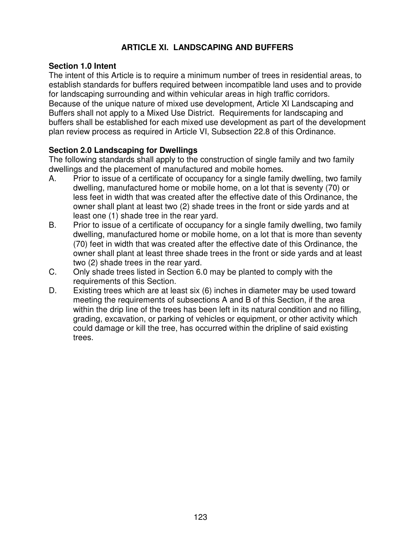# **ARTICLE XI. LANDSCAPING AND BUFFERS**

#### **Section 1.0 Intent**

The intent of this Article is to require a minimum number of trees in residential areas, to establish standards for buffers required between incompatible land uses and to provide for landscaping surrounding and within vehicular areas in high traffic corridors. Because of the unique nature of mixed use development, Article XI Landscaping and Buffers shall not apply to a Mixed Use District. Requirements for landscaping and buffers shall be established for each mixed use development as part of the development plan review process as required in Article VI, Subsection 22.8 of this Ordinance.

#### **Section 2.0 Landscaping for Dwellings**

The following standards shall apply to the construction of single family and two family dwellings and the placement of manufactured and mobile homes.

- A. Prior to issue of a certificate of occupancy for a single family dwelling, two family dwelling, manufactured home or mobile home, on a lot that is seventy (70) or less feet in width that was created after the effective date of this Ordinance, the owner shall plant at least two (2) shade trees in the front or side yards and at least one (1) shade tree in the rear yard.
- B. Prior to issue of a certificate of occupancy for a single family dwelling, two family dwelling, manufactured home or mobile home, on a lot that is more than seventy (70) feet in width that was created after the effective date of this Ordinance, the owner shall plant at least three shade trees in the front or side yards and at least two (2) shade trees in the rear yard.
- C. Only shade trees listed in Section 6.0 may be planted to comply with the requirements of this Section.
- D. Existing trees which are at least six (6) inches in diameter may be used toward meeting the requirements of subsections A and B of this Section, if the area within the drip line of the trees has been left in its natural condition and no filling, grading, excavation, or parking of vehicles or equipment, or other activity which could damage or kill the tree, has occurred within the dripline of said existing trees.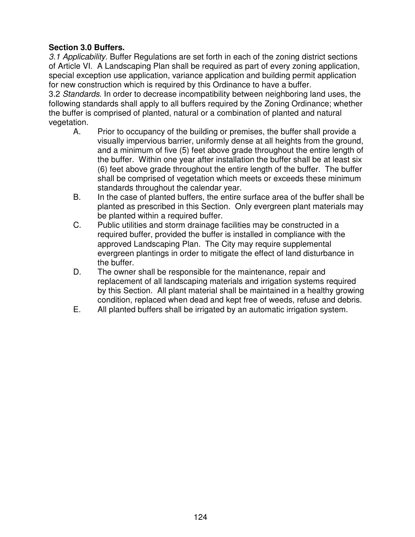## **Section 3.0 Buffers.**

*3.1 Applicability.* Buffer Regulations are set forth in each of the zoning district sections of Article VI. A Landscaping Plan shall be required as part of every zoning application, special exception use application, variance application and building permit application for new construction which is required by this Ordinance to have a buffer.

3.2 *Standards*. In order to decrease incompatibility between neighboring land uses, the following standards shall apply to all buffers required by the Zoning Ordinance; whether the buffer is comprised of planted, natural or a combination of planted and natural vegetation.

- A. Prior to occupancy of the building or premises, the buffer shall provide a visually impervious barrier, uniformly dense at all heights from the ground, and a minimum of five (5) feet above grade throughout the entire length of the buffer. Within one year after installation the buffer shall be at least six (6) feet above grade throughout the entire length of the buffer. The buffer shall be comprised of vegetation which meets or exceeds these minimum standards throughout the calendar year.
- B. In the case of planted buffers, the entire surface area of the buffer shall be planted as prescribed in this Section. Only evergreen plant materials may be planted within a required buffer.
- C. Public utilities and storm drainage facilities may be constructed in a required buffer, provided the buffer is installed in compliance with the approved Landscaping Plan. The City may require supplemental evergreen plantings in order to mitigate the effect of land disturbance in the buffer.
- D. The owner shall be responsible for the maintenance, repair and replacement of all landscaping materials and irrigation systems required by this Section. All plant material shall be maintained in a healthy growing condition, replaced when dead and kept free of weeds, refuse and debris.
- E. All planted buffers shall be irrigated by an automatic irrigation system.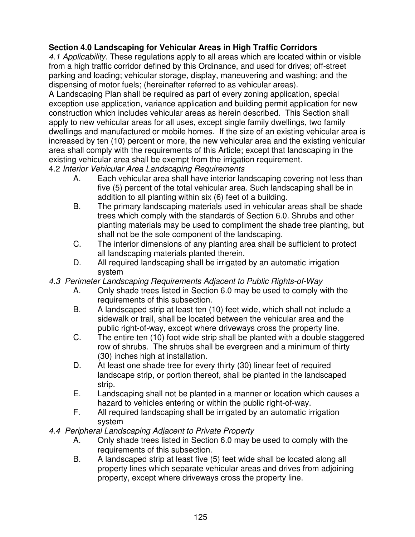# **Section 4.0 Landscaping for Vehicular Areas in High Traffic Corridors**

*4.1 Applicability.* These regulations apply to all areas which are located within or visible from a high traffic corridor defined by this Ordinance, and used for drives; off-street parking and loading; vehicular storage, display, maneuvering and washing; and the dispensing of motor fuels; (hereinafter referred to as vehicular areas).

A Landscaping Plan shall be required as part of every zoning application, special exception use application, variance application and building permit application for new construction which includes vehicular areas as herein described. This Section shall apply to new vehicular areas for all uses, except single family dwellings, two family dwellings and manufactured or mobile homes. If the size of an existing vehicular area is increased by ten (10) percent or more, the new vehicular area and the existing vehicular area shall comply with the requirements of this Article; except that landscaping in the existing vehicular area shall be exempt from the irrigation requirement.

4.2 *Interior Vehicular Area Landscaping Requirements*

- A. Each vehicular area shall have interior landscaping covering not less than five (5) percent of the total vehicular area. Such landscaping shall be in addition to all planting within six (6) feet of a building.
- B. The primary landscaping materials used in vehicular areas shall be shade trees which comply with the standards of Section 6.0. Shrubs and other planting materials may be used to compliment the shade tree planting, but shall not be the sole component of the landscaping.
- C. The interior dimensions of any planting area shall be sufficient to protect all landscaping materials planted therein.
- D. All required landscaping shall be irrigated by an automatic irrigation system
- *4.3 Perimeter Landscaping Requirements Adjacent to Public Rights-of-Way*
	- A. Only shade trees listed in Section 6.0 may be used to comply with the requirements of this subsection.
	- B. A landscaped strip at least ten (10) feet wide, which shall not include a sidewalk or trail, shall be located between the vehicular area and the public right-of-way, except where driveways cross the property line.
	- C. The entire ten (10) foot wide strip shall be planted with a double staggered row of shrubs. The shrubs shall be evergreen and a minimum of thirty (30) inches high at installation.
	- D. At least one shade tree for every thirty (30) linear feet of required landscape strip, or portion thereof, shall be planted in the landscaped strip.
	- E. Landscaping shall not be planted in a manner or location which causes a hazard to vehicles entering or within the public right-of-way.
	- F. All required landscaping shall be irrigated by an automatic irrigation system

# *4.4 Peripheral Landscaping Adjacent to Private Property*

- A. Only shade trees listed in Section 6.0 may be used to comply with the requirements of this subsection.
- B. A landscaped strip at least five (5) feet wide shall be located along all property lines which separate vehicular areas and drives from adjoining property, except where driveways cross the property line.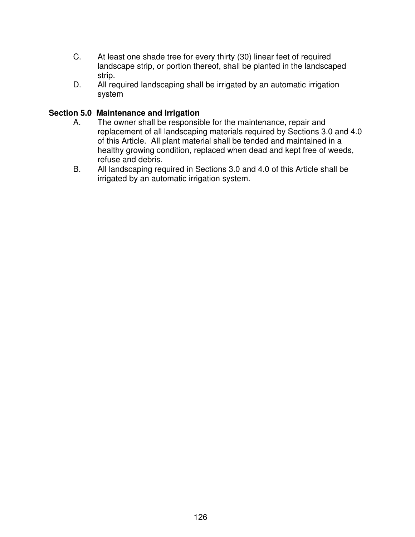- C. At least one shade tree for every thirty (30) linear feet of required landscape strip, or portion thereof, shall be planted in the landscaped strip.
- D. All required landscaping shall be irrigated by an automatic irrigation system

#### **Section 5.0 Maintenance and Irrigation**

- A. The owner shall be responsible for the maintenance, repair and replacement of all landscaping materials required by Sections 3.0 and 4.0 of this Article. All plant material shall be tended and maintained in a healthy growing condition, replaced when dead and kept free of weeds, refuse and debris.
- B. All landscaping required in Sections 3.0 and 4.0 of this Article shall be irrigated by an automatic irrigation system.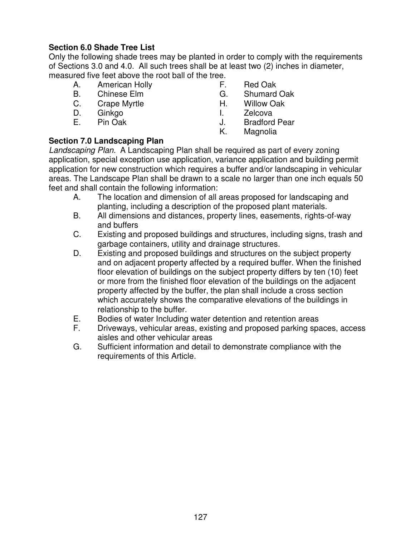# **Section 6.0 Shade Tree List**

Only the following shade trees may be planted in order to comply with the requirements of Sections 3.0 and 4.0. All such trees shall be at least two (2) inches in diameter, measured five feet above the root ball of the tree.

- A. American Holly F. Red Oak
- 
- C. Crape Myrtle **H.** Willow Oak
- 
- 
- 
- B. Chinese Elm G. Shumard Oak
	-
- D. Ginkgo I. Zelcova
- E. Pin Oak J. Bradford Pear
	- K. Magnolia

### **Section 7.0 Landscaping Plan**

*Landscaping Plan.* A Landscaping Plan shall be required as part of every zoning application, special exception use application, variance application and building permit application for new construction which requires a buffer and/or landscaping in vehicular areas. The Landscape Plan shall be drawn to a scale no larger than one inch equals 50 feet and shall contain the following information:

- A. The location and dimension of all areas proposed for landscaping and planting, including a description of the proposed plant materials.
- B. All dimensions and distances, property lines, easements, rights-of-way and buffers
- C. Existing and proposed buildings and structures, including signs, trash and garbage containers, utility and drainage structures.
- D. Existing and proposed buildings and structures on the subject property and on adjacent property affected by a required buffer. When the finished floor elevation of buildings on the subject property differs by ten (10) feet or more from the finished floor elevation of the buildings on the adjacent property affected by the buffer, the plan shall include a cross section which accurately shows the comparative elevations of the buildings in relationship to the buffer.
- E. Bodies of water Including water detention and retention areas
- F. Driveways, vehicular areas, existing and proposed parking spaces, access aisles and other vehicular areas
- G. Sufficient information and detail to demonstrate compliance with the requirements of this Article.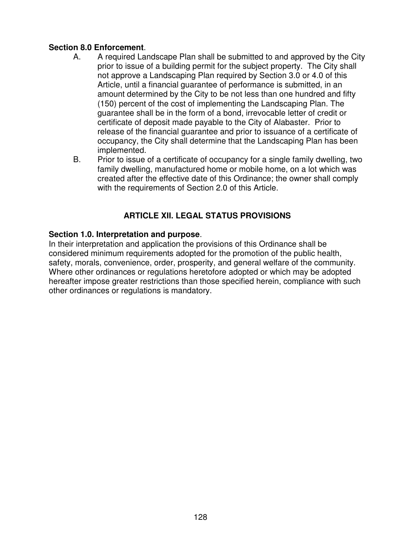#### **Section 8.0 Enforcement**.

- A. A required Landscape Plan shall be submitted to and approved by the City prior to issue of a building permit for the subject property. The City shall not approve a Landscaping Plan required by Section 3.0 or 4.0 of this Article, until a financial guarantee of performance is submitted, in an amount determined by the City to be not less than one hundred and fifty (150) percent of the cost of implementing the Landscaping Plan. The guarantee shall be in the form of a bond, irrevocable letter of credit or certificate of deposit made payable to the City of Alabaster. Prior to release of the financial guarantee and prior to issuance of a certificate of occupancy, the City shall determine that the Landscaping Plan has been implemented.
- B. Prior to issue of a certificate of occupancy for a single family dwelling, two family dwelling, manufactured home or mobile home, on a lot which was created after the effective date of this Ordinance; the owner shall comply with the requirements of Section 2.0 of this Article.

## **ARTICLE XII. LEGAL STATUS PROVISIONS**

#### **Section 1.0. Interpretation and purpose**.

In their interpretation and application the provisions of this Ordinance shall be considered minimum requirements adopted for the promotion of the public health, safety, morals, convenience, order, prosperity, and general welfare of the community. Where other ordinances or regulations heretofore adopted or which may be adopted hereafter impose greater restrictions than those specified herein, compliance with such other ordinances or regulations is mandatory.